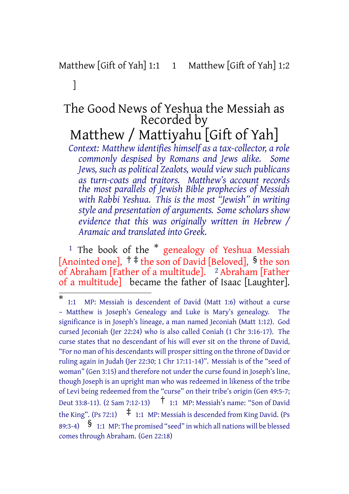## Matthew [Gift of Yah] 1:1 1 Matthew [Gift of Yah] 1:2

]

## The Good News of Yeshua the Messiah as Recorded by Matthew / Mattiyahu [Gift of Yah]

*Context: Matthew identifies himself as a tax-collector, a role commonly despised by Romans and Jews alike. Some Jews, such as political Zealots, would view such publicans as turn-coats and traitors. Matthew's account records the most parallels of Jewish Bible prophecies of Messiah with Rabbi Yeshua. This is the most "Jewish" in writing style and presentation of arguments. Some scholars show evidence that this was originally written in Hebrew / Aramaic and translated into Greek.*

<sup>1</sup> The book of the  $*$  genealogy of Yeshua Messiah [Anointed one],  $\dagger \ddagger$  the son of David [Beloved], § the son of Abraham [Father of a multitude]. <sup>2</sup> Abraham [Father of a multitude] became the father of Isaac [Laughter].

<sup>\*</sup> 1:1 MP: Messiah is descendent of David (Matt 1:6) without a curse – Matthew is Joseph's Genealogy and Luke is Mary's genealogy. The significance is in Joseph's lineage, a man named Jeconiah (Matt 1:12). God cursed Jeconiah (Jer 22:24) who is also called Coniah (1 Chr 3:16-17). The curse states that no descendant of his will ever sit on the throne of David, "For no man of his descendants will prospersitting on the throne of David or ruling again in Judah (Jer 22:30; 1 Chr 17:11-14)". Messiah is of the "seed of woman" (Gen 3:15) and therefore not under the curse found in Joseph's line, though Joseph is an upright man who was redeemed in likeness of the tribe of Levi being redeemed from the "curse" on their tribe's origin (Gen 49:5-7; Deut 33:8-11). (2 Sam 7:12-13) † 1:1 MP: Messiah's name: "Son of David the King". (Ps 72:1)  $\pm$  1:1 MP: Messiah is descended from King David. (Ps 89:3-4)  $\S$  1:1 MP: The promised "seed" in which all nations will be blessed comes through Abraham. (Gen 22:18)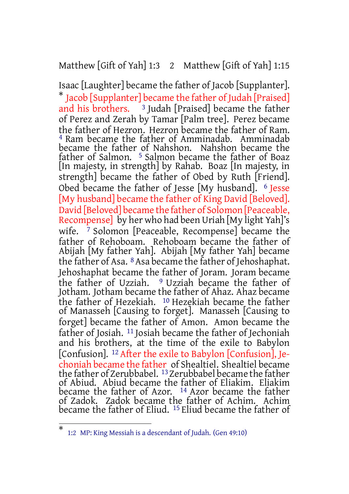#### Matthew [Gift of Yah] 1:3 2 Matthew [Gift of Yah] 1:15

Isaac [Laughter] became the father of Jacob [Supplanter]. \* Jacob [Supplanter] became the father of Judah [Praised] and his brothers. <sup>3</sup> Judah [Praised] became the father of Perez and Zerah by Tamar [Palm tree]. Perez became the father of Hezron. Hezron became the father of Ram. 4 Ram became the father of Amminadab. Amminadab became the father of Nahshon. Nahshon became the father of Salmon. 5 Salmon became the father of Boaz [In majesty, in strength] by Rahab. Boaz [In majesty, in strength] became the father of Obed by Ruth [Friend]. Obed became the father of Jesse [My husband]. 6 Jesse [My husband] became the father of King David [Beloved]. David [Beloved] became the father of Solomon [Peaceable, Recompense] by her who had been Uriah [My light Yah]'s wife. 7 Solomon [Peaceable, Recompense] became the father of Rehoboam. Rehoboam became the father of Abijah [My father Yah]. Abijah [My father Yah] became the father of Asa. <sup>8</sup> Asa became the father of Jehoshaphat. Jehoshaphat became the father of Joram. Joram became the father of Uzziah. <sup>9</sup> Uzziah became the father of Jotham. Jotham became the father of Ahaz. Ahaz became the father of Hezekiah. 10 Hezekiah became the father of Manasseh [Causing to forget]. Manasseh [Causing to forget] became the father of Amon. Amon became the father of Josiah. 11 Josiah became the father of Jechoniah and his brothers, at the time of the exile to Babylon [Confusion]. <sup>12</sup> After the exile to Babylon [Confusion], Jechoniah became the father of Shealtiel. Shealtiel became the father of Zerubbabel. <sup>13</sup> Zerubbabel became the father of Abiud. Abiud became the father of Eliakim. Eliakim became the father of Azor. 14 Azor became the father of Zadok. Zadok became the father of Achim. Achim became the father of Eliud. 15 Eliud became the father of

<sup>\*</sup> 1:2 MP: King Messiah is a descendant of Judah. (Gen 49:10)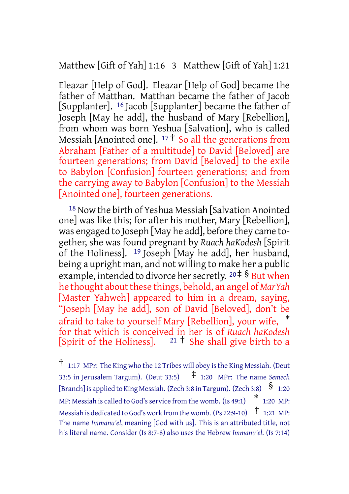Matthew [Gift of Yah] 1:16 3 Matthew [Gift of Yah] 1:21

Eleazar [Help of God]. Eleazar [Help of God] became the father of Matthan. Matthan became the father of Jacob [Supplanter]. 16 Jacob [Supplanter] became the father of Joseph [May he add], the husband of Mary [Rebellion], from whom was born Yeshua [Salvation], who is called Messiah [Anointed one].  $17 \text{ } \frac{1}{2}$  So all the generations from Abraham [Father of a multitude] to David [Beloved] are fourteen generations; from David [Beloved] to the exile to Babylon [Confusion] fourteen generations; and from the carrying away to Babylon [Confusion] to the Messiah [Anointed one], fourteen generations.

18 Now the birth of Yeshua Messiah [Salvation Anointed one] was like this; for after his mother, Mary [Rebellion], was engaged to Joseph [May he add], before they came together, she was found pregnant by *Ruach haKodesh* [Spirit of the Holiness]. 19 Joseph [May he add], her husband, being a upright man, and not willing to make her a public example, intended to divorce her secretly.  $20 \div 8$  But when he thought about these things, behold, an angel of *MarYah* [Master Yahweh] appeared to him in a dream, saying, "Joseph [May he add], son of David [Beloved], don't be afraid to take to yourself Mary [Rebellion], your wife, \* for that which is conceived in her is of *Ruach haKodesh* [Spirit of the Holiness].  $21 \nmid$  She shall give birth to a

<sup>†</sup> 1:17 MPr: The King who the <sup>12</sup> Tribes will obey isthe King Messiah. (Deut 33:5 in Jerusalem Targum). (Deut 33:5) ‡ 1:20 MPr: The name *Semech* [Branch] is applied to King Messiah. (Zech 3:8 in Targum). (Zech 3:8)  $\frac{\$}{}$  1:20 MP: Messiah is called to God's service from the womb.  $(\text{Is 49:1})$   $\quad$   $\text{*}$  1:20 MP: Messiah is dedicated to God's work from the womb. (Ps 22:9-10)  $\uparrow$  1:21 MP: The name *Immanu'el*, meaning [God with us]. This is an attributed title, not his literal name. Consider (Is 8:7-8) also uses the Hebrew *Immanu'el*. (Is 7:14)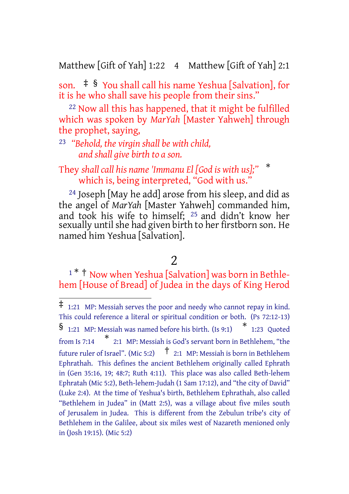Matthew [Gift of Yah] 1:22 4 Matthew [Gift of Yah] 2:1

son. ‡ § You shall call his name Yeshua [Salvation], for it is he who shall save his people from their sins."

22 Now all this has happened, that it might be fulfilled which was spoken by *MarYah* [Master Yahweh] through the prophet, saying,

23 *"Behold, the virgin shall be with child, and shall give birth to a son.*

#### They *shall call his name 'Immanu El [God is with us];"* \* which is, being interpreted, "God with us."

24 Joseph [May he add] arose from his sleep, and did as the angel of *MarYah* [Master Yahweh] commanded him, and took his wife to himself; 25 and didn't know her sexually until she had given birth to her firstborn son. He named him Yeshua [Salvation].

# 2

<sup>1 \*</sup> <sup>†</sup> Now when Yeshua [Salvation] was born in Bethlehem [House of Bread] of Judea in the days of King Herod

<sup>‡</sup> 1:21 MP: Messiah serves the poor and needy who cannot repay in kind. This could reference a literal or spiritual condition or both. (Ps 72:12-13)  $\frac{1}{21}$  MP: Messiah was named before his birth. (Is 9:1)  $\frac{1}{2}$  23 Quoted from Is 7:14 \* 2:1 MP: Messiah is God's servant born in Bethlehem, "the future ruler of Israel". (Mic 5:2)  $\uparrow$  2:1 MP: Messiah is born in Bethlehem Ephrathah. This defines the ancient Bethlehem originally called Ephrath in (Gen 35:16, 19; 48:7; Ruth 4:11). This place was also called Beth-lehem Ephratah (Mic 5:2), Beth-lehem-Judah (1 Sam 17:12), and "the city of David" (Luke 2:4). At the time of Yeshua's birth, Bethlehem Ephrathah, also called "Bethlehem in Judea" in (Matt 2:5), was a village about five miles south of Jerusalem in Judea. This is different from the Zebulun tribe's city of Bethlehem in the Galilee, about six miles west of Nazareth menioned only in (Josh 19:15). (Mic 5:2)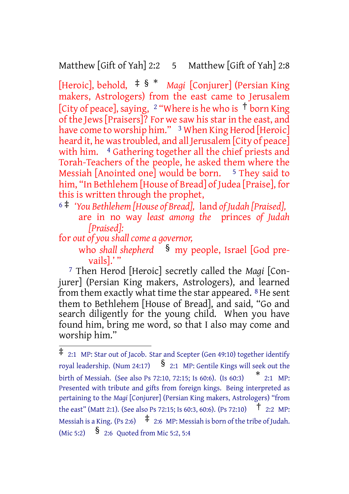Matthew [Gift of Yah] 2:2 5 Matthew [Gift of Yah] 2:8

[Heroic], behold, ‡ § \* *Magi* [Conjurer] (Persian King makers, Astrologers) from the east came to Jerusalem [City of peace], saying, <sup>2</sup> "Where is he who is <sup>†</sup> born King of the Jews [Praisers]? For we saw his star in the east, and have come to worship him." <sup>3</sup> When King Herod [Heroic] heard it, he was troubled, and all Jerusalem [City of peace] with him. <sup>4</sup> Gathering together all the chief priests and Torah-Teachers of the people, he asked them where the Messiah [Anointed one] would be born.  $5$  They said to him, "In Bethlehem [House of Bread] of Judea [Praise], for this is written through the prophet,

- <sup>6</sup> ‡ *'You Bethlehem [House of Bread],* land *of Judah [Praised],* are in no way *least among the* princes *of Judah [Praised]:*
- for *out of you shall come a governor,*

who *shall shepherd* § my people, Israel [God prevails].'"

7 Then Herod [Heroic] secretly called the *Magi* [Conjurer] (Persian King makers, Astrologers), and learned from them exactly what time the star appeared.  $8$  He sent them to Bethlehem [House of Bread], and said, "Go and search diligently for the young child. When you have found him, bring me word, so that I also may come and worship him."

 $\overline{\ddagger}$  2:1 MP: Star out of Jacob. Star and Scepter (Gen 49:10) together identify royal leadership. (Num 24:17)  $\S$  2:1 MP: Gentile Kings will seek out the birth of Messiah. (See also Ps 72:10, 72:15; Is 60:6). (Is 60:3) \* 2:1 MP: Presented with tribute and gifts from foreign kings. Being interpreted as pertaining to the *Magi* [Conjurer] (Persian King makers, Astrologers) "from the east" (Matt 2:1). (See also Ps 72:15; Is 60:3, 60:6). (Ps 72:10)  $\uparrow$  2:2 MP: Messiah is a King. (Ps 2:6)  $\uparrow$  2:6 MP: Messiah is born of the tribe of Judah. (Mic 5:2)  $\frac{\$}{\$}$  2:6 Quoted from Mic 5:2, 5:4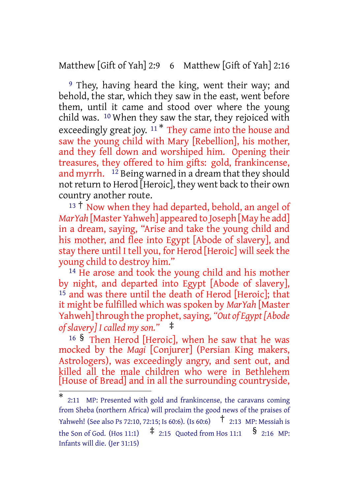Matthew [Gift of Yah] 2:9 6 Matthew [Gift of Yah] 2:16

9 They, having heard the king, went their way; and behold, the star, which they saw in the east, went before them, until it came and stood over where the young child was. 10 When they saw the star, they rejoiced with exceedingly great joy.  $11 *$  They came into the house and saw the young child with Mary [Rebellion], his mother, and they fell down and worshiped him. Opening their treasures, they offered to him gifts: gold, frankincense, and myrrh. 12 Being warned in a dream that they should not return to Herod [Heroic], they went back to their own country another route.

<sup>13</sup> <sup>†</sup> Now when they had departed, behold, an angel of *MarYah* [Master Yahweh] appeared to Joseph [May he add] in a dream, saying, "Arise and take the young child and his mother, and flee into Egypt [Abode of slavery], and stay there until I tell you, for Herod [Heroic] will seek the young child to destroy him."

14 He arose and took the young child and his mother by night, and departed into Egypt [Abode of slavery], 15 and was there until the death of Herod [Heroic]; that it might be fulfilled which was spoken by *MarYah* [Master Yahweh] through the prophet, saying, "Out of Egypt [Abode *of slavery] I called my son."* ‡

<sup>16</sup> § Then Herod [Heroic], when he saw that he was mocked by the *Magi* [Conjurer] (Persian King makers, Astrologers), was exceedingly angry, and sent out, and killed all the male children who were in Bethlehem [House of Bread] and in all the surrounding countryside,

<sup>\*</sup> 2:11 MP: Presented with gold and frankincense, the caravans coming from Sheba (northern Africa) will proclaim the good news of the praises of Yahweh! (See also Ps 72:10, 72:15; Is 60:6). (Is 60:6) † 2:13 MP: Messiah is the Son of God. (Hos 11:1)  $\pm$  2:15 Quoted from Hos 11:1  $\frac{1}{2}$  2:16 MP: Infants will die. (Jer 31:15)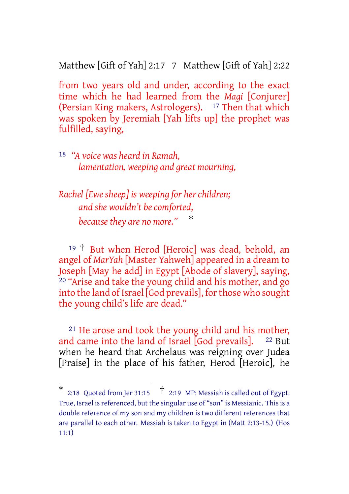Matthew [Gift of Yah] 2:17 7 Matthew [Gift of Yah] 2:22

from two years old and under, according to the exact time which he had learned from the *Magi* [Conjurer] (Persian King makers, Astrologers). 17 Then that which was spoken by Jeremiah [Yah lifts up] the prophet was fulfilled, saying,

18 *"A voice was heard in Ramah, lamentation, weeping and great mourning,*

*Rachel [Ewe sheep] is weeping for her children; and she wouldn't be comforted, because they are no more."* \*

<sup>19</sup> † But when Herod [Heroic] was dead, behold, an angel of *MarYah* [Master Yahweh] appeared in a dream to Joseph [May he add] in Egypt [Abode of slavery], saying, <sup>20</sup> "Arise and take the young child and his mother, and go into the land of Israel [God prevails], for those who sought the young child's life are dead."

21 He arose and took the young child and his mother, and came into the land of Israel [God prevails]. <sup>22</sup> But when he heard that Archelaus was reigning over Judea [Praise] in the place of his father, Herod [Heroic], he

<sup>\*</sup> 2:18 Quoted from Jer 31:15  $\uparrow$  2:19 MP: Messiah is called out of Egypt. True, Israel is referenced, but the singular use of "son" is Messianic. This is a double reference of my son and my children is two different references that are parallel to each other. Messiah is taken to Egypt in (Matt 2:13-15.) (Hos 11:1)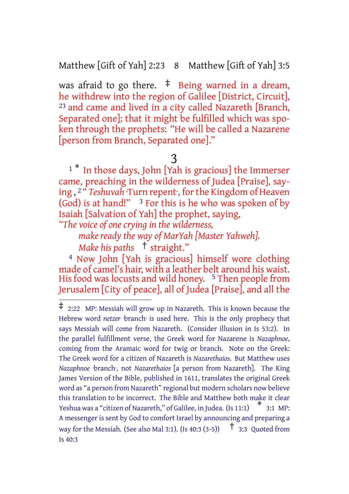Matthew [Gift of Yah] 2:23 8 Matthew [Gift of Yah] 3:5

was afraid to go there.  $\frac{1}{2}$  Being warned in a dream, he withdrew into the region of Galilee [District, Circuit], 23 and came and lived in a city called Nazareth [Branch, Separated one]; that it might be fulfilled which was spoken through the prophets: "He will be called a Nazarene [person from Branch, Separated one]."

<sup>1</sup> \* In those days, John [Yah is gracious] the Immerser came, preaching in the wilderness of Judea [Praise], saying , 2 " *Teshuvah* ·Turn repent·, forthe Kingdom of Heaven (God) is at hand!"  $3$  For this is he who was spoken of by Isaiah [Salvation of Yah] the prophet, saying,

*"The voice of one crying in the wilderness,*

*make ready the way of MarYah [Master Yahweh].*

*Make his paths* † straight."

4 Now John [Yah is gracious] himself wore clothing made of camel's hair, with a leather belt around his waist. His food was locusts and wild honey. <sup>5</sup> Then people from Jerusalem [City of peace], all of Judea [Praise], and all the

<sup>3</sup>

<sup>‡</sup> 2:22 MP: Messiah will grow up in Nazareth. This is known because the Hebrew word *netzer* ·branch· is used here. This is the only prophecy that says Messiah will come from Nazareth. (Consider illusion in Is 53:2). In the parallel fulfillment verse, the Greek word for Nazarene is *Nazaphnoe*, coming from the Aramaic word for twig or branch. Note on the Greek: The Greek word for a citizen of Nazareth is *Nazarethaios*. But Matthew uses *Nazaphnoe* ·branch·, not *Nazarethaios* [a person from Nazareth]. The King James Version of the Bible, published in 1611, translates the original Greek word as "a person from Nazareth" regional but modern scholars now believe this translation to be incorrect. The Bible and Matthew both make it clear Yeshua was <sup>a</sup> "citizen of Nazareth," of Galilee, in Judea. (Is 11:1) \* 3:1 MP: A messenger is sent by God to comfort Israel by announcing and preparing a way for the Messiah. (See also Mal 3:1). (Is 40:3 (3-5))  $\uparrow$  3:3 Ouoted from Is 40:3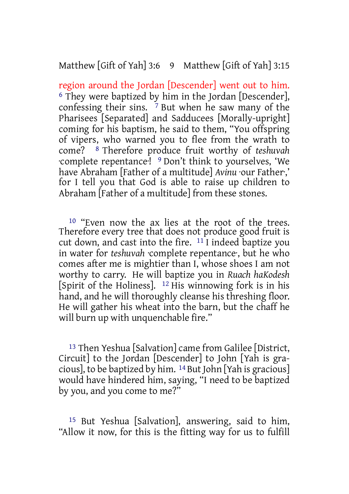#### Matthew [Gift of Yah] 3:6 9 Matthew [Gift of Yah] 3:15

region around the Jordan [Descender] went out to him. <sup>6</sup> They were baptized by him in the Jordan [Descender], confessing their sins. 7 But when he saw many of the Pharisees [Separated] and Sadducees [Morally-upright] coming for his baptism, he said to them, "You offspring of vipers, who warned you to flee from the wrath to come? 8 Therefore produce fruit worthy of *teshuvah* ·complete repentance·! 9 Don't think to yourselves, 'We have Abraham [Father of a multitude] *Avinu* ·our Father·,' for I tell you that God is able to raise up children to Abraham [Father of a multitude] from these stones.

10 "Even now the ax lies at the root of the trees. Therefore every tree that does not produce good fruit is cut down, and cast into the fire.  $11$ I indeed baptize you in water for *teshuvah* ·complete repentance·, but he who comes after me is mightier than I, whose shoes I am not worthy to carry. He will baptize you in *Ruach haKodesh* [Spirit of the Holiness]. 12 His winnowing fork is in his hand, and he will thoroughly cleanse his threshing floor. He will gather his wheat into the barn, but the chaff he will burn up with unquenchable fire."

13 Then Yeshua [Salvation] came from Galilee [District, Circuit] to the Jordan [Descender] to John [Yah is gracious], to be baptized by him.  $^{14}$  But John [Yah is gracious] would have hindered him, saying, "I need to be baptized by you, and you come to me?"

15 But Yeshua [Salvation], answering, said to him, "Allow it now, for this is the fitting way for us to fulfill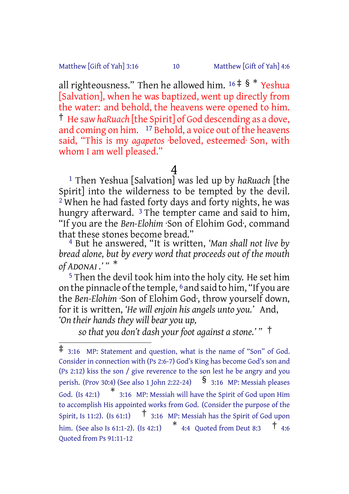Matthew [Gift of Yah] 3:16 10 Matthew [Gift of Yah] 4:6

all righteousness." Then he allowed him.  $16 \div 8$  \* Yeshua [Salvation], when he was baptized, went up directly from the water: and behold, the heavens were opened to him. † He saw *haRuach* [the Spirit] of God descending as a dove, and coming on him. <sup>17</sup> Behold, a voice out of the heavens said, "This is my *agapetos* ·beloved, esteemed· Son, with whom I am well pleased."

# $\frac{4}{1}$

1 Then Yeshua [Salvation] was led up by *haRuach* [the Spirit] into the wilderness to be tempted by the devil.  $2$  When he had fasted forty days and forty nights, he was hungry afterward. <sup>3</sup> The tempter came and said to him, "If you are the *Ben-Elohim* ·Son of Elohim God·, command that these stones become bread."

4 But he answered, "It is written, *'Man shall not live by bread alone, but by every word that proceeds out of the mouth of ADONAI .' "* \*

5 Then the devil took him into the holy city. He set him on the pinnacle ofthe temple, 6 and said to him, "If you are the *Ben-Elohim* ·Son of Elohim God·, throw yourself down, for it is written, *'He will enjoin his angels unto you.'* And, *'On their hands they will bear you up,*

*so that you don't dash your foot against a stone.' "* †

<sup>‡</sup> 3:16 MP: Statement and question, what is the name of "Son" of God. Consider in connection with (Ps 2:6-7) God's King has become God's son and (Ps 2:12) kiss the son / give reverence to the son lest he be angry and you perish. (Prov 30:4) (See also 1 John 2:22-24)  $\S$  3:16 MP: Messiah pleases God. (Is 42:1)  $*$  3:16 MP: Messiah will have the Spirit of God upon Him to accomplish His appointed works from God. (Consider the purpose of the Spirit, Is 11:2). (Is 61:1)  $\uparrow$  3:16 MP: Messiah has the Spirit of God upon him. (See also Is 61:1-2). (Is 42:1)  $*$  4:4 Quoted from Deut 8:3  $\dagger$  4:6 Quoted from Ps 91:11-12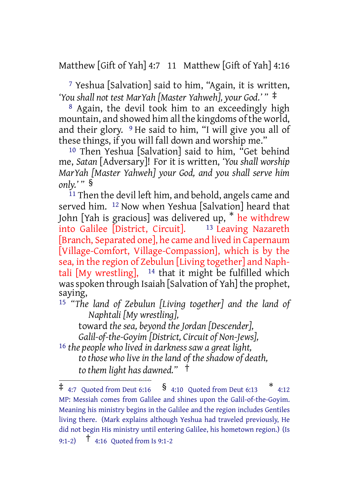Matthew [Gift of Yah] 4:7 11 Matthew [Gift of Yah] 4:16

7 Yeshua [Salvation] said to him, "Again, it is written, *'You shall not test MarYah [Master Yahweh], your God.' "* ‡

<sup>8</sup> Again, the devil took him to an exceedingly high mountain, and showed him all the kingdoms of the world, and their glory. 9 He said to him, "I will give you all of these things, if you will fall down and worship me."

10 Then Yeshua [Salvation] said to him, "Get behind me, *Satan* [Adversary]! For it is written, *'You shall worship MarYah [Master Yahweh] your God, and you shall serve him only.' "* §

11 Then the devil left him, and behold, angels came and served him. <sup>12</sup> Now when Yeshua [Salvation] heard that John [Yah is gracious] was delivered up, \* he withdrew into Galilee [District, Circuit]. 13 Leaving Nazareth [Branch, Separated one], he came and lived in Capernaum [Village-Comfort, Village-Compassion], which is by the sea, in the region of Zebulun [Living together] and Naphtali [My wrestling],  $14$  that it might be fulfilled which was spoken through Isaiah [Salvation of Yah] the prophet, saying,

15 *"The land of Zebulun [Living together] and the land of Naphtali [My wrestling],*

toward *the sea, beyond the Jordan [Descender], Galil-of-the-Goyim [District, Circuit of Non-Jews],* 16 *the people who lived in darkness saw a great light, to those who live in the land of the shadow of death,*

*to them light has dawned."* †

 $\ddagger$  4:7 Quoted from Deut 6:16  $\frac{1}{2}$  4:10 Quoted from Deut 6:13 \* 4:12 MP: Messiah comes from Galilee and shines upon the Galil-of-the-Goyim. Meaning his ministry begins in the Galilee and the region includes Gentiles living there. (Mark explains although Yeshua had traveled previously, He did not begin His ministry until entering Galilee, his hometown region.) (Is 9:1-2) † 4:16 Quoted from Is 9:1-2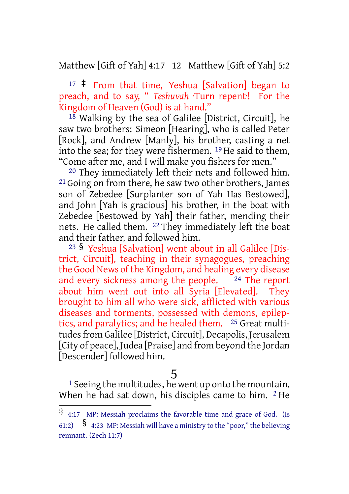Matthew [Gift of Yah] 4:17 12 Matthew [Gift of Yah] 5:2

 $17 \div$  From that time, Yeshua [Salvation] began to preach, and to say, " *Teshuvah* ·Turn repent·! For the Kingdom of Heaven (God) is at hand."

18 Walking by the sea of Galilee [District, Circuit], he saw two brothers: Simeon [Hearing], who is called Peter [Rock], and Andrew [Manly], his brother, casting a net into the sea; for they were fishermen. 19 He said to them, "Come after me, and I will make you fishers for men."

20 They immediately left their nets and followed him. <sup>21</sup> Going on from there, he saw two other brothers, James son of Zebedee [Surplanter son of Yah Has Bestowed], and John [Yah is gracious] his brother, in the boat with Zebedee [Bestowed by Yah] their father, mending their nets. He called them. 22 They immediately left the boat and their father, and followed him.

<sup>23</sup> § Yeshua [Salvation] went about in all Galilee [District, Circuit], teaching in their synagogues, preaching the Good News of the Kingdom, and healing every disease and every sickness among the people. 24 The report about him went out into all Syria [Elevated]. They brought to him all who were sick, afflicted with various diseases and torments, possessed with demons, epileptics, and paralytics; and he healed them. 25 Great multitudesfrom Galilee [District, Circuit], Decapolis, Jerusalem [City of peace], Judea [Praise] and from beyond the Jordan [Descender] followed him.

#### 5

<sup>1</sup> Seeing the multitudes, he went up onto the mountain. When he had sat down, his disciples came to him. <sup>2</sup> He

<sup>‡</sup> 4:17 MP: Messiah proclaims the favorable time and grace of God. (Is 61:2)  $\frac{1}{2}$  4:23 MP: Messiah will have a ministry to the "poor," the believing remnant. (Zech 11:7)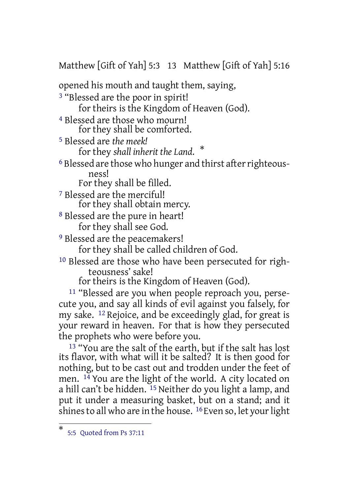Matthew [Gift of Yah] 5:3 13 Matthew [Gift of Yah] 5:16

opened his mouth and taught them, saying,

3 "Blessed are the poor in spirit! for theirs is the Kingdom of Heaven (God).

4 Blessed are those who mourn! for they shall be comforted.

5 Blessed are *the meek!*

for they *shall inherit the Land.* \*

<sup>6</sup> Blessed are those who hunger and thirst after righteousness! For they shall be filled.

7 Blessed are the merciful! for they shall obtain mercy.

8 Blessed are the pure in heart! for they shall see God.

9 Blessed are the peacemakers!

for they shall be called children of God.

10 Blessed are those who have been persecuted for righteousness' sake!

for theirs is the Kingdom of Heaven (God).

11 "Blessed are you when people reproach you, persecute you, and say all kinds of evil against you falsely, for my sake. 12 Rejoice, and be exceedingly glad, for great is your reward in heaven. For that is how they persecuted the prophets who were before you.

 $^{13}$  "You are the salt of the earth, but if the salt has lost its flavor, with what will it be salted? It is then good for nothing, but to be cast out and trodden under the feet of men. 14 You are the light of the world. A city located on a hill can't be hidden. <sup>15</sup> Neither do you light a lamp, and put it under a measuring basket, but on a stand; and it shines to all who are in the house. <sup>16</sup> Even so, let your light

<sup>\*</sup> 5:5 Quoted from Ps 37:11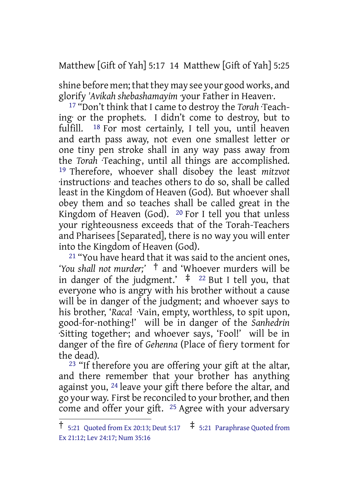Matthew [Gift of Yah] 5:17 14 Matthew [Gift of Yah] 5:25

shine before men; that they may see your good works, and glorify *'Avikah shebashamayim* ·your Father in Heaven·.

17 "Don't think that I came to destroy the *Torah* ·Teaching· or the prophets. I didn't come to destroy, but to fulfill. 18 For most certainly, I tell you, until heaven and earth pass away, not even one smallest letter or one tiny pen stroke shall in any way pass away from the *Torah* ·Teaching·, until all things are accomplished. 19 Therefore, whoever shall disobey the least *mitzvot* ·instructions· and teaches others to do so, shall be called least in the Kingdom of Heaven (God). But whoever shall obey them and so teaches shall be called great in the Kingdom of Heaven (God).  $20$  For I tell you that unless your righteousness exceeds that of the Torah-Teachers and Pharisees [Separated], there is no way you will enter into the Kingdom of Heaven (God).

<sup>21</sup> "You have heard that it was said to the ancient ones, *'You shall not murder;'* † and 'Whoever murders will be in danger of the judgment.'  $\pm$  <sup>22</sup> But I tell you, that everyone who is angry with his brother without a cause will be in danger of the judgment; and whoever says to his brother, '*Raca*! ·Vain, empty, worthless, to spit upon, good-for-nothing·!' will be in danger of the *Sanhedrin* ·Sitting together·; and whoever says, 'Fool!' will be in danger of the fire of *Gehenna* (Place of fiery torment for the dead).

<sup>23</sup> "If therefore you are offering your gift at the altar, and there remember that your brother has anything against you, 24 leave your gift there before the altar, and go your way. First be reconciled to your brother, and then come and offer your gift. 25 Agree with your adversary

 $\dagger$  5:21 Quoted from Ex 20:13; Deut 5:17  $\ddagger$  5:21 Paraphrase Quoted from Ex 21:12; Lev 24:17; Num 35:16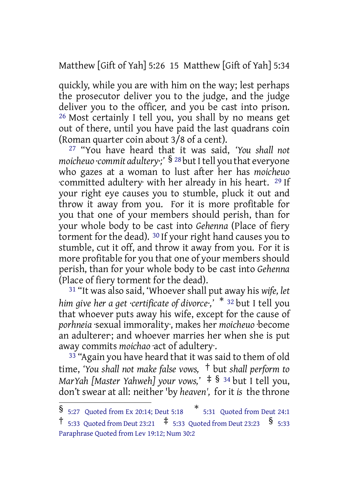Matthew [Gift of Yah] 5:26 15 Matthew [Gift of Yah] 5:34

quickly, while you are with him on the way; lest perhaps the prosecutor deliver you to the judge, and the judge deliver you to the officer, and you be cast into prison. 26 Most certainly I tell you, you shall by no means get out of there, until you have paid the last quadrans coin (Roman quarter coin about 3/8 of a cent).

27 "You have heard that it was said, *'You shall not moicheuo ·commit adultery*;<sup>'</sup> § <sup>28</sup> but I tell you that everyone who gazes at a woman to lust after her has *moicheuo* ·committed adultery· with her already in his heart. 29 If your right eye causes you to stumble, pluck it out and throw it away from you. For it is more profitable for you that one of your members should perish, than for your whole body to be cast into *Gehenna* (Place of fiery torment for the dead). 30 If your right hand causes you to stumble, cut it off, and throw it away from you. For it is more profitable for you that one of your members should perish, than for your whole body to be cast into *Gehenna* (Place of fiery torment for the dead).

31 "It was also said, 'Whoevershall put away his *wife, let him give her a get ·certificate of divorce·,'* \* <sup>32</sup> but I tell you that whoever puts away his wife, except for the cause of *porhneia* ·sexual immorality·, makes her *moicheuo* ·become an adulterer·; and whoever marries her when she is put away commits *moichao* ·act of adultery·.

<sup>33</sup> "Again you have heard that it was said to them of old time, *'You shall not make false vows,* † but *shall perform to MarYah [Master Yahweh] your vows,'* ‡ § <sup>34</sup> but I tell you, don't swear at all: neither 'by *heaven',* for it *is* the throne

<sup>§</sup> 5:27 Quoted from Ex 20:14; Deut 5:18 \* 5:31 Quoted from Deut 24:1

<sup>†</sup> 5:33 Quoted from Deut 23:21 ‡ 5:33 Quoted from Deut 23:23 § 5:33 Paraphrase Quoted from Lev 19:12; Num 30:2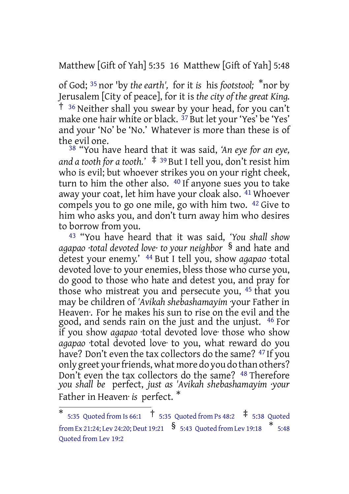Matthew [Gift of Yah] 5:35 16 Matthew [Gift of Yah] 5:48

of God; <sup>35</sup> nor 'by *the earth',* for it *is* his *footstool;* \* nor by Jerusalem [City of peace], for it is *the city of the great King.* † <sup>36</sup> Neither shall you swear by your head, for you can't make one hair white or black. 37 But let your 'Yes' be 'Yes' and your 'No' be 'No.' Whatever is more than these is of the evil one.

38 "You have heard that it was said, *'An eye for an eye, and a tooth for a tooth.'* ‡ <sup>39</sup> But I tell you, don't resist him who is evil; but whoever strikes you on your right cheek, turn to him the other also. 40 If anyone sues you to take away your coat, let him have your cloak also. <sup>41</sup> Whoever compels you to go one mile, go with him two. 42 Give to him who asks you, and don't turn away him who desires to borrow from you.

43 "You have heard that it was said, *'You shall show agapao ·total devoted love· to your neighbor* § and hate and detest your enemy.' 44 But I tell you, show *agapao* ·total devoted love· to your enemies, bless those who curse you, do good to those who hate and detest you, and pray for those who mistreat you and persecute you, 45 that you may be children of *'Avikah shebashamayim* ·your Father in Heaven·. For he makes his sun to rise on the evil and the good, and sends rain on the just and the unjust. 46 For if you show *agapao* ·total devoted love· those who show *agapao* ·total devoted love· to you, what reward do you have? Don't even the tax collectors do the same? 47 If you only greet your friends, what more do you do than others? Don't even the tax collectors do the same? 48 Therefore *you shall be* perfect, *just as 'Avikah shebashamayim ·your* Father in Heaven· *is* perfect. \*

<sup>\*</sup> 5:35 Quoted from Is 66:1 † 5:35 Quoted from Ps 48:2 ‡ 5:38 Quoted from Ex 21:24; Lev 24:20; Deut 19:21  $\,$   $\,$   $\,$   $\,$  5:43  $\,$  Quoted from Lev 19:18  $\,$   $\,$   $\,$   $\,$   $\,$  5:48 Quoted from Lev 19:2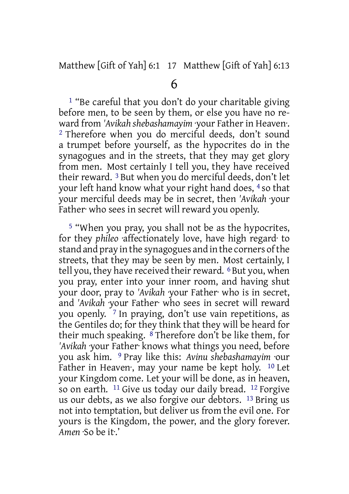<sup>1</sup> "Be careful that you don't do your charitable giving before men, to be seen by them, or else you have no reward from *'Avikah shebashamayim* ·your Father in Heaven·. 2 Therefore when you do merciful deeds, don't sound a trumpet before yourself, as the hypocrites do in the synagogues and in the streets, that they may get glory from men. Most certainly I tell you, they have received their reward. 3 But when you do merciful deeds, don't let your left hand know what your right hand does, 4 so that your merciful deeds may be in secret, then *'Avikah* ·your Father who sees in secret will reward you openly.

5 "When you pray, you shall not be as the hypocrites, for they *phileo* ·affectionately love, have high regard· to stand and pray in the synagogues and in the corners of the streets, that they may be seen by men. Most certainly, I tell you, they have received their reward. <sup>6</sup> But you, when you pray, enter into your inner room, and having shut your door, pray to *'Avikah* ·your Father· who is in secret, and *'Avikah* ·your Father· who sees in secret will reward you openly. 7 In praying, don't use vain repetitions, as the Gentiles do; for they think that they will be heard for their much speaking. 8 Therefore don't be like them, for *'Avikah* ·your Father· knows what things you need, before you ask him. 9 Pray like this: *Avinu shebashamayim* ·our Father in Heaven, may your name be kept holy. <sup>10</sup> Let your Kingdom come. Let your will be done, as in heaven, so on earth. <sup>11</sup> Give us today our daily bread. <sup>12</sup> Forgive us our debts, as we also forgive our debtors. 13 Bring us not into temptation, but deliver us from the evil one. For yours is the Kingdom, the power, and the glory forever. *Amen* ·So be it·.'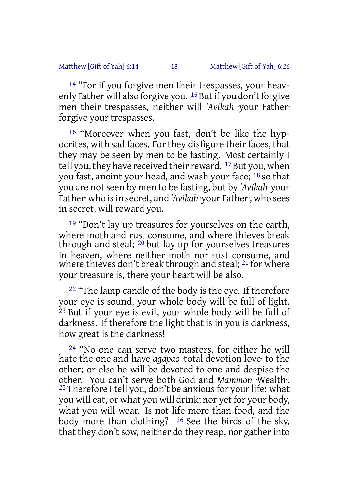14 "For if you forgive men their trespasses, your heavenly Father will also forgive you.  $15$  But if you don't forgive men their trespasses, neither will *'Avikah* ·your Father· forgive your trespasses.

16 "Moreover when you fast, don't be like the hypocrites, with sad faces. For they disfigure their faces, that they may be seen by men to be fasting. Most certainly I tell you, they have received their reward. <sup>17</sup> But you, when you fast, anoint your head, and wash your face; 18 so that you are notseen by men to be fasting, but by *'Avikah* ·your Father· who isin secret, and *'Avikah* ·your Father·, who sees in secret, will reward you.

<sup>19</sup> "Don't lay up treasures for yourselves on the earth, where moth and rust consume, and where thieves break through and steal; 20 but lay up for yourselves treasures in heaven, where neither moth nor rust consume, and where thieves don't break through and steal; <sup>21</sup> for where your treasure is, there your heart will be also.

<sup>22</sup> "The lamp candle of the body is the eye. If therefore your eye is sound, your whole body will be full of light. 23 But if your eye is evil, your whole body will be full of darkness. If therefore the light that is in you is darkness, how great is the darkness!

24 "No one can serve two masters, for either he will hate the one and have *agapao* ·total devotion love· to the other; or else he will be devoted to one and despise the other. You can't serve both God and *Mammon* ·Wealth·. <sup>25</sup> Therefore I tell you, don't be anxious for your life: what you will eat, or what you will drink; nor yet for your body, what you will wear. Is not life more than food, and the body more than clothing? 26 See the birds of the sky, that they don't sow, neither do they reap, nor gather into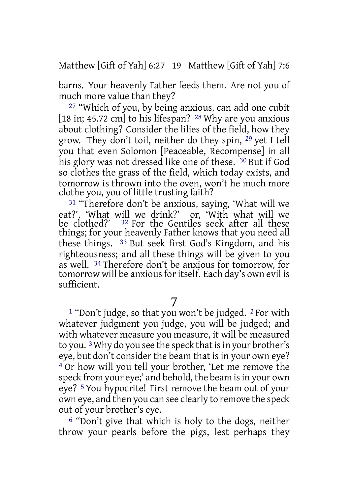Matthew [Gift of Yah] 6:27 19 Matthew [Gift of Yah] 7:6

barns. Your heavenly Father feeds them. Are not you of much more value than they?

27 "Which of you, by being anxious, can add one cubit [18 in: 45.72 cm] to his lifespan? <sup>28</sup> Why are you anxious about clothing? Consider the lilies of the field, how they grow. They don't toil, neither do they spin, 29 yet I tell you that even Solomon [Peaceable, Recompense] in all his glory was not dressed like one of these. <sup>30</sup> But if God so clothes the grass of the field, which today exists, and tomorrow is thrown into the oven, won't he much more clothe you, you of little trusting faith?

31 "Therefore don't be anxious, saying, 'What will we eat?', 'What will we drink?' or, 'With what will we be clothed?' <sup>32</sup> For the Gentiles seek after all these things; for your heavenly Father knows that you need all these things. 33 But seek first God's Kingdom, and his righteousness; and all these things will be given to you as well. 34 Therefore don't be anxious for tomorrow, for tomorrow will be anxiousforitself. Each day's own evil is sufficient.

7

<sup>1</sup> "Don't judge, so that you won't be judged. <sup>2</sup> For with whatever judgment you judge, you will be judged; and with whatever measure you measure, it will be measured to you.<sup>3</sup> Why do you see the speck that is in your brother's eye, but don't consider the beam that is in your own eye? 4 Or how will you tell your brother, 'Let me remove the speck from your eye;' and behold, the beam is in your own eye? 5 You hypocrite! First remove the beam out of your own eye, and then you can see clearly to remove the speck out of your brother's eye.

6 "Don't give that which is holy to the dogs, neither throw your pearls before the pigs, lest perhaps they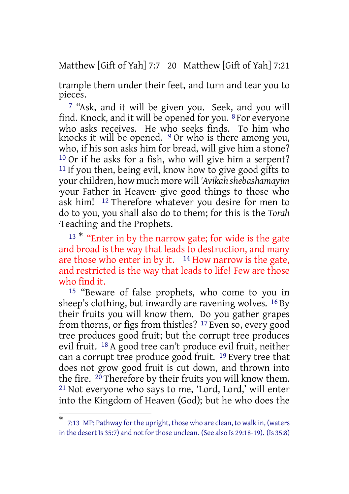Matthew [Gift of Yah] 7:7 20 Matthew [Gift of Yah] 7:21

trample them under their feet, and turn and tear you to pieces.

7 "Ask, and it will be given you. Seek, and you will find. Knock, and it will be opened for you. 8 For everyone who asks receives. He who seeks finds. To him who knocks it will be opened. <sup>9</sup> Or who is there among you, who, if his son asks him for bread, will give him a stone? 10 Or if he asks for a fish, who will give him a serpent? <sup>11</sup> If you then, being evil, know how to give good gifts to your children, how much more will *'Avikah shebashamayim* ·your Father in Heaven· give good things to those who ask him! 12 Therefore whatever you desire for men to do to you, you shall also do to them; for this is the *Torah* ·Teaching· and the Prophets.

<sup>13 \*</sup> "Enter in by the narrow gate; for wide is the gate and broad is the way that leads to destruction, and many are those who enter in by it.  $14$  How narrow is the gate, and restricted is the way that leads to life! Few are those who find it.

15 "Beware of false prophets, who come to you in sheep's clothing, but inwardly are ravening wolves. 16 By their fruits you will know them. Do you gather grapes from thorns, or figs from thistles? 17 Even so, every good tree produces good fruit; but the corrupt tree produces evil fruit. 18 A good tree can't produce evil fruit, neither can a corrupt tree produce good fruit. 19 Every tree that does not grow good fruit is cut down, and thrown into the fire. 20 Therefore by their fruits you will know them. 21 Not everyone who says to me, 'Lord, Lord,' will enter into the Kingdom of Heaven (God); but he who does the

<sup>\*</sup> 7:13 MP: Pathway for the upright, those who are clean, to walk in, (waters in the desert Is 35:7) and not forthose unclean. (See also Is 29:18-19). (Is 35:8)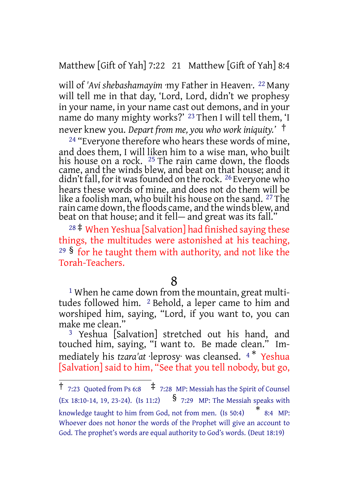Matthew [Gift of Yah] 7:22 21 Matthew [Gift of Yah] 8:4

will of *'Avi shebashamayim* ·my Father in Heaven·. 22 Many will tell me in that day, 'Lord, Lord, didn't we prophesy in your name, in your name cast out demons, and in your name do many mighty works?' 23 Then I will tell them, 'I never knew you. *Depart from me, you who work iniquity.'* †

<sup>24</sup> "Everyone therefore who hears these words of mine, and does them, I will liken him to a wise man, who built his house on a rock. 25 The rain came down, the floods came, and the winds blew, and beat on that house; and it didn't fall, for it was founded on the rock. <sup>26</sup> Everyone who hears these words of mine, and does not do them will be like a foolish man, who built his house on the sand. 27 The rain came down, the floods came, and the winds blew, and beat on that house; and it fell— and great was its fall."

<sup>28</sup> ‡ When Yeshua [Salvation] had finished saying these things, the multitudes were astonished at his teaching, <sup>29</sup> § for he taught them with authority, and not like the Torah-Teachers.

#### 8

<sup>1</sup> When he came down from the mountain, great multitudes followed him. 2 Behold, a leper came to him and worshiped him, saying, "Lord, if you want to, you can make me clean."

3 Yeshua [Salvation] stretched out his hand, and touched him, saying, "I want to. Be made clean." Immediately his *tzara'at* ·leprosy· was cleansed. <sup>4</sup> \* Yeshua [Salvation] said to him, "See that you tell nobody, but go,

<sup>&</sup>lt;sup>†</sup> 7:23 Quoted from Ps 6:8  $\pm$  7:28 MP: Messiah has the Spirit of Counsel (Ex 18:10-14, 19, 23-24). (Is 11:2)  $\frac{8}{7:29}$  MP: The Messiah speaks with knowledge taught to him from God, not from men. (Is 50:4) \*  $*$  8:4 MP: Whoever does not honor the words of the Prophet will give an account to God. The prophet's words are equal authority to God's words. (Deut 18:19)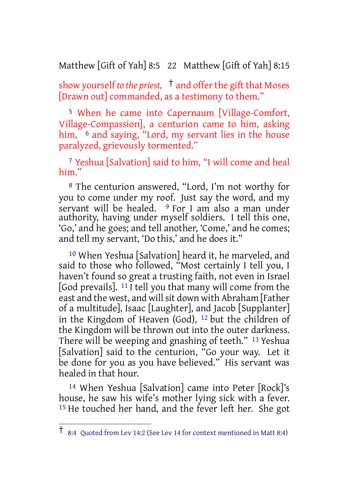Matthew [Gift of Yah] 8:5 22 Matthew [Gift of Yah] 8:15

show yourself *to the priest,* † and offerthe gift that Moses [Drawn out] commanded, as a testimony to them."

5 When he came into Capernaum [Village-Comfort, Village-Compassion], a centurion came to him, asking him, <sup>6</sup> and saying, "Lord, my servant lies in the house paralyzed, grievously tormented."

7 Yeshua [Salvation] said to him, "I will come and heal him."

8 The centurion answered, "Lord, I'm not worthy for you to come under my roof. Just say the word, and my servant will be healed. <sup>9</sup> For I am also a man under authority, having under myself soldiers. I tell this one, 'Go,' and he goes; and tell another, 'Come,' and he comes; and tell my servant, 'Do this,' and he does it."

10 When Yeshua [Salvation] heard it, he marveled, and said to those who followed, "Most certainly I tell you, I haven't found so great a trusting faith, not even in Israel [God prevails]. 11 I tell you that many will come from the east and the west, and will sit down with Abraham [Father of a multitude], Isaac [Laughter], and Jacob [Supplanter] in the Kingdom of Heaven (God), 12 but the children of the Kingdom will be thrown out into the outer darkness. There will be weeping and gnashing of teeth." 13 Yeshua [Salvation] said to the centurion, "Go your way. Let it be done for you as you have believed." His servant was healed in that hour.

14 When Yeshua [Salvation] came into Peter [Rock]'s house, he saw his wife's mother lying sick with a fever. 15 He touched her hand, and the fever left her. She got

<sup>†</sup> 8:4 Quoted from Lev 14:2 (See Lev <sup>14</sup> for context mentioned in Matt 8:4)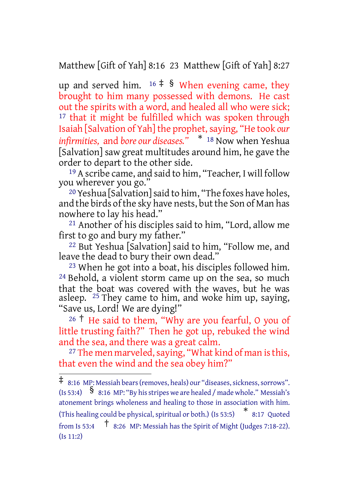Matthew [Gift of Yah] 8:16 23 Matthew [Gift of Yah] 8:27

up and served him.  $16 \div 8$  When evening came, they brought to him many possessed with demons. He cast out the spirits with a word, and healed all who were sick; <sup>17</sup> that it might be fulfilled which was spoken through Isaiah [Salvation of Yah] the prophet,saying, "He took *our infirmities,* and *bore our diseases."* \* <sup>18</sup> Now when Yeshua [Salvation] saw great multitudes around him, he gave the order to depart to the other side.

19 A scribe came, and said to him, "Teacher, I will follow you wherever you go."

20 Yeshua [Salvation]said to him, "The foxes have holes, and the birds of the sky have nests, but the Son of Man has nowhere to lay his head."

21 Another of his disciples said to him, "Lord, allow me first to go and bury my father."

22 But Yeshua [Salvation] said to him, "Follow me, and leave the dead to bury their own dead."

23 When he got into a boat, his disciples followed him. 24 Behold, a violent storm came up on the sea, so much that the boat was covered with the waves, but he was asleep. 25 They came to him, and woke him up, saying, "Save us, Lord! We are dying!"

<sup>26</sup> † He said to them, "Why are you fearful, O you of little trusting faith?" Then he got up, rebuked the wind and the sea, and there was a great calm.

<sup>27</sup> The men marveled, saying, "What kind of man is this, that even the wind and the sea obey him?"

 $\ddagger$  8:16 MP: Messiah bears (removes, heals) our "diseases, sickness, sorrows". (Is 53:4)  $\int$  8:16 MP: "By his stripes we are healed / made whole." Messiah's atonement brings wholeness and healing to those in association with him. (This healing could be physical, spiritual or both.) (Is 53:5) \* 8:17 Quoted from Is 53:4  $\uparrow$  8:26 MP: Messiah has the Spirit of Might (Judges 7:18-22). (Is 11:2)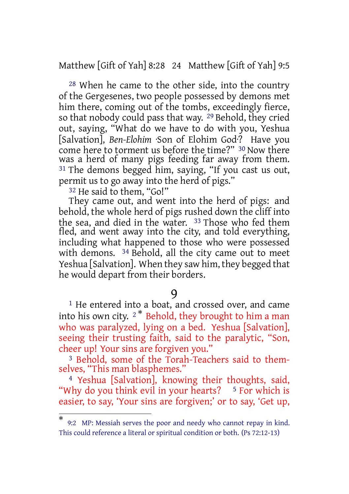Matthew [Gift of Yah] 8:28 24 Matthew [Gift of Yah] 9:5

28 When he came to the other side, into the country of the Gergesenes, two people possessed by demons met him there, coming out of the tombs, exceedingly fierce, so that nobody could pass that way. 29 Behold, they cried out, saying, "What do we have to do with you, Yeshua [Salvation], *Ben-Elohim* ·Son of Elohim God·? Have you come here to torment us before the time?" 30 Now there was a herd of many pigs feeding far away from them. 31 The demons begged him, saying, "If you cast us out, permit us to go away into the herd of pigs."

<sup>32</sup> He said to them, "Go!"

They came out, and went into the herd of pigs: and behold, the whole herd of pigs rushed down the cliff into the sea, and died in the water. <sup>33</sup> Those who fed them fled, and went away into the city, and told everything, including what happened to those who were possessed with demons. 34 Behold, all the city came out to meet Yeshua [Salvation]. When they saw him, they begged that he would depart from their borders.

#### 9

<sup>1</sup> He entered into a boat, and crossed over, and came into his own city.  $2^*$  Behold, they brought to him a man who was paralyzed, lying on a bed. Yeshua [Salvation], seeing their trusting faith, said to the paralytic, "Son, cheer up! Your sins are forgiven you."

3 Behold, some of the Torah-Teachers said to themselves, "This man blasphemes."

4 Yeshua [Salvation], knowing their thoughts, said, "Why do you think evil in your hearts?  $5$  For which is easier, to say, 'Your sins are forgiven;' or to say, 'Get up,

<sup>\*</sup> 9:2 MP: Messiah serves the poor and needy who cannot repay in kind. This could reference a literal or spiritual condition or both. (Ps 72:12-13)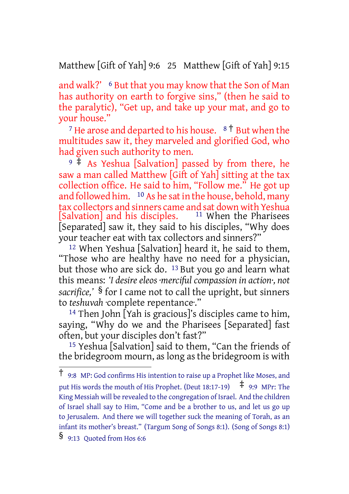Matthew [Gift of Yah] 9:6 25 Matthew [Gift of Yah] 9:15

and walk?' 6 But that you may know that the Son of Man has authority on earth to forgive sins," (then he said to the paralytic), "Get up, and take up your mat, and go to your house."

<sup>7</sup> He arose and departed to his house.  $8<sup>†</sup>$  But when the multitudes saw it, they marveled and glorified God, who had given such authority to men.

 $9 +$ As Yeshua [Salvation] passed by from there, he saw a man called Matthew [Gift of Yah] sitting at the tax collection office. He said to him, "Follow me." He got up and followed him. <sup>10</sup> As he sat in the house, behold, many tax collectors and sinners came and sat down with Yeshua [Salvation] and his disciples. [Separated] saw it, they said to his disciples, "Why does your teacher eat with tax collectors and sinners?"

12 When Yeshua [Salvation] heard it, he said to them, "Those who are healthy have no need for a physician, but those who are sick do. 13 But you go and learn what this means: *'I desire eleos ·merciful compassion in action·, not sacrifice,'* § for I came not to call the upright, but sinners to *teshuvah* ·complete repentance·."

<sup>14</sup> Then John  $\lceil \text{Yah} \rceil$  is gracious]'s disciples came to him, saying, "Why do we and the Pharisees [Separated] fast often, but your disciples don't fast?"

15 Yeshua [Salvation] said to them, "Can the friends of the bridegroom mourn, as long as the bridegroom is with

<sup>†</sup> 9:8 MP: God confirms His intention to raise up <sup>a</sup> Prophet like Moses, and put His words the mouth of His Prophet. (Deut 18:17-19)  $\pm$  9:9 MPr: The King Messiah will be revealed to the congregation of Israel. And the children of Israel shall say to Him, "Come and be a brother to us, and let us go up to Jerusalem. And there we will together suck the meaning of Torah, as an infant its mother's breast." (Targum Song of Songs 8:1). (Song of Songs 8:1)

<sup>§</sup> 9:13 Quoted from Hos 6:6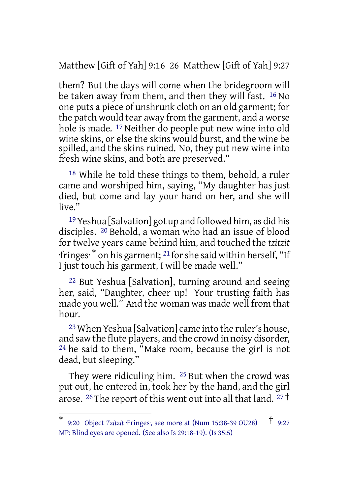Matthew [Gift of Yah] 9:16 26 Matthew [Gift of Yah] 9:27

them? But the days will come when the bridegroom will be taken away from them, and then they will fast. 16 No one puts a piece of unshrunk cloth on an old garment; for the patch would tear away from the garment, and a worse hole is made. 17 Neither do people put new wine into old wine skins, or else the skins would burst, and the wine be spilled, and the skins ruined. No, they put new wine into fresh wine skins, and both are preserved."

18 While he told these things to them, behold, a ruler came and worshiped him, saying, "My daughter has just died, but come and lay your hand on her, and she will live."

19 Yeshua [Salvation] got up and followed him, as did his disciples. 20 Behold, a woman who had an issue of blood for twelve years came behind him, and touched the *tzitzit* ·fringes· \* on his garment; 21 forshe said within herself, "If I just touch his garment, I will be made well."

22 But Yeshua [Salvation], turning around and seeing her, said, "Daughter, cheer up! Your trusting faith has made you well." And the woman was made well from that hour.

23 When Yeshua [Salvation] came into the ruler's house, and saw the flute players, and the crowd in noisy disorder, 24 he said to them, "Make room, because the girl is not dead, but sleeping."

They were ridiculing him. 25 But when the crowd was put out, he entered in, took her by the hand, and the girl arose. <sup>26</sup> The report of this went out into all that land. <sup>27</sup> †

<sup>\*</sup> 9:20 Object *Tzitzit* · Fringes ·, see more at (Num 15:38-39 OU28) <sup>†</sup> 9:27 MP: Blind eyes are opened. (See also Is 29:18-19). (Is 35:5)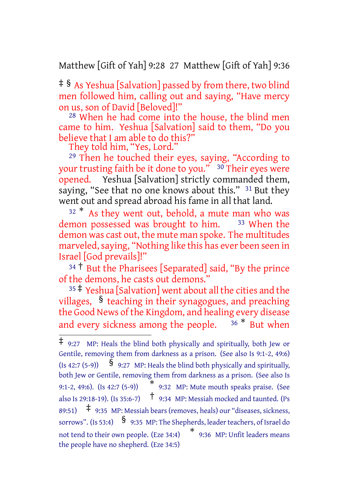Matthew [Gift of Yah] 9:28 27 Matthew [Gift of Yah] 9:36

‡ § As Yeshua [Salvation] passed by from there, two blind men followed him, calling out and saying, "Have mercy on us, son of David [Beloved]!"

28 When he had come into the house, the blind men came to him. Yeshua [Salvation] said to them, "Do you believe that I am able to do this?"

They told him, "Yes, Lord."

29 Then he touched their eyes, saying, "According to your trusting faith be it done to you." 30 Their eyes were opened. Yeshua [Salvation] strictly commanded them, saying, "See that no one knows about this." <sup>31</sup> But they went out and spread abroad his fame in all that land.

 $32$ <sup>\*</sup> As they went out, behold, a mute man who was demon possessed was brought to him. <sup>33</sup> When the demon was cast out, the mute man spoke. The multitudes marveled, saying, "Nothing like this has ever been seen in Israel [God prevails]!"

<sup>34</sup> † But the Pharisees [Separated] said, "By the prince of the demons, he casts out demons."

<sup>35</sup> ‡ Yeshua [Salvation] went about all the cities and the villages, § teaching in their synagogues, and preaching the Good News of the Kingdom, and healing every disease and every sickness among the people.  $36 * B$ ut when

<sup>‡</sup> 9:27 MP: Heals the blind both physically and spiritually, both Jew or Gentile, removing them from darkness as a prison. (See also Is 9:1-2, 49:6) (Is 42:7 (5-9))  $\frac{1}{9}$  9:27 MP: Heals the blind both physically and spiritually, both Jew or Gentile, removing them from darkness as a prison. (See also Is 9:1-2, 49:6). (Is 42:7 (5-9)) \* 9:32 MP: Mute mouth speaks praise. (See also Is 29:18-19). (Is 35:6-7) † 9:34 MP: Messiah mocked and taunted. (Ps 89:51)  $\uparrow$  9:35 MP: Messiah bears (removes, heals) our "diseases, sickness, sorrows". (Is 53:4)  $\S$  9:35 MP: The Shepherds, leader teachers, of Israel do not tend to their own people. (Eze 34:4) \* 9:36 MP: Unfit leaders means the people have no shepherd. (Eze 34:5)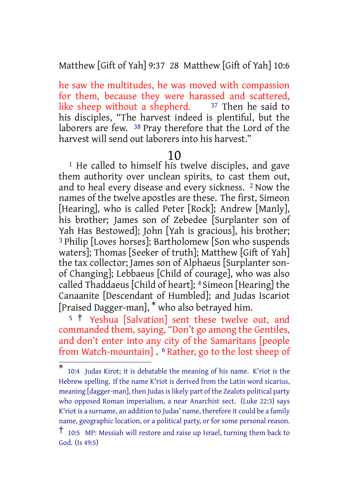Matthew [Gift of Yah] 9:37 28 Matthew [Gift of Yah] 10:6

he saw the multitudes, he was moved with compassion for them, because they were harassed and scattered, like sheep without a shepherd.  $37$  Then he said to his disciples, "The harvest indeed is plentiful, but the laborers are few. 38 Pray therefore that the Lord of the harvest will send out laborers into his harvest."

#### 10

<sup>1</sup> He called to himself his twelve disciples, and gave them authority over unclean spirits, to cast them out, and to heal every disease and every sickness. 2 Now the names of the twelve apostles are these. The first, Simeon [Hearing], who is called Peter [Rock]; Andrew [Manly], his brother; James son of Zebedee [Surplanter son of Yah Has Bestowed]; John [Yah is gracious], his brother; 3 Philip [Loves horses]; Bartholomew [Son who suspends waters]; Thomas [Seeker of truth]; Matthew [Gift of Yah] the tax collector; James son of Alphaeus [Surplanter sonof Changing]; Lebbaeus [Child of courage], who was also called Thaddaeus [Child of heart]; 4 Simeon [Hearing] the Canaanite [Descendant of Humbled]; and Judas Iscariot [Praised Dagger-man], \* who also betrayed him.

<sup>5</sup> † Yeshua [Salvation] sent these twelve out, and commanded them, saying, "Don't go among the Gentiles, and don't enter into any city of the Samaritans [people from Watch-mountain] . 6 Rather, go to the lost sheep of

<sup>\*</sup> 10:4 Judas Kirot; it is debatable the meaning of his name. K'riot is the Hebrew spelling. If the name K'riot is derived from the Latin word sicarius, meaning [dagger-man], then Judas is likely part of the Zealots political party who opposed Roman imperialism, a near Anarchist sect. (Luke 22:3) says K'riot is a surname, an addition to Judas' name, therefore it could be a family name, geographic location, or a political party, or for some personal reason.

<sup>†</sup> 10:5 MP: Messiah will restore and raise up Israel, turning them back to God. (Is 49:5)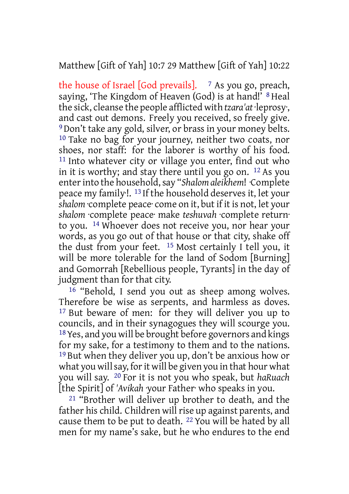### Matthew [Gift of Yah] 10:7 29 Matthew [Gift of Yah] 10:22

the house of Israel [God prevails].  $\frac{7}{5}$  As you go, preach, saying, 'The Kingdom of Heaven (God) is at hand!' <sup>8</sup> Heal the sick, cleanse the people afflicted with *tzara'at* ·leprosy·, and cast out demons. Freely you received, so freely give. 9 Don't take any gold, silver, or brass in your money belts. 10 Take no bag for your journey, neither two coats, nor shoes, nor staff: for the laborer is worthy of his food. 11 Into whatever city or village you enter, find out who in it is worthy; and stay there until you go on. 12 As you enterinto the household,say "*Shalom aleikhem*! ·Complete peace my family·!. 13 If the household deserves it, let your *shalom* ·complete peace· come on it, but if it is not, let your *shalom* ·complete peace· make *teshuvah* ·complete return· to you. 14 Whoever does not receive you, nor hear your words, as you go out of that house or that city, shake off the dust from your feet. 15 Most certainly I tell you, it will be more tolerable for the land of Sodom [Burning] and Gomorrah [Rebellious people, Tyrants] in the day of judgment than for that city.

16 "Behold, I send you out as sheep among wolves. Therefore be wise as serpents, and harmless as doves. 17 But beware of men: for they will deliver you up to councils, and in their synagogues they will scourge you. 18Yes, and you will be brought before governors and kings for my sake, for a testimony to them and to the nations. 19 But when they deliver you up, don't be anxious how or what you will say, for it will be given you in that hour what you will say. 20 For it is not you who speak, but *haRuach* [the Spirit] of *'Avikah* ·your Father· who speaks in you.

21 "Brother will deliver up brother to death, and the father his child. Children will rise up against parents, and cause them to be put to death. 22 You will be hated by all men for my name's sake, but he who endures to the end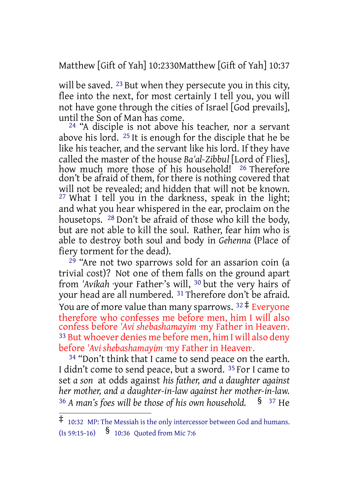Matthew [Gift of Yah] 10:2330Matthew [Gift of Yah] 10:37

will be saved. <sup>23</sup> But when they persecute you in this city, flee into the next, for most certainly I tell you, you will not have gone through the cities of Israel [God prevails], until the Son of Man has come.

<sup>24</sup> "A disciple is not above his teacher, nor a servant above his lord. 25 It is enough for the disciple that he be like his teacher, and the servant like his lord. If they have called the master of the house *Ba'al-Zibbul* [Lord of Flies], how much more those of his household! <sup>26</sup> Therefore don't be afraid of them, for there is nothing covered that will not be revealed; and hidden that will not be known. 27 What I tell you in the darkness, speak in the light; and what you hear whispered in the ear, proclaim on the housetops. 28 Don't be afraid of those who kill the body, but are not able to kill the soul. Rather, fear him who is able to destroy both soul and body in *Gehenna* (Place of fiery torment for the dead).

29 "Are not two sparrows sold for an assarion coin (a trivial cost)? Not one of them falls on the ground apart from *'Avikah* ·your Father·'s will, 30 but the very hairs of your head are all numbered. 31 Therefore don't be afraid. You are of more value than many sparrows.  $32 \pm$  Everyone therefore who confesses me before men, him I will also confess before *'Avi shebashamayim* ·my Father in Heaven·. 33 But whoever denies me before men, him I will also deny before *'Avi shebashamayim* ·my Father in Heaven·.

<sup>34</sup> "Don't think that I came to send peace on the earth. I didn't come to send peace, but a sword. <sup>35</sup> For I came to set *a son* at odds against *his father, and a daughter against her mother, and a daughter-in-law against her mother-in-law.* <sup>36</sup> *A man's foes will be those of his own household.* § <sup>37</sup> He

<sup>‡</sup> 10:32 MP: The Messiah is the only intercessor between God and humans. (Is 59:15-16) § 10:36 Quoted from Mic 7:6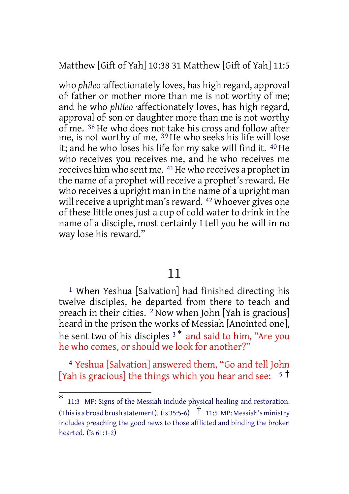Matthew [Gift of Yah] 10:38 31 Matthew [Gift of Yah] 11:5

who *phileo* ·affectionately loves, has high regard, approval of· father or mother more than me is not worthy of me; and he who *phileo* ·affectionately loves, has high regard, approval of· son or daughter more than me is not worthy of me. 38 He who does not take his cross and follow after me, is not worthy of me. 39 He who seeks his life will lose it; and he who loses his life for my sake will find it. 40 He who receives you receives me, and he who receives me receives him who sent me. <sup>41</sup>He who receives a prophet in the name of a prophet will receive a prophet's reward. He who receives a upright man in the name of a upright man will receive a upright man's reward. <sup>42</sup> Whoever gives one of these little ones just a cup of cold water to drink in the name of a disciple, most certainly I tell you he will in no way lose his reward."

11

1 When Yeshua [Salvation] had finished directing his twelve disciples, he departed from there to teach and preach in their cities. 2 Now when John [Yah is gracious] heard in the prison the works of Messiah [Anointed one], he sent two of his disciples <sup>3</sup> \* and said to him, "Are you he who comes, or should we look for another?"

4 Yeshua [Salvation] answered them, "Go and tell John [Yah is gracious] the things which you hear and see:  $5\text{ }^{\circ}$ 

<sup>\*</sup> 11:3 MP: Signs of the Messiah include physical healing and restoration. (This is a broad brush statement). (Is 35:5-6)  $\uparrow$  11:5 MP: Messiah's ministry includes preaching the good news to those afflicted and binding the broken hearted. (Is 61:1-2)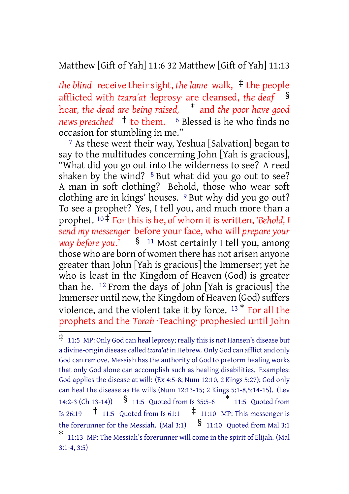### Matthew [Gift of Yah] 11:6 32 Matthew [Gift of Yah] 11:13

*the blind* receive their sight, *the lame* walk, ‡ the people afflicted with *tzara'at* ·leprosy· are cleansed, *the deaf* § hear, *the dead are being raised,* \* and *the poor have good news preached* † to them. <sup>6</sup> Blessed is he who finds no occasion for stumbling in me."

7 As these went their way, Yeshua [Salvation] began to say to the multitudes concerning John [Yah is gracious], "What did you go out into the wilderness to see? A reed shaken by the wind? 8 But what did you go out to see? A man in soft clothing? Behold, those who wear soft clothing are in kings' houses. 9 But why did you go out? To see a prophet? Yes, I tell you, and much more than a prophet. <sup>10‡</sup> For this is he, of whom it is written, 'Behold, *I send my messenger* before your face, who will *prepare your way before you.'* § <sup>11</sup> Most certainly I tell you, among those who are born of women there has not arisen anyone greater than John [Yah is gracious] the Immerser; yet he who is least in the Kingdom of Heaven (God) is greater than he. 12 From the days of John [Yah is gracious] the Immerser until now, the Kingdom of Heaven (God) suffers violence, and the violent take it by force. <sup>13</sup> \* For all the prophets and the *Torah* ·Teaching· prophesied until John

 $\ddagger$  11:5 MP: Only God can heal leprosy; really this is not Hansen's disease but a divine-origin disease called *tzara'at* in Hebrew. Only God can afflict and only God can remove. Messiah has the authority of God to preform healing works that only God alone can accomplish such as healing disabilities. Examples: God applies the disease at will: (Ex 4:5-8; Num 12:10, 2 Kings 5:27); God only can heal the disease as He wills (Num 12:13-15; 2 Kings 5:1-8,5:14-15). (Lev 14:2-3 (Ch 13-14)) § 11:5 Quoted from Is 35:5-6 \* 11:5 Quoted from Is 26:19  $\uparrow$  11:5 Quoted from Is 61:1  $\uparrow$  11:10 MP: This messenger is the forerunner for the Messiah. (Mal 3:1)  $\delta$  11:10 Quoted from Mal 3:1 \* 11:13 MP: The Messiah's forerunner will come in the spirit of Elijah. (Mal 3:1-4, 3:5)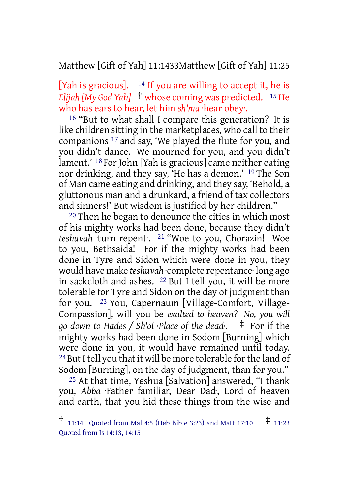#### Matthew [Gift of Yah] 11:1433Matthew [Gift of Yah] 11:25

[Yah is gracious].  $14$  If you are willing to accept it, he is *Elijah [My God Yah]* † whose coming was predicted. <sup>15</sup> He who has ears to hear, let him *sh'ma* ·hear obey·.

16 "But to what shall I compare this generation? It is like children sitting in the marketplaces, who call to their companions 17 and say, 'We played the flute for you, and you didn't dance. We mourned for you, and you didn't lament.' 18 For John [Yah is gracious] came neither eating nor drinking, and they say, 'He has a demon.' 19 The Son of Man came eating and drinking, and they say, 'Behold, a gluttonous man and a drunkard, a friend of tax collectors and sinners!' But wisdom is justified by her children."

20 Then he began to denounce the cities in which most of his mighty works had been done, because they didn't *teshuvah* ·turn repent·. 21 "Woe to you, Chorazin! Woe to you, Bethsaida! For if the mighty works had been done in Tyre and Sidon which were done in you, they would have make *teshuvah* ·complete repentance· long ago in sackcloth and ashes. 22 But I tell you, it will be more tolerable for Tyre and Sidon on the day of judgment than for you. 23 You, Capernaum [Village-Comfort, Village-Compassion], will you be *exalted to heaven? No, you will go down to Hades / Sh'ol ·Place of the dead·.* ‡ For if the mighty works had been done in Sodom [Burning] which were done in you, it would have remained until today. <sup>24</sup> But I tell you that it will be more tolerable for the land of Sodom [Burning], on the day of judgment, than for you."

25 At that time, Yeshua [Salvation] answered, "I thank you, *Abba* ·Father familiar, Dear Dad·, Lord of heaven and earth, that you hid these things from the wise and

<sup>†</sup> 11:14 Quoted from Mal 4:5 (Heb Bible 3:23) and Matt 17:10 ‡ 11:23 Quoted from Is 14:13, 14:15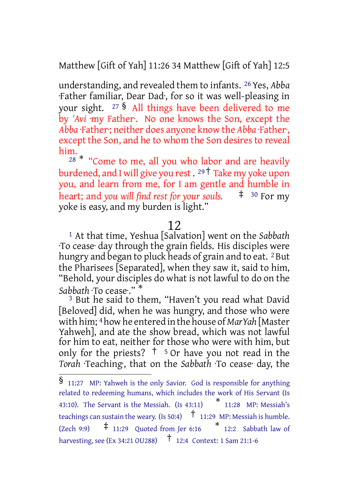Matthew [Gift of Yah] 11:26 34 Matthew [Gift of Yah] 12:5

understanding, and revealed them to infants. 26Yes, *Abba* ·Father familiar, Dear Dad·, for so it was well-pleasing in your sight. <sup>27</sup> § All things have been delivered to me by *'Avi* ·my Father·. No one knows the Son, except the *Abba* ·Father·; neither does anyone know the *Abba* ·Father·, except the Son, and he to whom the Son desires to reveal him.

 $28 *$  "Come to me, all you who labor and are heavily burdened, and I will give you rest. <sup>29</sup> † Take my yoke upon you, and learn from me, for I am gentle and humble in heart; and *you will find rest for your souls.* ‡ <sup>30</sup> For my yoke is easy, and my burden is light."

#### 12

1 At that time, Yeshua [Salvation] went on the *Sabbath* ·To cease· day through the grain fields. His disciples were hungry and began to pluck heads of grain and to eat. <sup>2</sup> But the Pharisees [Separated], when they saw it, said to him, "Behold, your disciples do what is not lawful to do on the *Sabbath* ·To cease·." \*

3 But he said to them, "Haven't you read what David [Beloved] did, when he was hungry, and those who were with him; 4how he entered in the house of *MarYah* [Master Yahweh], and ate the show bread, which was not lawful for him to eat, neither for those who were with him, but only for the priests?  $\uparrow$  <sup>5</sup> Or have you not read in the *Torah* ·Teaching·, that on the *Sabbath* ·To cease· day, the

<sup>§</sup> 11:27 MP: Yahweh is the only Savior. God is responsible for anything related to redeeming humans, which includes the work of His Servant (Is 43:10). The Servant is the Messiah.  $(Is 43:11)$   $*$  11:28 MP: Messiah's teachings can sustain the weary. (Is 50:4)  $\uparrow$  11:29 MP: Messiah is humble. (Zech 9:9)  $\pm$  11:29 Quoted from Jer 6:16  $*$  12:2 Sabbath law of harvesting, see (Ex 34:21 OU288) † 12:4 Context: <sup>1</sup> Sam 21:1-6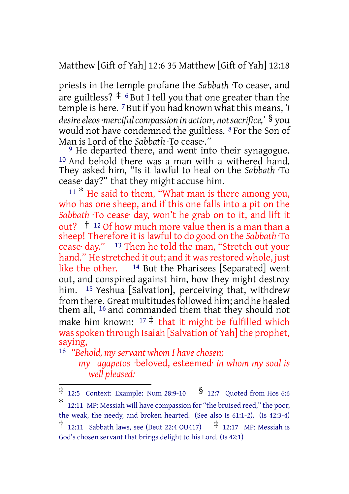Matthew [Gift of Yah] 12:6 35 Matthew [Gift of Yah] 12:18

priests in the temple profane the *Sabbath* ·To cease·, and are guiltless?  $\ddagger$  <sup>6</sup> But I tell you that one greater than the temple is here. 7 But if you had known what this means, *'I desireeleos·mercifulcompassion in action·, notsacrifice,'* § you would not have condemned the guiltless. 8 For the Son of Man is Lord of the *Sabbath* ·To cease·."

<sup>9</sup> He departed there, and went into their synagogue. <sup>10</sup> And behold there was a man with a withered hand. They asked him, "Is it lawful to heal on the *Sabbath* ·To cease· day?" that they might accuse him.

 $11 *$  He said to them, "What man is there among you, who has one sheep, and if this one falls into a pit on the *Sabbath* ·To cease· day, won't he grab on to it, and lift it out? † <sup>12</sup> Of how much more value then is a man than a sheep! Therefore it islawful to do good on the *Sabbath* ·To cease· day." 13 Then he told the man, "Stretch out your hand." He stretched it out; and it was restored whole, just like the other. 14 But the Pharisees [Separated] went out, and conspired against him, how they might destroy him. <sup>15</sup> Yeshua [Salvation], perceiving that, withdrew from there. Great multitudes followed him; and he healed them all, 16 and commanded them that they should not make him known:  $17 \div \text{that it might be fulfilled which}$ was spoken through Isaiah [Salvation of Yah] the prophet, saying,

18 *"Behold, my servant whom I have chosen;*

*my agapetos* ·beloved, esteemed· *in whom my soul is well pleased:*

 $\ddagger$  12:5 Context: Example: Num 28:9-10  $\delta$  12:7 Quoted from Hos 6:6

<sup>\*</sup> 12:11 MP: Messiah will have compassion for "the bruised reed," the poor, the weak, the needy, and broken hearted. (See also Is 61:1-2). (Is 42:3-4) <sup>†</sup> 12:11 Sabbath laws, see (Deut 22:4 OU417)  $\uparrow$  12:17 MP: Messiah is God's chosen servant that brings delight to his Lord. (Is 42:1)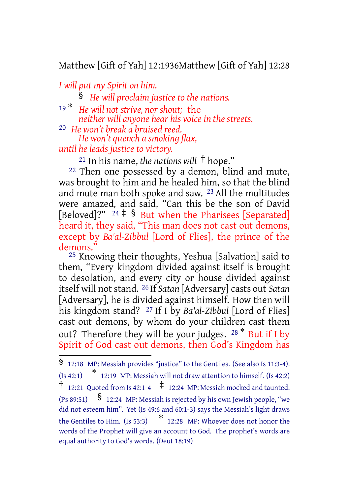### Matthew [Gift of Yah] 12:1936Matthew [Gift of Yah] 12:28

*I will put my Spirit on him.*

§ *He will proclaim justice to the nations.*

<sup>19</sup> \* *He will not strive, nor shout;* the *neither will anyone hear his voice in the streets.*

20 *He won't break a bruised reed. He won't quench a smoking flax,*

*until he leads justice to victory.*

<sup>21</sup> In his name, *the nations will* † hope."

22 Then one possessed by a demon, blind and mute, was brought to him and he healed him, so that the blind and mute man both spoke and saw. 23 All the multitudes were amazed, and said, "Can this be the son of David [Beloved]?"  $24 \neq$  § But when the Pharisees [Separated] heard it, they said, "This man does not cast out demons, except by *Ba'al-Zibbul* [Lord of Flies], the prince of the demons."

25 Knowing their thoughts, Yeshua [Salvation] said to them, "Every kingdom divided against itself is brought to desolation, and every city or house divided against itself will not stand. 26 If *Satan* [Adversary] casts out *Satan* [Adversary], he is divided against himself. How then will his kingdom stand? 27 If I by *Ba'al-Zibbul* [Lord of Flies] cast out demons, by whom do your children cast them out? Therefore they will be your judges.  $28 *$  But if I by Spirit of God cast out demons, then God's Kingdom has

<sup>§</sup> 12:18 MP: Messiah provides "justice" to the Gentiles. (See also Is 11:3-4). (Is 42:1) \* 12:19 MP: Messiah will not draw attention to himself. (Is 42:2) <sup>†</sup> 12:21 Quoted from Is 42:1-4  $\pm$  12:24 MP: Messiah mocked and taunted.  $(S_89:51)$  **§** 12:24 MP: Messiah is rejected by his own Jewish people, "we did not esteem him". Yet (Is 49:6 and 60:1-3) says the Messiah's light draws the Gentiles to Him. (Is 53:3) \* 12:28 MP: Whoever does not honor the words of the Prophet will give an account to God. The prophet's words are equal authority to God's words. (Deut 18:19)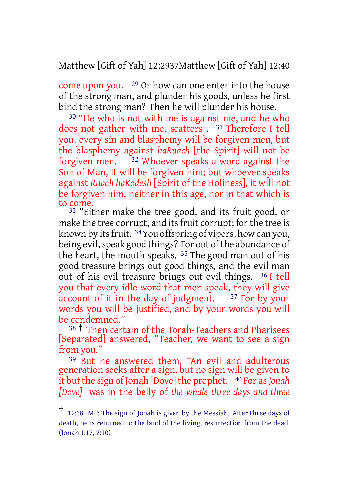Matthew [Gift of Yah] 12:2937Matthew [Gift of Yah] 12:40

come upon you. 29 Or how can one enter into the house of the strong man, and plunder his goods, unless he first bind the strong man? Then he will plunder his house.

30 "He who is not with me is against me, and he who does not gather with me, scatters . 31 Therefore I tell you, every sin and blasphemy will be forgiven men, but the blasphemy against *haRuach* [the Spirit] will not be forgiven men. 32 Whoever speaks a word against the Son of Man, it will be forgiven him; but whoever speaks against *Ruach haKodesh* [Spirit of the Holiness], it will not be forgiven him, neither in this age, nor in that which is to come.

33 "Either make the tree good, and its fruit good, or make the tree corrupt, and its fruit corrupt; for the tree is known by its fruit. <sup>34</sup> You offspring of vipers, how can you, being evil, speak good things? For out of the abundance of the heart, the mouth speaks.  $35$  The good man out of his good treasure brings out good things, and the evil man out of his evil treasure brings out evil things. 36 I tell you that every idle word that men speak, they will give account of it in the day of judgment. <sup>37</sup> For by your account of it in the day of judgment. words you will be justified, and by your words you will be condemned."

<sup>38</sup> † Then certain of the Torah-Teachers and Pharisees [Separated] answered, "Teacher, we want to see a sign from you."

39 But he answered them, "An evil and adulterous generation seeks after a sign, but no sign will be given to it but the sign of Jonah [Dove] the prophet. 40 For as Jonah *[Dove]* was in the belly of *the whale three days and three*

<sup>†</sup> 12:38 MP: The sign of Jonah is given by the Messiah. After three days of death, he is returned to the land of the living, resurrection from the dead. (Jonah 1:17, 2:10)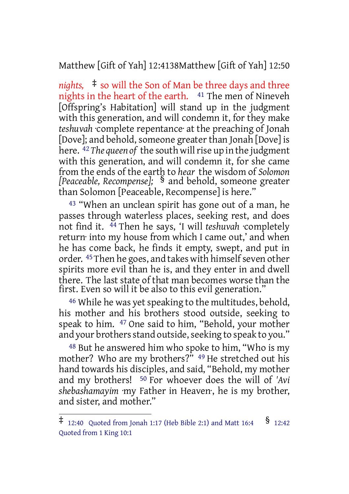Matthew [Gift of Yah] 12:4138Matthew [Gift of Yah] 12:50

*nights,* ‡ so will the Son of Man be three days and three nights in the heart of the earth. 41 The men of Nineveh [Offspring's Habitation] will stand up in the judgment with this generation, and will condemn it, for they make *teshuvah* ·complete repentance· at the preaching of Jonah [Dove]; and behold, someone greater than Jonah [Dove] is here. 42*The queen of* the south willrise up in the judgment with this generation, and will condemn it, for she came from the ends of the earth to *hear* the wisdom of *Solomon [Peaceable, Recompense];* § and behold, someone greater than Solomon [Peaceable, Recompense] is here."

<sup>43</sup> "When an unclean spirit has gone out of a man, he passes through waterless places, seeking rest, and does not find it. 44 Then he says, 'I will *teshuvah* ·completely return· into my house from which I came out,' and when he has come back, he finds it empty, swept, and put in order. <sup>45</sup> Then he goes, and takes with himself seven other spirits more evil than he is, and they enter in and dwell there. The last state of that man becomes worse than the first. Even so will it be also to this evil generation."

<sup>46</sup> While he was yet speaking to the multitudes, behold, his mother and his brothers stood outside, seeking to speak to him. 47 One said to him, "Behold, your mother and your brothers stand outside, seeking to speak to you."

48 But he answered him who spoke to him, "Who is my mother? Who are my brothers?" <sup>49</sup> He stretched out his hand towards his disciples, and said, "Behold, my mother and my brothers! 50 For whoever does the will of *'Avi shebashamayim* ·my Father in Heaven·, he is my brother, and sister, and mother."

 $\ddagger$  12:40 Quoted from Jonah 1:17 (Heb Bible 2:1) and Matt 16:4  $\frac{\$}{}$  12:42 Quoted from 1 King 10:1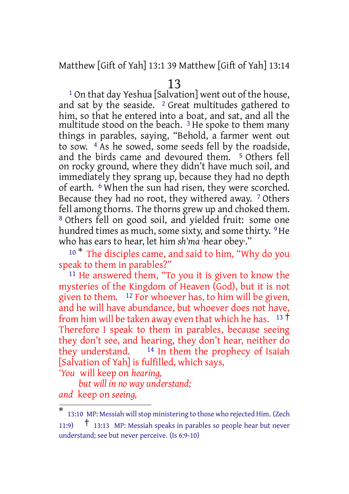## Matthew [Gift of Yah] 13:1 39 Matthew [Gift of Yah] 13:14

#### 13

1 On that day Yeshua [Salvation] went out of the house, and sat by the seaside.  $2$  Great multitudes gathered to him, so that he entered into a boat, and sat, and all the multitude stood on the beach.<sup>3</sup> He spoke to them many things in parables, saying, "Behold, a farmer went out to sow. 4 As he sowed, some seeds fell by the roadside, and the birds came and devoured them. 5 Others fell on rocky ground, where they didn't have much soil, and immediately they sprang up, because they had no depth of earth. 6 When the sun had risen, they were scorched. Because they had no root, they withered away. 7 Others fell among thorns. The thorns grew up and choked them. 8 Others fell on good soil, and yielded fruit: some one hundred times as much, some sixty, and some thirty. <sup>9</sup>He who has ears to hear, let him *sh'ma* ·hear obey·."

<sup>10 \*</sup> The disciples came, and said to him, "Why do you speak to them in parables?"

11 He answered them, "To you it is given to know the mysteries of the Kingdom of Heaven (God), but it is not given to them. 12 For whoever has, to him will be given, and he will have abundance, but whoever does not have, from him will be taken away even that which he has.  $13 \text{ t}$ Therefore I speak to them in parables, because seeing they don't see, and hearing, they don't hear, neither do they understand.  $14$  In them the prophecy of Isaiah [Salvation of Yah] is fulfilled, which says,

*'You* will keep on *hearing,*

*but will in no way understand; and* keep on *seeing,*

<sup>\*</sup> 13:10 MP: Messiah willstop ministering to those who rejected Him. (Zech 11:9) † 13:13 MP: Messiah speaks in parables so people hear but never understand; see but never perceive. (Is 6:9-10)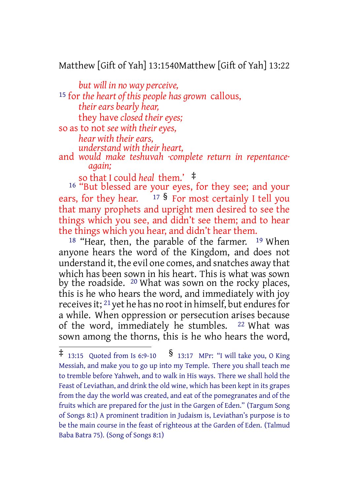## Matthew [Gift of Yah] 13:1540Matthew [Gift of Yah] 13:22

*but will in no way perceive,* 15 for *the heart of this people has grown* callous, *their ears bearly hear,* they have *closed their eyes;* so as to not *see with their eyes, hear with their ears, understand with their heart,*

and *would make teshuvah ·complete return in repentance· again;*

so that I could *heal* them.' ‡

16 "But blessed are your eyes, for they see; and your ears, for they hear.  $17 \frac{\text{S}}{\text{S}}$  For most certainly I tell you that many prophets and upright men desired to see the things which you see, and didn't see them; and to hear the things which you hear, and didn't hear them.

<sup>18</sup> "Hear, then, the parable of the farmer. <sup>19</sup> When anyone hears the word of the Kingdom, and does not understand it, the evil one comes, and snatches away that which has been sown in his heart. This is what was sown by the roadside. <sup>20</sup> What was sown on the rocky places, this is he who hears the word, and immediately with joy receives it; <sup>21</sup> yet he has no root in himself, but endures for a while. When oppression or persecution arises because of the word, immediately he stumbles. 22 What was sown among the thorns, this is he who hears the word,

 $\ddagger$  13:15 Quoted from Is 6:9-10  $\delta$  13:17 MPr: "I will take you, O King Messiah, and make you to go up into my Temple. There you shall teach me to tremble before Yahweh, and to walk in His ways. There we shall hold the Feast of Leviathan, and drink the old wine, which has been kept in its grapes from the day the world was created, and eat of the pomegranates and of the fruits which are prepared for the just in the Gargen of Eden." (Targum Song of Songs 8:1) A prominent tradition in Judaism is, Leviathan's purpose is to be the main course in the feast of righteous at the Garden of Eden. (Talmud Baba Batra 75). (Song of Songs 8:1)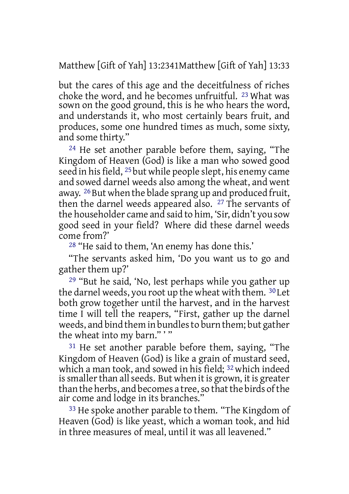Matthew [Gift of Yah] 13:2341Matthew [Gift of Yah] 13:33

but the cares of this age and the deceitfulness of riches choke the word, and he becomes unfruitful. 23 What was sown on the good ground, this is he who hears the word, and understands it, who most certainly bears fruit, and produces, some one hundred times as much, some sixty, and some thirty."

24 He set another parable before them, saying, "The Kingdom of Heaven (God) is like a man who sowed good seed in his field, 25 but while people slept, his enemy came and sowed darnel weeds also among the wheat, and went away. <sup>26</sup> But when the blade sprang up and produced fruit, then the darnel weeds appeared also. 27 The servants of the householder came and said to him, 'Sir, didn't you sow good seed in your field? Where did these darnel weeds come from?'

28 "He said to them, 'An enemy has done this.'

"The servants asked him, 'Do you want us to go and gather them up?'

29 "But he said, 'No, lest perhaps while you gather up the darnel weeds, you root up the wheat with them. 30 Let both grow together until the harvest, and in the harvest time I will tell the reapers, "First, gather up the darnel weeds, and bind them in bundlesto burn them; but gather the wheat into my barn.""

31 He set another parable before them, saying, "The Kingdom of Heaven (God) is like a grain of mustard seed, which a man took, and sowed in his field; 32 which indeed is smaller than all seeds. But when it is grown, it is greater than the herbs, and becomes a tree, so that the birds of the air come and lodge in its branches."

<sup>33</sup> He spoke another parable to them. "The Kingdom of Heaven (God) is like yeast, which a woman took, and hid in three measures of meal, until it was all leavened."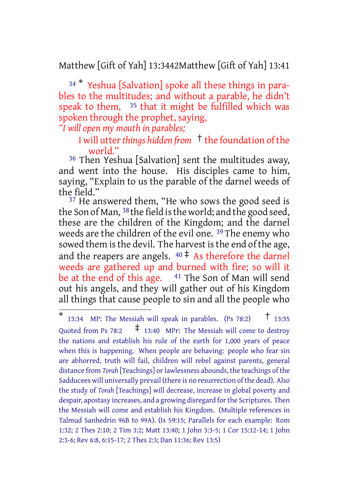## Matthew [Gift of Yah] 13:3442Matthew [Gift of Yah] 13:41

<sup>34</sup> \* Yeshua [Salvation] spoke all these things in parables to the multitudes; and without a parable, he didn't speak to them,  $35$  that it might be fulfilled which was spoken through the prophet, saying,

*"I will open my mouth in parables;*

#### I will utter*things hidden from* † the foundation ofthe world."

36 Then Yeshua [Salvation] sent the multitudes away, and went into the house. His disciples came to him, saying, "Explain to us the parable of the darnel weeds of the field."

<sup>37</sup> He answered them, "He who sows the good seed is the Son of Man, 38 the field isthe world; and the good seed, these are the children of the Kingdom; and the darnel weeds are the children of the evil one. 39 The enemy who sowed them is the devil. The harvest is the end of the age, and the reapers are angels.  $40 \div A$ s therefore the darnel weeds are gathered up and burned with fire; so will it be at the end of this age.  $41$  The Son of Man will send out his angels, and they will gather out of his Kingdom all things that cause people to sin and all the people who

<sup>\*</sup> 13:34 MP: The Messiah will speak in parables. (Ps 78:2)  $\uparrow$  13:35 Quoted from Ps 78:2  $\sharp$  13:40 MPr: The Messiah will come to destroy the nations and establish his rule of the earth for 1,000 years of peace when this is happening. When people are behaving: people who fear sin are abhorred, truth will fail, children will rebel against parents, general distance from *Torah* [Teachings] or lawlessness abounds, the teachings of the Sadducees will universally prevail (there is no resurrection of the dead). Also the study of *Torah* [Teachings] will decrease, increase in global poverty and despair, apostasy increases, and a growing disregard for the Scriptures. Then the Messiah will come and establish his Kingdom. (Multiple references in Talmud Sanhedrin 96B to 99A). (Is 59:15; Parallels for each example: Rom 1:32; 2 Thes 2:10; 2 Tim 3:2; Matt 13:40; 1 John 3:3-5; 1 Cor 15:12-14; 1 John 2:3-6; Rev 6:8, 6:15-17; 2 Thes 2:3; Dan 11:36; Rev 13:5)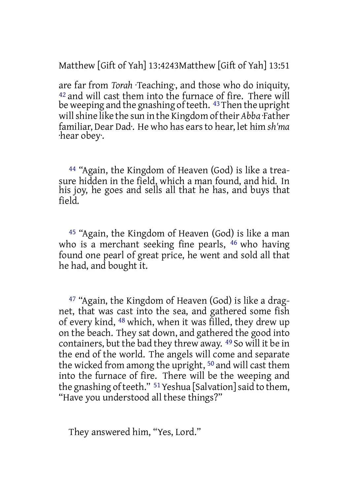Matthew [Gift of Yah] 13:4243Matthew [Gift of Yah] 13:51

are far from *Torah* ·Teaching·, and those who do iniquity,  $42$  and will cast them into the furnace of fire. There will be weeping and the gnashing of teeth. <sup>43</sup> Then the upright willshine like the sun in the Kingdom oftheir *Abba* ·Father familiar, Dear Dad·. He who has earsto hear, let him *sh'ma* ·hear obey·.

44 "Again, the Kingdom of Heaven (God) is like a treasure hidden in the field, which a man found, and hid. In his joy, he goes and sells all that he has, and buys that field.

45 "Again, the Kingdom of Heaven (God) is like a man who is a merchant seeking fine pearls, <sup>46</sup> who having found one pearl of great price, he went and sold all that he had, and bought it.

47 "Again, the Kingdom of Heaven (God) is like a dragnet, that was cast into the sea, and gathered some fish of every kind, 48 which, when it was filled, they drew up on the beach. They sat down, and gathered the good into containers, but the bad they threw away. 49 So will it be in the end of the world. The angels will come and separate the wicked from among the upright, 50 and will cast them into the furnace of fire. There will be the weeping and the gnashing of teeth."  $51$  Yeshua [Salvation] said to them, "Have you understood all these things?"

They answered him, "Yes, Lord."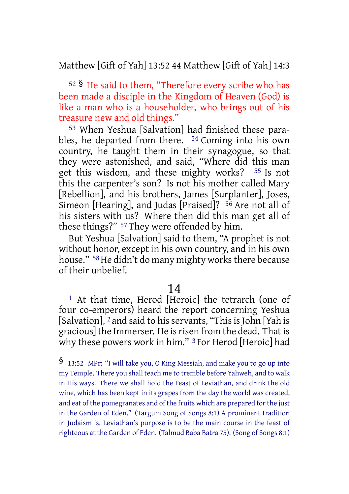Matthew [Gift of Yah] 13:52 44 Matthew [Gift of Yah] 14:3

<sup>52</sup> § He said to them, "Therefore every scribe who has been made a disciple in the Kingdom of Heaven (God) is like a man who is a householder, who brings out of his treasure new and old things."

53 When Yeshua [Salvation] had finished these parables, he departed from there. 54 Coming into his own country, he taught them in their synagogue, so that they were astonished, and said, "Where did this man get this wisdom, and these mighty works? 55 Is not this the carpenter's son? Is not his mother called Mary [Rebellion], and his brothers, James [Surplanter], Joses, Simeon [Hearing], and Judas [Praised]? 56 Are not all of his sisters with us? Where then did this man get all of these things?" 57 They were offended by him.

But Yeshua [Salvation] said to them, "A prophet is not without honor, except in his own country, and in his own house." <sup>58</sup> He didn't do many mighty works there because of their unbelief.

#### 14

1 At that time, Herod [Heroic] the tetrarch (one of four co-emperors) heard the report concerning Yeshua [Salvation], <sup>2</sup> and said to his servants, "This is John [Yah is gracious] the Immerser. He is risen from the dead. That is why these powers work in him." <sup>3</sup> For Herod [Heroic] had

<sup>§</sup> 13:52 MPr: "I will take you, <sup>O</sup> King Messiah, and make you to go up into my Temple. There you shall teach me to tremble before Yahweh, and to walk in His ways. There we shall hold the Feast of Leviathan, and drink the old wine, which has been kept in its grapes from the day the world was created, and eat of the pomegranates and of the fruits which are prepared for the just in the Garden of Eden." (Targum Song of Songs 8:1) A prominent tradition in Judaism is, Leviathan's purpose is to be the main course in the feast of righteous at the Garden of Eden. (Talmud Baba Batra 75). (Song of Songs 8:1)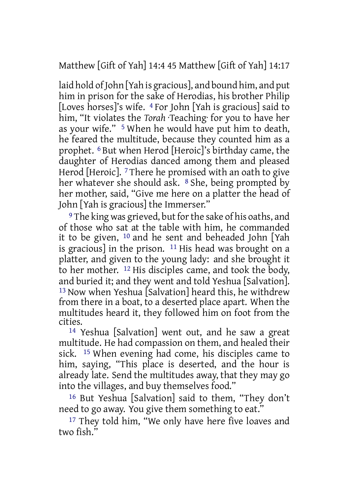Matthew [Gift of Yah] 14:4 45 Matthew [Gift of Yah] 14:17

laid hold of John [Yah is gracious], and bound him, and put him in prison for the sake of Herodias, his brother Philip [Loves horses]'s wife. 4 For John [Yah is gracious] said to him, "It violates the *Torah* ·Teaching· for you to have her as your wife." 5 When he would have put him to death, he feared the multitude, because they counted him as a prophet. 6 But when Herod [Heroic]'s birthday came, the daughter of Herodias danced among them and pleased Herod [Heroic]. <sup>7</sup> There he promised with an oath to give her whatever she should ask. <sup>8</sup> She, being prompted by her mother, said, "Give me here on a platter the head of John [Yah is gracious] the Immerser."

<sup>9</sup> The king was grieved, but for the sake of his oaths, and of those who sat at the table with him, he commanded it to be given, 10 and he sent and beheaded John [Yah is gracious] in the prison.  $11$  His head was brought on a platter, and given to the young lady: and she brought it to her mother. 12 His disciples came, and took the body, and buried it; and they went and told Yeshua [Salvation]. 13 Now when Yeshua [Salvation] heard this, he withdrew from there in a boat, to a deserted place apart. When the multitudes heard it, they followed him on foot from the cities.

14 Yeshua [Salvation] went out, and he saw a great multitude. He had compassion on them, and healed their sick. 15 When evening had come, his disciples came to him, saying, "This place is deserted, and the hour is already late. Send the multitudes away, that they may go into the villages, and buy themselves food."

16 But Yeshua [Salvation] said to them, "They don't need to go away. You give them something to eat."

<sup>17</sup> They told him, "We only have here five loaves and two fish."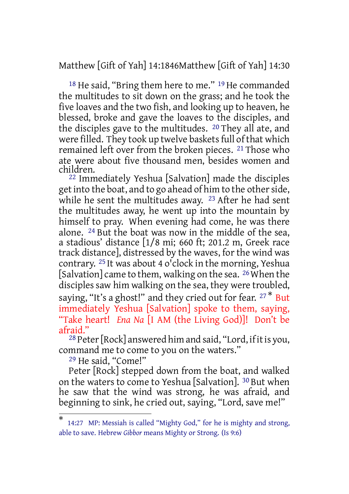Matthew [Gift of Yah] 14:1846Matthew [Gift of Yah] 14:30

<sup>18</sup> He said, "Bring them here to me." <sup>19</sup> He commanded the multitudes to sit down on the grass; and he took the five loaves and the two fish, and looking up to heaven, he blessed, broke and gave the loaves to the disciples, and the disciples gave to the multitudes. 20 They all ate, and were filled. They took up twelve baskets full of that which remained left over from the broken pieces. 21 Those who ate were about five thousand men, besides women and children.

22 Immediately Yeshua [Salvation] made the disciples get into the boat, and to go ahead of him to the other side, while he sent the multitudes away. <sup>23</sup> After he had sent the multitudes away, he went up into the mountain by himself to pray. When evening had come, he was there alone. 24 But the boat was now in the middle of the sea, a stadious' distance [1/8 mi; 660 ft; 201.2 m, Greek race track distance], distressed by the waves, for the wind was contrary. 25 It was about 4 o'clock in the morning, Yeshua [Salvation] came to them, walking on the sea. <sup>26</sup> When the disciples saw him walking on the sea, they were troubled, saying, "It's a ghost!" and they cried out for fear. <sup>27\*</sup> But immediately Yeshua [Salvation] spoke to them, saying, "Take heart! *Ena Na* [I AM (the Living God)]! Don't be afraid."

<sup>28</sup> Peter [Rock] answered him and said, "Lord, if it is you, command me to come to you on the waters."

29 He said, "Come!"

Peter [Rock] stepped down from the boat, and walked on the waters to come to Yeshua [Salvation]. 30 But when he saw that the wind was strong, he was afraid, and beginning to sink, he cried out, saying, "Lord, save me!"

<sup>\*</sup> 14:27 MP: Messiah is called "Mighty God," for he is mighty and strong, able to save. Hebrew *Gibbor* means Mighty or Strong. (Is 9:6)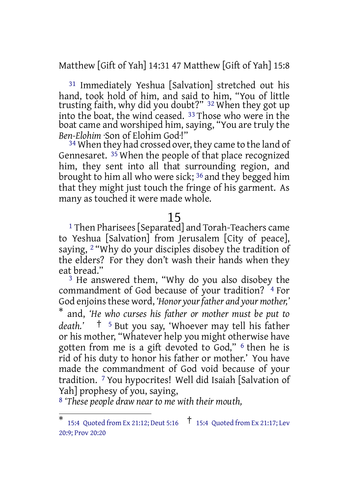Matthew [Gift of Yah] 14:31 47 Matthew [Gift of Yah] 15:8

31 Immediately Yeshua [Salvation] stretched out his hand, took hold of him, and said to him, "You of little trusting faith, why did you doubt?" 32 When they got up into the boat, the wind ceased. 33 Those who were in the boat came and worshiped him, saying, "You are truly the *Ben-Elohim* ·Son of Elohim God·!"

<sup>34</sup> When they had crossed over, they came to the land of Gennesaret. 35 When the people of that place recognized him, they sent into all that surrounding region, and brought to him all who were sick; 36 and they begged him that they might just touch the fringe of his garment. As many as touched it were made whole.

#### 15

1 Then Pharisees[Separated] and Torah-Teachers came to Yeshua [Salvation] from Jerusalem [City of peace], saying, 2 "Why do your disciples disobey the tradition of the elders? For they don't wash their hands when they eat bread."

3 He answered them, "Why do you also disobey the commandment of God because of your tradition? <sup>4</sup> For God enjoinsthese word, *'Honor yourfather and your mother,'*

\* and, *'He who curses his father or mother must be put to death.'* † <sup>5</sup> But you say, 'Whoever may tell his father or his mother, "Whatever help you might otherwise have gotten from me is a gift devoted to God," 6 then he is rid of his duty to honor his father or mother.' You have made the commandment of God void because of your tradition. 7 You hypocrites! Well did Isaiah [Salvation of Yah] prophesy of you, saying,

8 *'These people draw near to me with their mouth,*

<sup>\*</sup> 15:4 Quoted from Ex 21:12; Deut 5:16 † 15:4 Quoted from Ex 21:17; Lev 20:9; Prov 20:20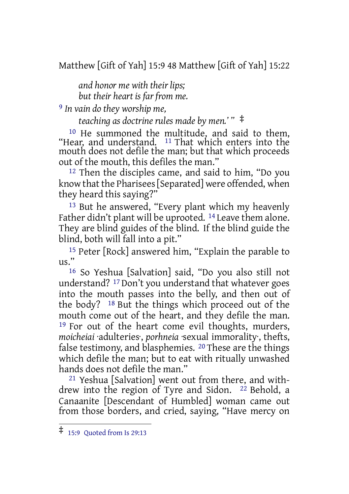Matthew [Gift of Yah] 15:9 48 Matthew [Gift of Yah] 15:22

*and honor me with their lips; but their heart is far from me.*

9 *In vain do they worship me,*

*teaching as doctrine rules made by men.' "* ‡

10 He summoned the multitude, and said to them, "Hear, and understand. 11 That which enters into the mouth does not defile the man; but that which proceeds out of the mouth, this defiles the man."

12 Then the disciples came, and said to him, "Do you know that the Pharisees [Separated] were offended, when they heard this saying?"

13 But he answered, "Every plant which my heavenly Father didn't plant will be uprooted. <sup>14</sup> Leave them alone. They are blind guides of the blind. If the blind guide the blind, both will fall into a pit."

15 Peter [Rock] answered him, "Explain the parable to us."

16 So Yeshua [Salvation] said, "Do you also still not understand? 17 Don't you understand that whatever goes into the mouth passes into the belly, and then out of the body? 18 But the things which proceed out of the mouth come out of the heart, and they defile the man. 19 For out of the heart come evil thoughts, murders, *moicheiai* ·adulteries·, *porhneia* ·sexual immorality·, thefts, false testimony, and blasphemies. 20 These are the things which defile the man; but to eat with ritually unwashed hands does not defile the man."

21 Yeshua [Salvation] went out from there, and withdrew into the region of Tyre and Sidon. <sup>22</sup> Behold, a Canaanite [Descendant of Humbled] woman came out from those borders, and cried, saying, "Have mercy on

<sup>‡</sup> 15:9 Quoted from Is 29:13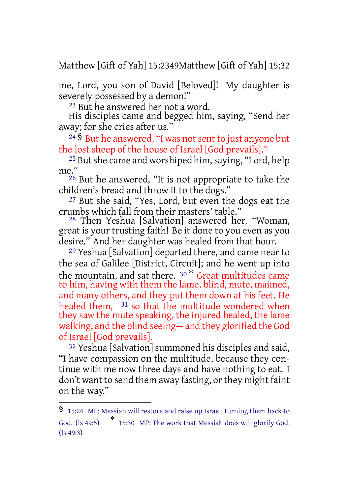Matthew [Gift of Yah] 15:2349Matthew [Gift of Yah] 15:32

me, Lord, you son of David [Beloved]! My daughter is severely possessed by a demon!"

23 But he answered her not a word.

His disciples came and begged him, saying, "Send her away; for she cries after us."

<sup>24</sup> § But he answered, "I was not sent to just anyone but the lost sheep of the house of Israel [God prevails]."

 $25$  But she came and worshiped him, saying, "Lord, help me."

26 But he answered, "It is not appropriate to take the children's bread and throw it to the dogs."

27 But she said, "Yes, Lord, but even the dogs eat the crumbs which fall from their masters' table."

28 Then Yeshua [Salvation] answered her, "Woman, great is your trusting faith! Be it done to you even as you desire." And her daughter was healed from that hour.

29 Yeshua [Salvation] departed there, and came near to the sea of Galilee [District, Circuit]; and he went up into the mountain, and sat there. <sup>30 \*</sup> Great multitudes came to him, having with them the lame, blind, mute, maimed, and many others, and they put them down at his feet. He healed them, 31 so that the multitude wondered when they saw the mute speaking, the injured healed, the lame walking, and the blind seeing— and they glorified the God of Israel [God prevails].

32 Yeshua [Salvation] summoned his disciples and said, "I have compassion on the multitude, because they continue with me now three days and have nothing to eat. I don't want to send them away fasting, or they might faint on the way."

<sup>§</sup> 15:24 MP: Messiah will restore and raise up Israel, turning them back to God. (Is 49:5) \* 15:30 MP: The work that Messiah does will glorify God. (Is 49:3)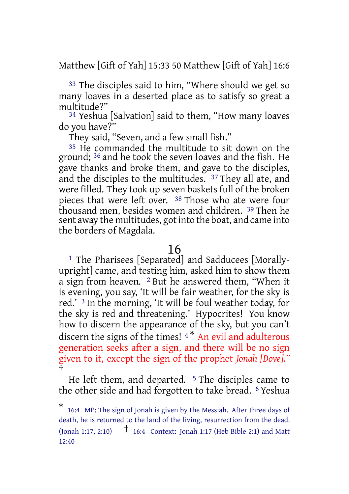Matthew [Gift of Yah] 15:33 50 Matthew [Gift of Yah] 16:6

<sup>33</sup> The disciples said to him, "Where should we get so many loaves in a deserted place as to satisfy so great a multitude?"

34 Yeshua [Salvation] said to them, "How many loaves do you have?"

They said, "Seven, and a few small fish."

35 He commanded the multitude to sit down on the ground; 36 and he took the seven loaves and the fish. He gave thanks and broke them, and gave to the disciples, and the disciples to the multitudes. 37 They all ate, and were filled. They took up seven baskets full of the broken pieces that were left over. 38 Those who ate were four thousand men, besides women and children. 39 Then he sent away the multitudes, got into the boat, and came into the borders of Magdala.

#### 16

1 The Pharisees [Separated] and Sadducees [Morallyupright] came, and testing him, asked him to show them a sign from heaven.  $2$  But he answered them, "When it is evening, you say, 'It will be fair weather, for the sky is red.' 3 In the morning, 'It will be foul weather today, for the sky is red and threatening.' Hypocrites! You know how to discern the appearance of the sky, but you can't discern the signs of the times!<sup>4\*</sup> An evil and adulterous generation seeks after a sign, and there will be no sign given to it, except the sign of the prophet *Jonah [Dove]."* †

He left them, and departed.  $5$  The disciples came to the other side and had forgotten to take bread. 6 Yeshua

<sup>\*</sup> 16:4 MP: The sign of Jonah is given by the Messiah. After three days of death, he is returned to the land of the living, resurrection from the dead. (Jonah 1:17, 2:10) † 16:4 Context: Jonah 1:17 (Heb Bible 2:1) and Matt 12:40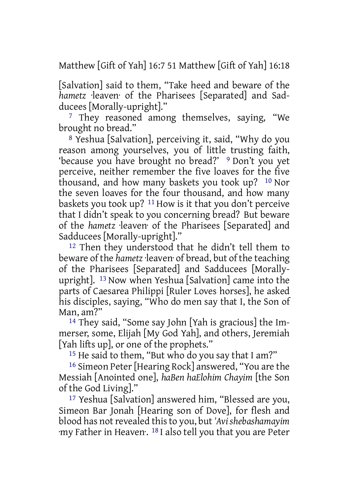Matthew [Gift of Yah] 16:7 51 Matthew [Gift of Yah] 16:18

[Salvation] said to them, "Take heed and beware of the *hametz* ·leaven· of the Pharisees [Separated] and Sadducees [Morally-upright]."

<sup>7</sup> They reasoned among themselves, saying, "We brought no bread."

8 Yeshua [Salvation], perceiving it, said, "Why do you reason among yourselves, you of little trusting faith, 'because you have brought no bread?' 9 Don't you yet perceive, neither remember the five loaves for the five thousand, and how many baskets you took up? 10 Nor the seven loaves for the four thousand, and how many baskets you took up? 11 How is it that you don't perceive that I didn't speak to you concerning bread? But beware of the *hametz* ·leaven· of the Pharisees [Separated] and Sadducees [Morally-upright]."

12 Then they understood that he didn't tell them to beware of the *hametz* ·leaven· of bread, but of the teaching of the Pharisees [Separated] and Sadducees [Morallyupright]. 13 Now when Yeshua [Salvation] came into the parts of Caesarea Philippi [Ruler Loves horses], he asked his disciples, saying, "Who do men say that I, the Son of Man, am?"

14 They said, "Some say John [Yah is gracious] the Immerser, some, Elijah [My God Yah], and others, Jeremiah [Yah lifts up], or one of the prophets."

<sup>15</sup> He said to them, "But who do you say that I am?"

16 Simeon Peter [Hearing Rock] answered, "You are the Messiah [Anointed one], *haBen haElohim Chayim* [the Son of the God Living]."

17 Yeshua [Salvation] answered him, "Blessed are you, Simeon Bar Jonah [Hearing son of Dove], for flesh and blood has notrevealed thisto you, but *'Avishebashamayim* ·my Father in Heaven·. 18 I also tell you that you are Peter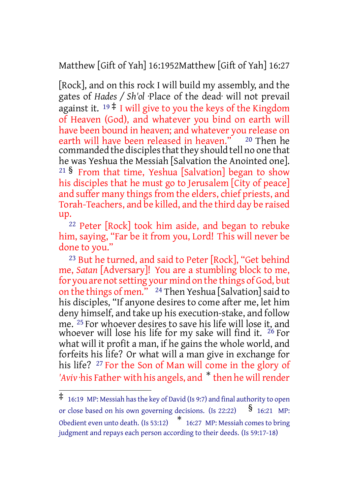Matthew [Gift of Yah] 16:1952Matthew [Gift of Yah] 16:27

[Rock], and on this rock I will build my assembly, and the gates of *Hades / Sh'ol* ·Place of the dead· will not prevail against it.  $19 \frac{4}{7}$  I will give to you the keys of the Kingdom of Heaven (God), and whatever you bind on earth will have been bound in heaven; and whatever you release on earth will have been released in heaven." 20 Then he commanded the disciples that they should tell no one that he was Yeshua the Messiah [Salvation the Anointed one]. <sup>21</sup> § From that time, Yeshua [Salvation] began to show his disciples that he must go to Jerusalem [City of peace] and suffer many things from the elders, chief priests, and Torah-Teachers, and be killed, and the third day be raised up.

22 Peter [Rock] took him aside, and began to rebuke him, saying, "Far be it from you, Lord! This will never be done to you."

23 But he turned, and said to Peter [Rock], "Get behind me, *Satan* [Adversary]! You are a stumbling block to me, for you are not setting your mind on the things of God, but on the things of men." <sup>24</sup> Then Yeshua [Salvation] said to his disciples, "If anyone desires to come after me, let him deny himself, and take up his execution-stake, and follow me. 25 For whoever desires to save his life will lose it, and whoever will lose his life for my sake will find it.  $26$  For what will it profit a man, if he gains the whole world, and forfeits his life? Or what will a man give in exchange for his life? <sup>27</sup> For the Son of Man will come in the glory of 'Aviv ·his Father· with his angels, and \* then he will render

<sup>‡</sup> 16:19 MP: Messiah hasthe key of David (Is 9:7) and final authority to open or close based on his own governing decisions. (Is 22:22)  $\frac{\$}{\$}$  16:21 MP: Obedient even unto death. (Is 53:12) \* 16:27 MP: Messiah comes to bring judgment and repays each person according to their deeds. (Is 59:17-18)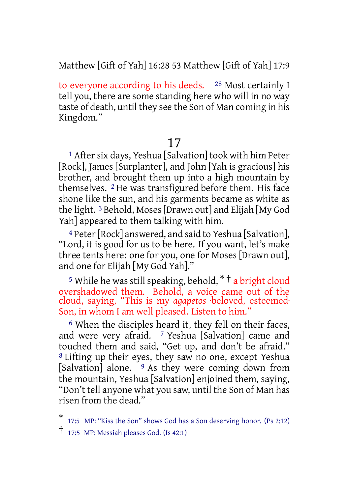Matthew [Gift of Yah] 16:28 53 Matthew [Gift of Yah] 17:9

to everyone according to his deeds. <sup>28</sup> Most certainly I tell you, there are some standing here who will in no way taste of death, until they see the Son of Man coming in his Kingdom."

## 17

<sup>1</sup> After six days, Yeshua [Salvation] took with him Peter [Rock], James [Surplanter], and John [Yah is gracious] his brother, and brought them up into a high mountain by themselves. 2 He was transfigured before them. His face shone like the sun, and his garments became as white as the light. 3 Behold, Moses [Drawn out] and Elijah [My God Yah] appeared to them talking with him.

4 Peter[Rock] answered, and said to Yeshua [Salvation], "Lord, it is good for us to be here. If you want, let's make three tents here: one for you, one for Moses [Drawn out], and one for Elijah [My God Yah]."

<sup>5</sup> While he was still speaking, behold,  $*$ <sup>†</sup> a bright cloud overshadowed them. Behold, a voice came out of the cloud, saying, "This is my *agapetos* ·beloved, esteemed· Son, in whom I am well pleased. Listen to him."

<sup>6</sup> When the disciples heard it, they fell on their faces, and were very afraid. <sup>7</sup> Yeshua [Salvation] came and touched them and said, "Get up, and don't be afraid." 8 Lifting up their eyes, they saw no one, except Yeshua [Salvation] alone.  $\frac{9}{9}$  As they were coming down from the mountain, Yeshua [Salvation] enjoined them, saying, "Don't tell anyone what you saw, until the Son of Man has risen from the dead."

<sup>\*</sup> 17:5 MP: "Kiss the Son" shows God has a Son deserving honor. (Ps 2:12)

<sup>†</sup> 17:5 MP: Messiah pleases God. (Is 42:1)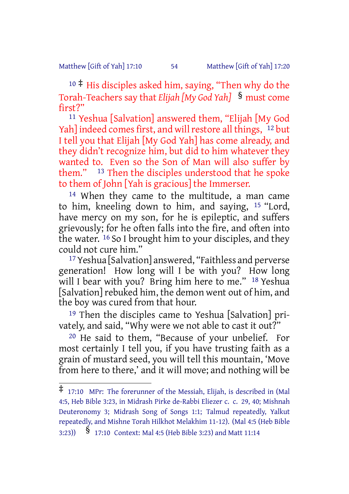#### Matthew [Gift of Yah] 17:10 54 Matthew [Gift of Yah] 17:20

<sup>10</sup> ‡ His disciples asked him, saying, "Then why do the Torah-Teachers say that *Elijah [My God Yah]* § must come first?"

11 Yeshua [Salvation] answered them, "Elijah [My God Yah] indeed comes first, and will restore all things, <sup>12</sup> but I tell you that Elijah [My God Yah] has come already, and they didn't recognize him, but did to him whatever they wanted to. Even so the Son of Man will also suffer by them." 13 Then the disciples understood that he spoke to them of John [Yah is gracious] the Immerser.

14 When they came to the multitude, a man came to him, kneeling down to him, and saying, 15 "Lord, have mercy on my son, for he is epileptic, and suffers grievously; for he often falls into the fire, and often into the water. 16 So I brought him to your disciples, and they could not cure him."

17 Yeshua [Salvation] answered, "Faithless and perverse generation! How long will I be with you? How long will I bear with you? Bring him here to me." <sup>18</sup> Yeshua [Salvation] rebuked him, the demon went out of him, and the boy was cured from that hour.

19 Then the disciples came to Yeshua [Salvation] privately, and said, "Why were we not able to cast it out?"

20 He said to them, "Because of your unbelief. For most certainly I tell you, if you have trusting faith as a grain of mustard seed, you will tell this mountain, 'Move from here to there,' and it will move; and nothing will be

<sup>‡</sup> 17:10 MPr: The forerunner of the Messiah, Elijah, is described in (Mal 4:5, Heb Bible 3:23, in Midrash Pirke de-Rabbi Eliezer c. c. 29, 40; Mishnah Deuteronomy 3; Midrash Song of Songs 1:1; Talmud repeatedly, Yalkut repeatedly, and Mishne Torah Hilkhot Melakhim 11-12). (Mal 4:5 (Heb Bible

<sup>3:23))</sup> § 17:10 Context: Mal 4:5 (Heb Bible 3:23) and Matt 11:14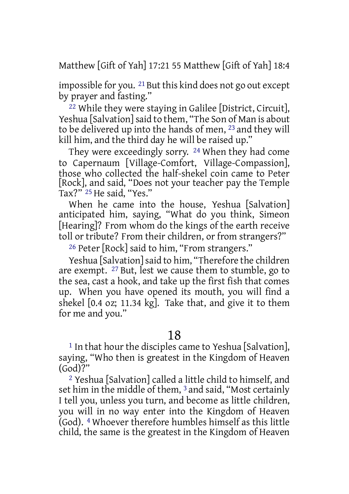Matthew [Gift of Yah] 17:21 55 Matthew [Gift of Yah] 18:4

impossible for you. <sup>21</sup> But this kind does not go out except by prayer and fasting."

22 While they were staying in Galilee [District, Circuit], Yeshua [Salvation] said to them, "The Son of Man is about to be delivered up into the hands of men, 23 and they will kill him, and the third day he will be raised up."

They were exceedingly sorry. 24 When they had come to Capernaum [Village-Comfort, Village-Compassion], those who collected the half-shekel coin came to Peter [Rock], and said, "Does not your teacher pay the Temple Tax?" 25 He said, "Yes."

When he came into the house, Yeshua [Salvation] anticipated him, saying, "What do you think, Simeon [Hearing]? From whom do the kings of the earth receive toll or tribute? From their children, or from strangers?"

26 Peter [Rock] said to him, "From strangers."

Yeshua [Salvation] said to him, "Therefore the children are exempt. 27 But, lest we cause them to stumble, go to the sea, cast a hook, and take up the first fish that comes up. When you have opened its mouth, you will find a shekel [0.4 oz; 11.34 kg]. Take that, and give it to them for me and you."

18

<sup>1</sup> In that hour the disciples came to Yeshua [Salvation], saying, "Who then is greatest in the Kingdom of Heaven (God)?"

2 Yeshua [Salvation] called a little child to himself, and set him in the middle of them, 3 and said, "Most certainly I tell you, unless you turn, and become as little children, you will in no way enter into the Kingdom of Heaven (God). 4 Whoever therefore humbles himself as this little child, the same is the greatest in the Kingdom of Heaven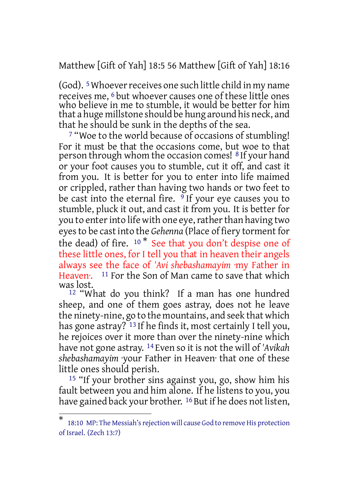Matthew [Gift of Yah] 18:5 56 Matthew [Gift of Yah] 18:16

(God).  $5$  Whoever receives one such little child in my name receives me, 6 but whoever causes one of these little ones who believe in me to stumble, it would be better for him that a huge millstone should be hung around his neck, and that he should be sunk in the depths of the sea.

7 "Woe to the world because of occasions of stumbling! For it must be that the occasions come, but woe to that person through whom the occasion comes! 8 If your hand or your foot causes you to stumble, cut it off, and cast it from you. It is better for you to enter into life maimed or crippled, rather than having two hands or two feet to be cast into the eternal fire.  $9$  If your eye causes you to stumble, pluck it out, and cast it from you. It is better for you to enter into life with one eye, rather than having two eyesto be cast into the *Gehenna* (Place of fiery torment for the dead) of fire.  $10 *$  See that you don't despise one of these little ones, for I tell you that in heaven their angels always see the face of *'Avi shebashamayim* ·my Father in Heaven: <sup>11</sup> For the Son of Man came to save that which was lost.

12 "What do you think? If a man has one hundred sheep, and one of them goes astray, does not he leave the ninety-nine, go to the mountains, and seek that which has gone astray? <sup>13</sup> If he finds it, most certainly I tell you, he rejoices over it more than over the ninety-nine which have not gone astray. 14 Even so it is not the will of *'Avikah shebashamayim* ·your Father in Heaven· that one of these little ones should perish.

<sup>15</sup> "If your brother sins against you, go, show him his fault between you and him alone. If he listens to you, you have gained back your brother. <sup>16</sup> But if he does not listen,

<sup>\*</sup> 18:10 MP: The Messiah's rejection will cause God to remove His protection of Israel. (Zech 13:7)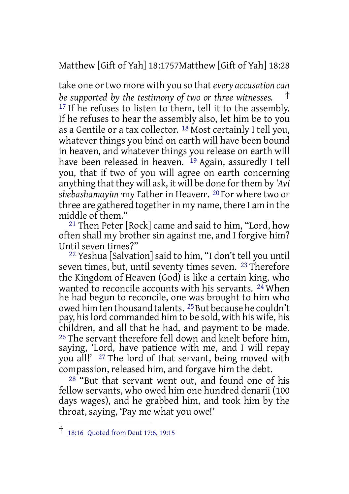Matthew [Gift of Yah] 18:1757Matthew [Gift of Yah] 18:28

take one ortwo more with you so that*every accusation can be supported by the testimony of two or three witnesses.* † <sup>17</sup> If he refuses to listen to them, tell it to the assembly. If he refuses to hear the assembly also, let him be to you as a Gentile or a tax collector. 18 Most certainly I tell you, whatever things you bind on earth will have been bound in heaven, and whatever things you release on earth will have been released in heaven. <sup>19</sup> Again, assuredly I tell you, that if two of you will agree on earth concerning anything that they will ask, it will be done for them by 'Avi *shebashamayim* ·my Father in Heaven·. 20 For where two or three are gathered togetherin my name, there I am in the middle of them."

21 Then Peter [Rock] came and said to him, "Lord, how often shall my brother sin against me, and I forgive him? Until seven times?"

22 Yeshua [Salvation] said to him, "I don't tell you until seven times, but, until seventy times seven. <sup>23</sup> Therefore the Kingdom of Heaven (God) is like a certain king, who wanted to reconcile accounts with his servants. <sup>24</sup> When he had begun to reconcile, one was brought to him who owed him ten thousand talents. <sup>25</sup> But because he couldn't pay, hislord commanded him to be sold, with his wife, his children, and all that he had, and payment to be made. <sup>26</sup> The servant therefore fell down and knelt before him, saying, 'Lord, have patience with me, and I will repay you all!' <sup>27</sup> The lord of that servant, being moved with compassion, released him, and forgave him the debt.

 $28$  "But that servant went out, and found one of his fellow servants, who owed him one hundred denarii (100 days wages), and he grabbed him, and took him by the throat, saying, 'Pay me what you owe!'

<sup>†</sup> 18:16 Quoted from Deut 17:6, 19:15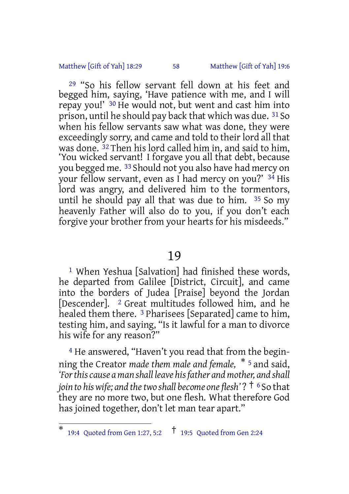#### Matthew [Gift of Yah] 18:29 58 Matthew [Gift of Yah] 19:6

29 "So his fellow servant fell down at his feet and begged him, saying, 'Have patience with me, and I will repay you!' 30 He would not, but went and cast him into prison, until he should pay back that which was due. 31 So when his fellow servants saw what was done, they were exceedingly sorry, and came and told to their lord all that was done. <sup>32</sup> Then his lord called him in, and said to him. 'You wicked servant! I forgave you all that debt, because you begged me. 33 Should not you also have had mercy on your fellow servant, even as I had mercy on you?' 34 His lord was angry, and delivered him to the tormentors, until he should pay all that was due to him. 35 So my heavenly Father will also do to you, if you don't each forgive your brother from your hearts for his misdeeds."

#### 19

1 When Yeshua [Salvation] had finished these words, he departed from Galilee [District, Circuit], and came into the borders of Judea [Praise] beyond the Jordan [Descender]. 2 Great multitudes followed him, and he healed them there. 3 Pharisees [Separated] came to him, testing him, and saying, "Is it lawful for a man to divorce his wife for any reason?"

4 He answered, "Haven't you read that from the beginning the Creator *made them male and female,* \* <sup>5</sup> and said, *'Forthiscause a man shall leave hisfather and mother, and shall join to hiswife; and thetwo shall become one flesh'* ? † <sup>6</sup> So that they are no more two, but one flesh. What therefore God has joined together, don't let man tear apart."

<sup>\*</sup> 19:4 Quoted from Gen 1:27, 5:2 † 19:5 Quoted from Gen 2:24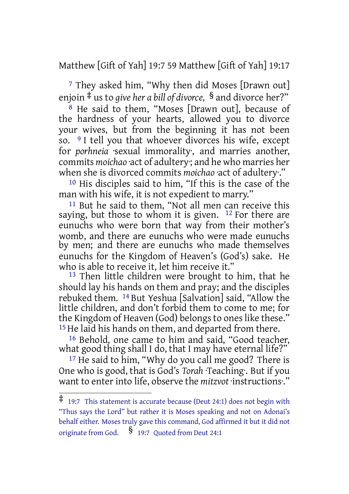Matthew [Gift of Yah] 19:7 59 Matthew [Gift of Yah] 19:17

7 They asked him, "Why then did Moses [Drawn out] enjoin ‡ us to *give her a bill of divorce,* § and divorce her?"

 $8$  He said to them, "Moses [Drawn out], because of the hardness of your hearts, allowed you to divorce your wives, but from the beginning it has not been so. 9 I tell you that whoever divorces his wife, except for *porhneia* sexual immorality, and marries another, commits *moichao* ·act of adultery·; and he who marries her when she is divorced commits *moichao* ·act of adultery·."

10 His disciples said to him, "If this is the case of the man with his wife, it is not expedient to marry."

11 But he said to them, "Not all men can receive this saying, but those to whom it is given.  $12$  For there are eunuchs who were born that way from their mother's womb, and there are eunuchs who were made eunuchs by men; and there are eunuchs who made themselves eunuchs for the Kingdom of Heaven's (God's) sake. He who is able to receive it, let him receive it."

<sup>13</sup> Then little children were brought to him, that he should lay his hands on them and pray; and the disciples rebuked them. 14 But Yeshua [Salvation] said, "Allow the little children, and don't forbid them to come to me; for the Kingdom of Heaven (God) belongs to ones like these." 15 He laid his hands on them, and departed from there.

16 Behold, one came to him and said, "Good teacher, what good thing shall I do, that I may have eternal life?"

<sup>17</sup> He said to him, "Why do you call me good? There is One who is good, that is God's *Torah* ·Teaching·. But if you want to enter into life, observe the *mitzvot* ·instructions·."

<sup>‡</sup> 19:7 This statement is accurate because (Deut 24:1) does not begin with "Thus says the Lord" but rather it is Moses speaking and not on Adonai's behalf either. Moses truly gave this command, God affirmed it but it did not originate from God. § 19:7 Quoted from Deut 24:1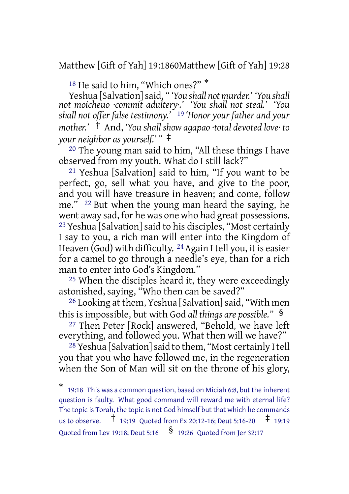Matthew [Gift of Yah] 19:1860Matthew [Gift of Yah] 19:28

<sup>18</sup> He said to him, "Which ones?" \*

Yeshua [Salvation]said, *" 'You shall not murder.' 'You shall not moicheuo ·commit adultery·.' 'You shall not steal.' 'You shall not offer false testimony.'* 19 *'Honor your father and your mother.'* † And, *'You shall show agapao ·total devoted love· to your neighbor as yourself.' "* ‡

20 The young man said to him, "All these things I have observed from my youth. What do I still lack?"

21 Yeshua [Salvation] said to him, "If you want to be perfect, go, sell what you have, and give to the poor, and you will have treasure in heaven; and come, follow me." 22 But when the young man heard the saying, he went away sad, for he was one who had great possessions. 23 Yeshua [Salvation] said to his disciples, "Most certainly I say to you, a rich man will enter into the Kingdom of Heaven (God) with difficulty.  $^{24}$  Again I tell you, it is easier for a camel to go through a needle's eye, than for a rich man to enter into God's Kingdom."

25 When the disciples heard it, they were exceedingly astonished, saying, "Who then can be saved?"

26 Looking at them, Yeshua [Salvation] said, "With men this is impossible, but with God *all things are possible."* §

27 Then Peter [Rock] answered, "Behold, we have left everything, and followed you. What then will we have?"

<sup>28</sup> Yeshua [Salvation] said to them, "Most certainly I tell you that you who have followed me, in the regeneration when the Son of Man will sit on the throne of his glory,

<sup>\*</sup> 19:18 This was a common question, based on Miciah 6:8, but the inherent question is faulty. What good command will reward me with eternal life? The topic is Torah, the topic is not God himself but that which he commands us to observe. † 19:19 Quoted from Ex 20:12-16; Deut 5:16-20 ‡ 19:19 Quoted from Lev 19:18; Deut 5:16 § 19:26 Quoted from Jer 32:17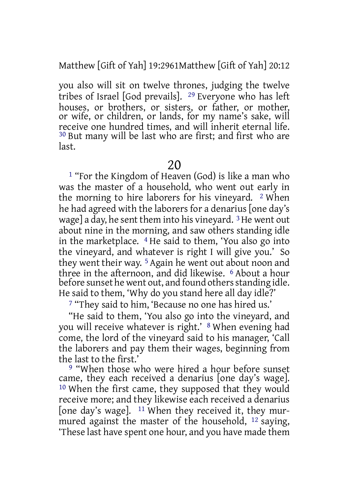Matthew [Gift of Yah] 19:2961Matthew [Gift of Yah] 20:12

you also will sit on twelve thrones, judging the twelve tribes of Israel [God prevails]. 29 Everyone who has left houses, or brothers, or sisters, or father, or mother, or wife, or children, or lands, for my name's sake, will receive one hundred times, and will inherit eternal life. 30 But many will be last who are first; and first who are last.

20

1 "For the Kingdom of Heaven (God) is like a man who was the master of a household, who went out early in the morning to hire laborers for his vineyard. 2 When he had agreed with the laborers for a denarius [one day's wage] a day, he sent them into his vineyard. 3He went out about nine in the morning, and saw others standing idle in the marketplace. 4 He said to them, 'You also go into the vineyard, and whatever is right I will give you.' So they went their way. 5 Again he went out about noon and three in the afternoon, and did likewise. 6 About a hour before sunset he went out, and found others standing idle. He said to them, 'Why do you stand here all day idle?'

7 "They said to him, 'Because no one has hired us.'

"He said to them, 'You also go into the vineyard, and you will receive whatever is right.' 8 When evening had come, the lord of the vineyard said to his manager, 'Call the laborers and pay them their wages, beginning from the last to the first.'

9 "When those who were hired a hour before sunset came, they each received a denarius [one day's wage]. 10 When the first came, they supposed that they would receive more; and they likewise each received a denarius [one day's wage]. 11 When they received it, they murmured against the master of the household, 12 saying, 'These last have spent one hour, and you have made them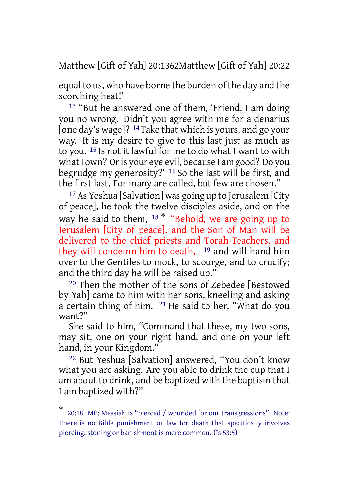Matthew [Gift of Yah] 20:1362Matthew [Gift of Yah] 20:22

equal to us, who have borne the burden of the day and the scorching heat!'

13 "But he answered one of them, 'Friend, I am doing you no wrong. Didn't you agree with me for a denarius [one day's wage]? 14 Take that which is yours, and go your way. It is my desire to give to this last just as much as to you. 15 Is not it lawful for me to do what I want to with what I own? Or is your eye evil, because I am good? Do you begrudge my generosity?' 16 So the last will be first, and the first last. For many are called, but few are chosen."

17 As Yeshua [Salvation] was going up to Jerusalem [City of peace], he took the twelve disciples aside, and on the way he said to them, <sup>18</sub> \* "Behold, we are going up to</sup> Jerusalem [City of peace], and the Son of Man will be delivered to the chief priests and Torah-Teachers, and they will condemn him to death,  $19$  and will hand him over to the Gentiles to mock, to scourge, and to crucify; and the third day he will be raised up."

20 Then the mother of the sons of Zebedee [Bestowed by Yah] came to him with her sons, kneeling and asking a certain thing of him. 21 He said to her, "What do you want?"

She said to him, "Command that these, my two sons, may sit, one on your right hand, and one on your left hand, in your Kingdom."

22 But Yeshua [Salvation] answered, "You don't know what you are asking. Are you able to drink the cup that I am about to drink, and be baptized with the baptism that I am baptized with?"

<sup>\*</sup> 20:18 MP: Messiah is "pierced / wounded for our transgressions". Note: There is no Bible punishment or law for death that specifically involves piercing; stoning or banishment is more common. (Is 53:5)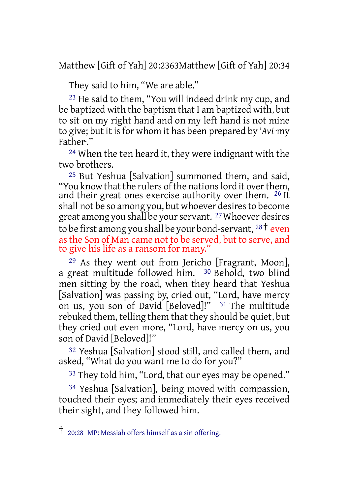Matthew [Gift of Yah] 20:2363Matthew [Gift of Yah] 20:34

They said to him, "We are able."

23 He said to them, "You will indeed drink my cup, and be baptized with the baptism that I am baptized with, but to sit on my right hand and on my left hand is not mine to give; but it isfor whom it has been prepared by *'Avi* ·my Father·."

24 When the ten heard it, they were indignant with the two brothers.

25 But Yeshua [Salvation] summoned them, and said, "You know that the rulers of the nations lord it over them, and their great ones exercise authority over them. <sup>26</sup> It shall not be so among you, but whoever desires to become great among you shall be your servant. <sup>27</sup> Whoever desires to be first among you shall be your bond-servant,  $28\degree$  even asthe Son of Man came not to be served, but to serve, and to give his life as a ransom for many."

29 As they went out from Jericho [Fragrant, Moon], a great multitude followed him. 30 Behold, two blind men sitting by the road, when they heard that Yeshua [Salvation] was passing by, cried out, "Lord, have mercy on us, you son of David [Beloved]!" <sup>31</sup> The multitude rebuked them, telling them that they should be quiet, but they cried out even more, "Lord, have mercy on us, you son of David [Beloved]!"

32 Yeshua [Salvation] stood still, and called them, and asked, "What do you want me to do for you?"

<sup>33</sup> They told him, "Lord, that our eyes may be opened."

34 Yeshua [Salvation], being moved with compassion, touched their eyes; and immediately their eyes received their sight, and they followed him.

<sup>†</sup> 20:28 MP: Messiah offers himself as <sup>a</sup> sin offering.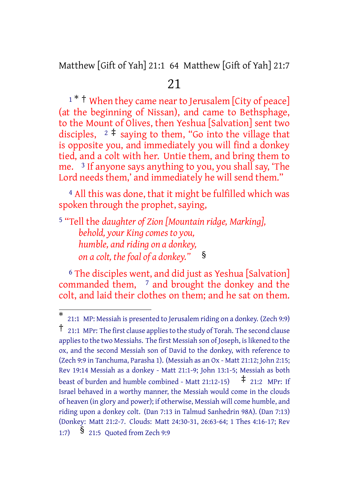Matthew [Gift of Yah] 21:1 64 Matthew [Gift of Yah] 21:7

# 21

<sup>1</sup> \* <sup>†</sup> When they came near to Jerusalem [City of peace] (at the beginning of Nissan), and came to Bethsphage, to the Mount of Olives, then Yeshua [Salvation] sent two disciples,  $2 \div \text{ saying to them, "Go into the village that}$ is opposite you, and immediately you will find a donkey tied, and a colt with her. Untie them, and bring them to me. 3 If anyone says anything to you, you shall say, 'The Lord needs them,' and immediately he will send them."

4 All this was done, that it might be fulfilled which was spoken through the prophet, saying,

5 "Tell the *daughter of Zion [Mountain ridge, Marking],*

*behold, your King comes to you, humble, and riding on a donkey, on a colt, the foal of a donkey."* §

<sup>6</sup> The disciples went, and did just as Yeshua [Salvation] commanded them, <sup>7</sup> and brought the donkey and the colt, and laid their clothes on them; and he sat on them.

<sup>\*</sup> 21:1 MP: Messiah is presented to Jerusalem riding on a donkey. (Zech 9:9) † 21:1 MPr: The first clause appliesto the study of Torah. The second clause applies to the two Messiahs. The first Messiah son of Joseph, is likened to the ox, and the second Messiah son of David to the donkey, with reference to (Zech 9:9 in Tanchuma, Parasha 1). (Messiah as an Ox - Matt 21:12; John 2:15; Rev 19:14 Messiah as a donkey - Matt 21:1-9; John 13:1-5; Messiah as both beast of burden and humble combined - Matt 21:12-15)  $\uparrow$  21:2 MPr: If Israel behaved in a worthy manner, the Messiah would come in the clouds of heaven (in glory and power); if otherwise, Messiah will come humble, and riding upon a donkey colt. (Dan 7:13 in Talmud Sanhedrin 98A). (Dan 7:13) (Donkey: Matt 21:2-7. Clouds: Matt 24:30-31, 26:63-64; 1 Thes 4:16-17; Rev

<sup>1:7)</sup> § 21:5 Quoted from Zech 9:9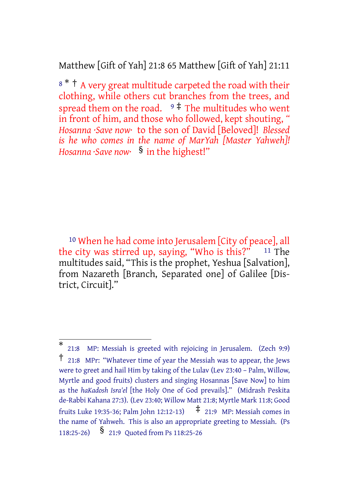Matthew [Gift of Yah] 21:8 65 Matthew [Gift of Yah] 21:11

<sup>8</sup> \* † A very great multitude carpeted the road with their clothing, while others cut branches from the trees, and spread them on the road.  $9 \frac{4}{3}$  The multitudes who went in front of him, and those who followed, kept shouting, *" Hosanna ·Save now·* to the son of David [Beloved]! *Blessed is he who comes in the name of MarYah [Master Yahweh]! Hosanna ·Save now·* § in the highest!"

10 When he had come into Jerusalem [City of peace], all the city was stirred up, saying, "Who is this?"  $11$  The multitudes said, "This is the prophet, Yeshua [Salvation], from Nazareth [Branch, Separated one] of Galilee [District, Circuit]."

<sup>\*</sup> 21:8 MP: Messiah is greeted with rejoicing in Jerusalem. (Zech 9:9) † 21:8 MPr: "Whatever time of year the Messiah was to appear, the Jews were to greet and hail Him by taking of the Lulav (Lev 23:40 – Palm, Willow, Myrtle and good fruits) clusters and singing Hosannas [Save Now] to him as the *haKadosh Isra'el* [the Holy One of God prevails]." (Midrash Peskita de-Rabbi Kahana 27:3). (Lev 23:40; Willow Matt 21:8; Myrtle Mark 11:8; Good fruits Luke 19:35-36; Palm John 12:12-13)  $\uparrow$  21:9 MP: Messiah comes in the name of Yahweh. This is also an appropriate greeting to Messiah. (Ps 118:25-26) § 21:9 Quoted from Ps 118:25-26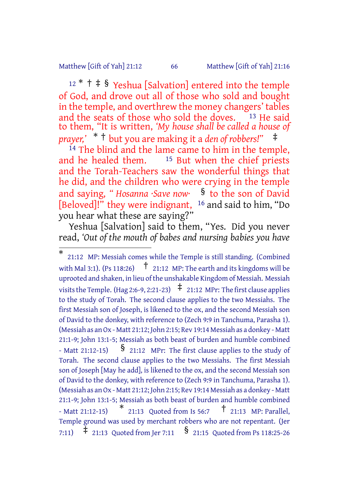#### Matthew [Gift of Yah] 21:12 66 Matthew [Gift of Yah] 21:16

<sup>12</sup> \* † ‡ § Yeshua [Salvation] entered into the temple of God, and drove out all of those who sold and bought in the temple, and overthrew the money changers' tables and the seats of those who sold the doves.  $13$  He said to them, "It is written, *'My house shall be called a house of prayer,'* \* † but you are making it a *den of robbers!"* ‡

 $\frac{14}{14}$  The blind and the lame came to him in the temple, and he healed them.  $\frac{15}{15}$  But when the chief priests  $15$  But when the chief priests and the Torah-Teachers saw the wonderful things that he did, and the children who were crying in the temple and saying, *" Hosanna ·Save now·* § to the son of David [Beloved]!" they were indignant, 16 and said to him, "Do you hear what these are saying?"

Yeshua [Salvation] said to them, "Yes. Did you never read, *'Out of the mouth of babes and nursing babies you have*

<sup>\*</sup> 21:12 MP: Messiah comes while the Temple is still standing. (Combined with Mal 3:1). (Ps 118:26)  $\uparrow$  21:12 MP: The earth and its kingdoms will be uprooted and shaken, in lieu of the unshakable Kingdom of Messiah. Messiah visits the Temple. (Hag 2:6-9, 2:21-23)  $\uparrow$  21:12 MPr: The first clause applies to the study of Torah. The second clause applies to the two Messiahs. The first Messiah son of Joseph, is likened to the ox, and the second Messiah son of David to the donkey, with reference to (Zech 9:9 in Tanchuma, Parasha 1). (Messiah as anOx - Matt 21:12; John 2:15; Rev 19:14 Messiah as a donkey - Matt 21:1-9; John 13:1-5; Messiah as both beast of burden and humble combined - Matt 21:12-15) § 21:12 MPr: The first clause applies to the study of Torah. The second clause applies to the two Messiahs. The first Messiah son of Joseph [May he add], is likened to the ox, and the second Messiah son of David to the donkey, with reference to (Zech 9:9 in Tanchuma, Parasha 1). (Messiah as anOx - Matt 21:12; John 2:15; Rev 19:14 Messiah as a donkey - Matt 21:1-9; John 13:1-5; Messiah as both beast of burden and humble combined - Matt 21:12-15)  $*$  21:13 Quoted from Is 56:7  $†$  21:13 MP: Parallel, Temple ground was used by merchant robbers who are not repentant. (Jer 7:11)  $\ddagger$  21:13 Quoted from Jer 7:11  $\frac{1}{2}$  21:15 Quoted from Ps 118:25-26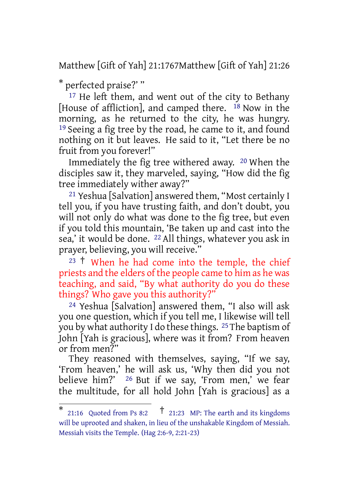Matthew [Gift of Yah] 21:1767Matthew [Gift of Yah] 21:26

\* perfected praise?' "

<sup>17</sup> He left them, and went out of the city to Bethany [House of affliction], and camped there. 18 Now in the morning, as he returned to the city, he was hungry. 19 Seeing a fig tree by the road, he came to it, and found nothing on it but leaves. He said to it, "Let there be no fruit from you forever!"

Immediately the fig tree withered away. 20 When the disciples saw it, they marveled, saying, "How did the fig tree immediately wither away?"

21 Yeshua [Salvation] answered them, "Most certainly I tell you, if you have trusting faith, and don't doubt, you will not only do what was done to the fig tree, but even if you told this mountain, 'Be taken up and cast into the sea,' it would be done. 22 All things, whatever you ask in prayer, believing, you will receive."

 $23 \t{+}$  When he had come into the temple, the chief priests and the elders of the people came to him as he was teaching, and said, "By what authority do you do these things? Who gave you this authority?"

24 Yeshua [Salvation] answered them, "I also will ask you one question, which if you tell me, I likewise will tell you by what authority I do these things. 25The baptism of John [Yah is gracious], where was it from? From heaven or from men?"

They reasoned with themselves, saying, "If we say, 'From heaven,' he will ask us, 'Why then did you not believe him?' 26 But if we say, 'From men,' we fear the multitude, for all hold John [Yah is gracious] as a

<sup>\*</sup> 21:16 Quoted from Ps 8:2  $\uparrow$  21:23 MP: The earth and its kingdoms will be uprooted and shaken, in lieu of the unshakable Kingdom of Messiah. Messiah visits the Temple. (Hag 2:6-9, 2:21-23)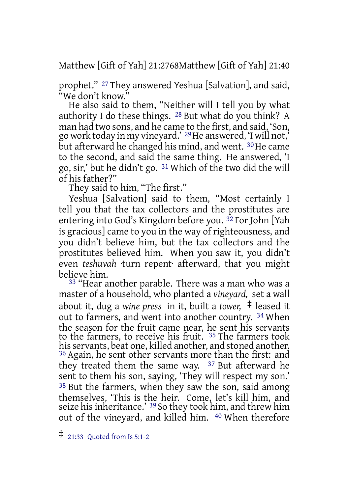Matthew [Gift of Yah] 21:2768Matthew [Gift of Yah] 21:40

prophet." 27 They answered Yeshua [Salvation], and said, "We don't know."

He also said to them, "Neither will I tell you by what authority I do these things. 28 But what do you think? A man had two sons, and he came to the first, and said, 'Son, go work today in my vineyard.' 29He answered, 'I will not,' but afterward he changed his mind, and went. <sup>30</sup> He came to the second, and said the same thing. He answered, 'I go, sir,' but he didn't go. 31 Which of the two did the will of his father?"

They said to him, "The first."

Yeshua [Salvation] said to them, "Most certainly I tell you that the tax collectors and the prostitutes are entering into God's Kingdom before you. 32 For John [Yah is gracious] came to you in the way of righteousness, and you didn't believe him, but the tax collectors and the prostitutes believed him. When you saw it, you didn't even *teshuvah* ·turn repent· afterward, that you might believe him.

33 "Hear another parable. There was a man who was a master of a household, who planted a *vineyard,* set a wall about it, dug a *wine press* in it, built a *tower,* ‡ leased it out to farmers, and went into another country. 34 When the season for the fruit came near, he sent his servants to the farmers, to receive his fruit. 35 The farmers took his servants, beat one, killed another, and stoned another. 36 Again, he sent other servants more than the first: and they treated them the same way.  $37$  But afterward he sent to them his son, saying, 'They will respect my son.' 38 But the farmers, when they saw the son, said among themselves, 'This is the heir. Come, let's kill him, and seize his inheritance.' <sup>39</sup> So they took him, and threw him out of the vineyard, and killed him. 40 When therefore

<sup>‡</sup> 21:33 Quoted from Is 5:1-2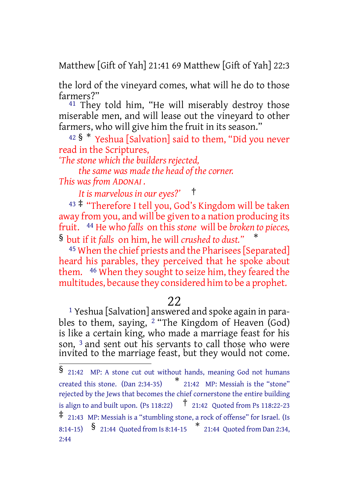Matthew [Gift of Yah] 21:41 69 Matthew [Gift of Yah] 22:3

the lord of the vineyard comes, what will he do to those farmers?"

<sup>41</sup> They told him, "He will miserably destroy those miserable men, and will lease out the vineyard to other farmers, who will give him the fruit in its season."

<sup>42</sup> § \* Yeshua [Salvation] said to them, "Did you never read in the Scriptures,

*'The stone which the builders rejected,*

*the same was made the head of the corner.*

*This was from ADONAI .*

*It is marvelous in our eyes?'* †

<sup>43</sup> ‡ "Therefore I tell you, God's Kingdom will be taken away from you, and will be given to a nation producing its fruit. 44 He who *falls* on this *stone* will be *broken to pieces,* § but if it *falls* on him, he will *crushed to dust."* \*

<sup>45</sup> When the chief priests and the Pharisees [Separated] heard his parables, they perceived that he spoke about them. 46 When they sought to seize him, they feared the multitudes, because they considered him to be a prophet.

#### 22

1 Yeshua [Salvation] answered and spoke again in parables to them, saying, <sup>2</sup> "The Kingdom of Heaven (God) is like a certain king, who made a marriage feast for his son, <sup>3</sup> and sent out his servants to call those who were invited to the marriage feast, but they would not come.

<sup>§</sup> 21:42 MP: <sup>A</sup> stone cut out without hands, meaning God not humans created this stone. (Dan 2:34-35) \* 21:42 MP: Messiah is the "stone" rejected by the Jews that becomes the chief cornerstone the entire building is align to and built upon. (Ps 118:22)  $\uparrow$  21:42 Quoted from Ps 118:22-23 ‡ 21:43 MP: Messiah is <sup>a</sup> "stumbling stone, <sup>a</sup> rock of offense" for Israel. (Is 8:14-15) § 21:44 Quoted from Is 8:14-15 \* 21:44 Quoted from Dan 2:34, 2:44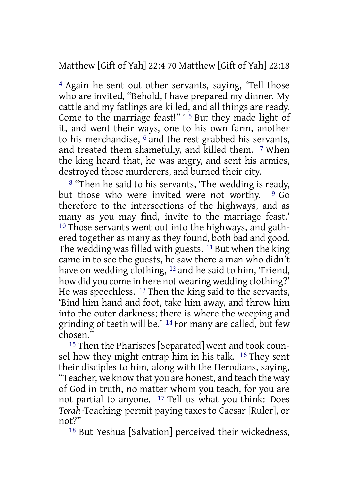Matthew [Gift of Yah] 22:4 70 Matthew [Gift of Yah] 22:18

4 Again he sent out other servants, saying, 'Tell those who are invited, "Behold, I have prepared my dinner. My cattle and my fatlings are killed, and all things are ready. Come to the marriage feast!" ' 5 But they made light of it, and went their ways, one to his own farm, another to his merchandise, 6 and the rest grabbed his servants, and treated them shamefully, and killed them. 7 When the king heard that, he was angry, and sent his armies, destroyed those murderers, and burned their city.

8 "Then he said to his servants, 'The wedding is ready, but those who were invited were not worthy.  $9\,$  Go therefore to the intersections of the highways, and as many as you may find, invite to the marriage feast.' 10 Those servants went out into the highways, and gathered together as many as they found, both bad and good. The wedding was filled with guests. 11 But when the king came in to see the guests, he saw there a man who didn't have on wedding clothing, <sup>12</sup> and he said to him, 'Friend, how did you come in here not wearing wedding clothing?' He was speechless. 13 Then the king said to the servants, 'Bind him hand and foot, take him away, and throw him into the outer darkness; there is where the weeping and grinding of teeth will be.' 14 For many are called, but few chosen."

15 Then the Pharisees [Separated] went and took counsel how they might entrap him in his talk. 16 They sent their disciples to him, along with the Herodians, saying, "Teacher, we know that you are honest, and teach the way of God in truth, no matter whom you teach, for you are not partial to anyone. 17 Tell us what you think: Does *Torah* ·Teaching· permit paying taxes to Caesar [Ruler], or not?"

18 But Yeshua [Salvation] perceived their wickedness,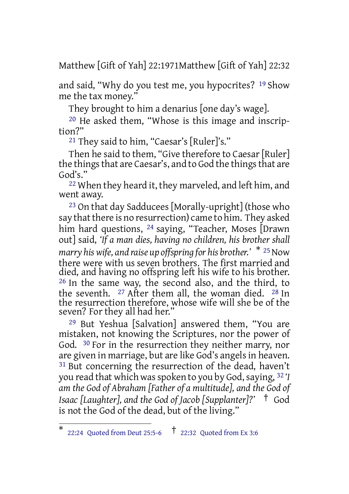Matthew [Gift of Yah] 22:1971Matthew [Gift of Yah] 22:32

and said, "Why do you test me, you hypocrites? 19 Show me the tax money."

They brought to him a denarius [one day's wage].

20 He asked them, "Whose is this image and inscription?"

21 They said to him, "Caesar's [Ruler]'s."

Then he said to them, "Give therefore to Caesar [Ruler] the things that are Caesar's, and to God the things that are God's."

<sup>22</sup> When they heard it, they marveled, and left him, and went away.

23 On that day Sadducees [Morally-upright] (those who say that there is no resurrection) came to him. They asked him hard questions, <sup>24</sup> saying, "Teacher, Moses [Drawn out] said, *'If a man dies, having no children, his brother shall marry his wife, and raise up offspring for his brother.'* \* <sup>25</sup>Now there were with us seven brothers. The first married and died, and having no offspring left his wife to his brother. 26 In the same way, the second also, and the third, to the seventh. <sup>27</sup> After them all, the woman died. <sup>28</sup> In the resurrection therefore, whose wife will she be of the seven? For they all had her."

29 But Yeshua [Salvation] answered them, "You are mistaken, not knowing the Scriptures, nor the power of God. 30 For in the resurrection they neither marry, nor are given in marriage, but are like God's angels in heaven. <sup>31</sup> But concerning the resurrection of the dead, haven't you read that which wasspoken to you by God,saying, 32 *'I am the God of Abraham [Father of a multitude], and the God of Isaac [Laughter], and the God of Jacob [Supplanter]?'* † God is not the God of the dead, but of the living."

<sup>\*</sup> 22:24 Quoted from Deut 25:5-6 † 22:32 Quoted from Ex 3:6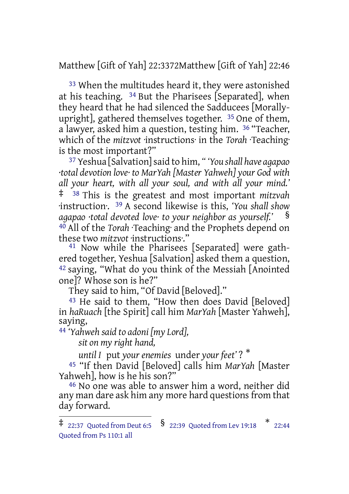Matthew [Gift of Yah] 22:3372Matthew [Gift of Yah] 22:46

33 When the multitudes heard it, they were astonished at his teaching. 34 But the Pharisees [Separated], when they heard that he had silenced the Sadducees [Morallyupright], gathered themselves together. 35 One of them, a lawyer, asked him a question, testing him. 36 "Teacher, which of the *mitzvot* ·instructions· in the *Torah* ·Teaching· is the most important?"

37 Yeshua [Salvation]said to him, *" 'You shall have agapao ·total devotion love· to MarYah [Master Yahweh] your God with all your heart, with all your soul, and with all your mind.'* ‡ <sup>38</sup> This is the greatest and most important *mitzvah* ·instruction·. 39 A second likewise is this, *'You shall show agapao ·total devoted love· to your neighbor as yourself.'* § 40 All of the *Torah* ·Teaching· and the Prophets depend on these two *mitzvot* ·instructions·."

<sup>41</sup> Now while the Pharisees [Separated] were gathered together, Yeshua [Salvation] asked them a question,  $42$  saying, "What do you think of the Messiah [Anointed] one]? Whose son is he?"

They said to him, "Of David [Beloved]."

<sup>43</sup> He said to them, "How then does David [Beloved] in *haRuach* [the Spirit] call him *MarYah* [Master Yahweh], saying,

44 *'Yahweh said to adoni [my Lord],*

*sit on my right hand,*

*until I* put *your enemies* under *your feet'* ? \*

45 "If then David [Beloved] calls him *MarYah* [Master Yahweh], how is he his son?"

46 No one was able to answer him a word, neither did any man dare ask him any more hard questions from that day forward.

 $\ddagger$  22:37 Quoted from Deut 6:5  $\,$   $\frac{\,\$}{\,\,}$  22:39 Quoted from Lev 19:18  $\,$   $\,$   $\,$   $\,$  22:44 Quoted from Ps 110:1 all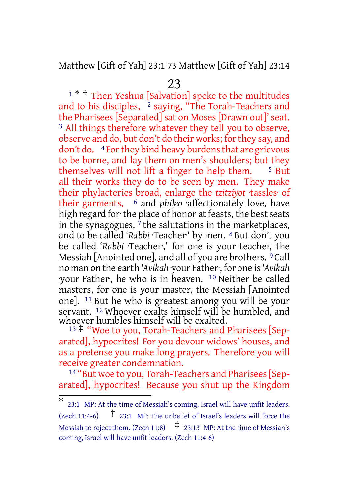Matthew [Gift of Yah] 23:1 73 Matthew [Gift of Yah] 23:14

23

<sup>1</sup> \* † Then Yeshua [Salvation] spoke to the multitudes and to his disciples,  $\frac{1}{2}$  saying, "The Torah-Teachers and the Pharisees [Separated] sat on Moses [Drawn out]' seat. 3 All things therefore whatever they tell you to observe, observe and do, but don't do their works; forthey say, and don't do. 4 For they bind heavy burdens that are grievous to be borne, and lay them on men's shoulders; but they themselves will not lift a finger to help them.  $\frac{5 \text{ But}}{2}$ all their works they do to be seen by men. They make their phylacteries broad, enlarge the *tzitziyot* ·tassles· of their garments, 6 and *phileo* ·affectionately love, have high regard for the place of honor at feasts, the best seats in the synagogues,  $7$  the salutations in the marketplaces, and to be called '*Rabbi* ·Teacher·' by men. 8 But don't you be called '*Rabbi* ·Teacher·,' for one is your teacher, the Messiah [Anointed one], and all of you are brothers. 9 Call no man on the earth *'Avikah* ·your Father·, for one is*'Avikah* ·your Father·, he who is in heaven. 10 Neither be called masters, for one is your master, the Messiah [Anointed one]. 11 But he who is greatest among you will be your servant. 12 Whoever exalts himself will be humbled, and whoever humbles himself will be exalted.

<sup>13</sup> ‡ "Woe to you, Torah-Teachers and Pharisees [Separated], hypocrites! For you devour widows' houses, and as a pretense you make long prayers. Therefore you will receive greater condemnation.

14 "But woe to you, Torah-Teachers and Pharisees [Separated], hypocrites! Because you shut up the Kingdom

<sup>\*</sup> 23:1 MP: At the time of Messiah's coming, Israel will have unfit leaders. (Zech 11:4-6) † 23:1 MP: The unbelief of Israel's leaders will force the Messiah to reject them. (Zech 11:8)  $\uparrow$  23:13 MP: At the time of Messiah's coming, Israel will have unfit leaders. (Zech 11:4-6)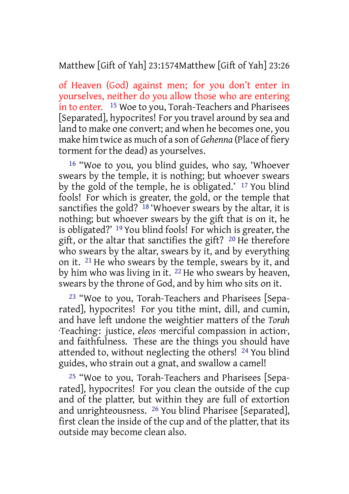# Matthew [Gift of Yah] 23:1574Matthew [Gift of Yah] 23:26

of Heaven (God) against men; for you don't enter in yourselves, neither do you allow those who are entering in to enter. 15 Woe to you, Torah-Teachers and Pharisees [Separated], hypocrites! For you travel around by sea and land to make one convert; and when he becomes one, you make him twice as much of a son of *Gehenna* (Place of fiery torment for the dead) as yourselves.

16 "Woe to you, you blind guides, who say, 'Whoever swears by the temple, it is nothing; but whoever swears by the gold of the temple, he is obligated.' 17 You blind fools! For which is greater, the gold, or the temple that sanctifies the gold?  $18$  'Whoever swears by the altar, it is nothing; but whoever swears by the gift that is on it, he is obligated?' 19 You blind fools! For which is greater, the gift, or the altar that sanctifies the gift? 20 He therefore who swears by the altar, swears by it, and by everything on it. 21 He who swears by the temple, swears by it, and by him who was living in it. 22 He who swears by heaven, swears by the throne of God, and by him who sits on it.

23 "Woe to you, Torah-Teachers and Pharisees [Separated], hypocrites! For you tithe mint, dill, and cumin, and have left undone the weightier matters of the *Torah* ·Teaching·: justice, *eleos* ·merciful compassion in action·, and faithfulness. These are the things you should have attended to, without neglecting the others! 24 You blind guides, who strain out a gnat, and swallow a camel!

25 "Woe to you, Torah-Teachers and Pharisees [Separated], hypocrites! For you clean the outside of the cup and of the platter, but within they are full of extortion and unrighteousness. 26 You blind Pharisee [Separated], first clean the inside of the cup and of the platter, that its outside may become clean also.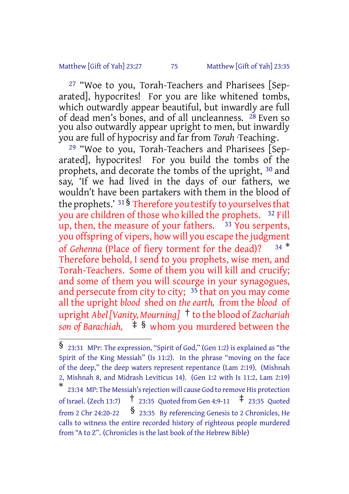#### Matthew [Gift of Yah] 23:27 75 Matthew [Gift of Yah] 23:35

27 "Woe to you, Torah-Teachers and Pharisees [Separated], hypocrites! For you are like whitened tombs, which outwardly appear beautiful, but inwardly are full of dead men's bones, and of all uncleanness. <sup>28</sup> Even so you also outwardly appear upright to men, but inwardly you are full of hypocrisy and far from *Torah* ·Teaching·.

29 "Woe to you, Torah-Teachers and Pharisees [Separated], hypocrites! For you build the tombs of the prophets, and decorate the tombs of the upright, 30 and say, 'If we had lived in the days of our fathers, we wouldn't have been partakers with them in the blood of the prophets.'  $31\$ <sup>§</sup> Therefore you testify to yourselves that you are children of those who killed the prophets. 32 Fill up, then, the measure of your fathers.  $\frac{33 \text{ You}$  serpents, you offspring of vipers, how will you escape the judgment of *Gehenna* (Place of fiery torment for the dead)? <sup>34 \*</sup> Therefore behold, I send to you prophets, wise men, and Torah-Teachers. Some of them you will kill and crucify; and some of them you will scourge in your synagogues, and persecute from city to city; 35 that on you may come all the upright *blood* shed on *the earth,* from the *blood* of upright *Abel[Vanity, Mourning]* † to the blood of *Zachariah son of Barachiah,* ‡ § whom you murdered between the

<sup>§</sup> 23:31 MPr: The expression, "Spirit of God," (Gen 1:2) is explained as "the Spirit of the King Messiah" (Is 11:2). In the phrase "moving on the face of the deep," the deep waters represent repentance (Lam 2:19). (Mishnah 2, Mishnah 8, and Midrash Leviticus 14). (Gen 1:2 with Is 11:2, Lam 2:19)

<sup>\*</sup> 23:34 MP: The Messiah's rejection will cause God to remove His protection of Israel. (Zech 13:7)  $\frac{1}{2}$  23:35 Quoted from Gen 4:9-11  $\frac{1}{2}$  23:35 Quoted from 2 Chr 24:20-22  $\frac{\$}{}$  23:35 By referencing Genesis to 2 Chronicles, He calls to witness the entire recorded history of righteous people murdered from "A to Z". (Chronicles is the last book of the Hebrew Bible)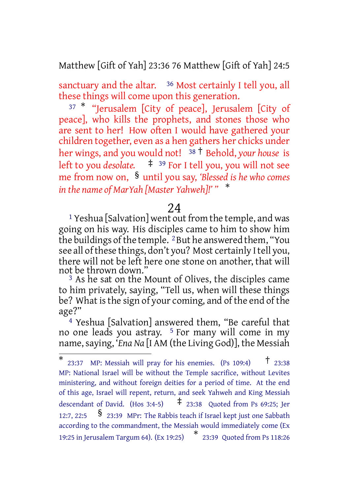Matthew [Gift of Yah] 23:36 76 Matthew [Gift of Yah] 24:5

sanctuary and the altar. <sup>36</sup> Most certainly I tell you, all these things will come upon this generation.

<sup>37</sup> \* "Jerusalem [City of peace], Jerusalem [City of peace], who kills the prophets, and stones those who are sent to her! How often I would have gathered your children together, even as a hen gathers her chicks under her wings, and you would not! <sup>38</sup> † Behold, *your house* is left to you *desolate.* ‡ <sup>39</sup> For I tell you, you will not see me from now on, § until you say, *'Blessed is he who comes in the name of MarYah [Master Yahweh]!' "* \*

## 24

1 Yeshua [Salvation] went out from the temple, and was going on his way. His disciples came to him to show him the buildings of the temple. <sup>2</sup> But he answered them, "You see all of these things, don't you? Most certainly I tell you, there will not be left here one stone on another, that will not be thrown down."

<sup>3</sup> As he sat on the Mount of Olives, the disciples came to him privately, saying, "Tell us, when will these things be? What is the sign of your coming, and of the end of the age?"

4 Yeshua [Salvation] answered them, "Be careful that no one leads you astray. 5 For many will come in my name, saying, '*Ena* Na [I AM (the Living God)], the Messiah

 $*$  23:37 MP: Messiah will pray for his enemies. (Ps 109:4)  $*$  23:38 MP: National Israel will be without the Temple sacrifice, without Levites ministering, and without foreign deities for a period of time. At the end of this age, Israel will repent, return, and seek Yahweh and King Messiah descendant of David. (Hos 3:4-5)  $\qquad$   $\ddagger$  23:38 Quoted from Ps 69:25; Jer 12:7, 22:5 § 23:39 MPr: The Rabbis teach if Israel kept just one Sabbath according to the commandment, the Messiah would immediately come (Ex 19:25 in Jerusalem Targum 64). (Ex 19:25) \* 23:39 Quoted from Ps 118:26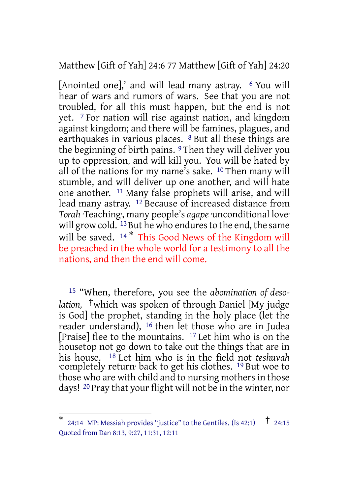Matthew [Gift of Yah] 24:6 77 Matthew [Gift of Yah] 24:20

[Anointed one],' and will lead many astray. <sup>6</sup> You will hear of wars and rumors of wars. See that you are not troubled, for all this must happen, but the end is not yet. 7 For nation will rise against nation, and kingdom against kingdom; and there will be famines, plagues, and earthquakes in various places. 8 But all these things are the beginning of birth pains. 9 Then they will deliver you up to oppression, and will kill you. You will be hated by all of the nations for my name's sake. 10 Then many will stumble, and will deliver up one another, and will hate one another. 11 Many false prophets will arise, and will lead many astray. 12 Because of increased distance from *Torah* ·Teaching·, many people's *agape* ·unconditional love· will grow cold. <sup>13</sup> But he who endures to the end, the same will be saved. <sup>14\*</sup> This Good News of the Kingdom will be preached in the whole world for a testimony to all the nations, and then the end will come.

15 "When, therefore, you see the *abomination of desolation,* †which was spoken of through Daniel [My judge is God] the prophet, standing in the holy place (let the reader understand), 16 then let those who are in Judea [Praise] flee to the mountains. 17 Let him who is on the housetop not go down to take out the things that are in his house. 18 Let him who is in the field not *teshuvah* ·completely return· back to get his clothes. 19 But woe to those who are with child and to nursing mothers in those days! 20 Pray that your flight will not be in the winter, nor

<sup>\*</sup> 24:14 MP: Messiah provides "justice" to the Gentiles. (Is 42:1)  $\uparrow$  24:15 Quoted from Dan 8:13, 9:27, 11:31, 12:11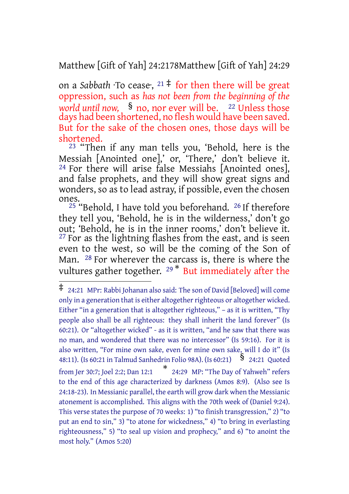Matthew [Gift of Yah] 24:2178Matthew [Gift of Yah] 24:29

on a *Sabbath* ·To cease·, <sup>21</sup> ‡ for then there will be great oppression, such as *has not been from the beginning of the world until now,* § no, nor ever will be. <sup>22</sup> Unless those days had been shortened, no flesh would have been saved. But for the sake of the chosen ones, those days will be shortened.

<sup>23</sup> "Then if any man tells you, 'Behold, here is the Messiah [Anointed one],' or, 'There,' don't believe it. 24 For there will arise false Messiahs [Anointed ones], and false prophets, and they will show great signs and wonders, so as to lead astray, if possible, even the chosen ones.

 $25$  "Behold, I have told you beforehand.  $26$  If therefore they tell you, 'Behold, he is in the wilderness,' don't go out; 'Behold, he is in the inner rooms,' don't believe it. <sup>27</sup> For as the lightning flashes from the east, and is seen even to the west, so will be the coming of the Son of Man. <sup>28</sup> For wherever the carcass is, there is where the vultures gather together. <sup>29\*</sup> But immediately after the

<sup>‡</sup> 24:21 MPr: Rabbi Johanan also said: The son of David [Beloved] will come only in a generation that is either altogether righteous or altogether wicked. Either "in a generation that is altogether righteous," – as it is written, "Thy people also shall be all righteous: they shall inherit the land forever" (Is 60:21). Or "altogether wicked" - as it is written, "and he saw that there was no man, and wondered that there was no intercessor" (Is 59:16). For it is also written, "For mine own sake, even for mine own sake, will I do it" (Is 48:11). (Is 60:21 in Talmud Sanhedrin Folio 98A). (Is 60:21) § 24:21 Quoted from Jer 30:7; Joel 2:2; Dan 12:1 \* 24:29 MP: "The Day of Yahweh" refers to the end of this age characterized by darkness (Amos 8:9). (Also see Is 24:18-23). In Messianic parallel, the earth will grow dark when the Messianic atonement is accomplished. This aligns with the 70th week of (Daniel 9:24). This verse states the purpose of 70 weeks: 1) "to finish transgression," 2) "to put an end to sin," 3) "to atone for wickedness," 4) "to bring in everlasting righteousness," 5) "to seal up vision and prophecy," and 6) "to anoint the most holy." (Amos 5:20)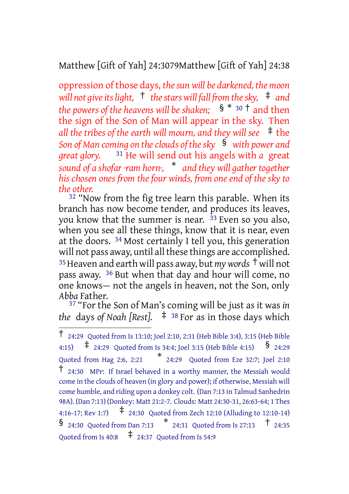# Matthew [Gift of Yah] 24:3079Matthew [Gift of Yah] 24:38

oppression of those days, *thesun will be darkened, the moon will not giveitslight,* † *thestars will fall from thesky,* ‡ *and the powers of the heavens will be shaken;* § \* <sup>30</sup> † and then the sign of the Son of Man will appear in the sky. Then *all the tribes of the earth will mourn, and they will see* ‡ the *Son of Man coming on theclouds of thesky* § *with power and great glory.* 31 He will send out his angels with *a* great *sound of a shofar ·ram horn·,* \* *and they will gather together his chosen ones from the four winds, from one end of the sky to the other.*

<sup>32</sup> "Now from the fig tree learn this parable. When its branch has now become tender, and produces its leaves, you know that the summer is near.  $33$  Even so you also, when you see all these things, know that it is near, even at the doors. 34 Most certainly I tell you, this generation will not pass away, until all these things are accomplished. <sup>35</sup>Heaven and earth will pass away, but *mywords* † will not pass away. 36 But when that day and hour will come, no one knows— not the angels in heaven, not the Son, only *Abba* Father.

37 "For the Son of Man's coming will be just as it was *in the* days *of Noah [Rest].* ‡ <sup>38</sup> For as in those days which

<sup>†</sup> 24:29 Quoted from Is 13:10; Joel 2:10, 2:31 (Heb Bible 3:4), 3:15 (Heb Bible 4:15)  $\uparrow$  24:29 Quoted from Is 34:4; Joel 3:15 (Heb Bible 4:15)  $\uparrow$  24:29 Quoted from Hag 2:6, 2:21 \* 24:29 Quoted from Eze 32:7; Joel 2:10 † 24:30 MPr: If Israel behaved in <sup>a</sup> worthy manner, the Messiah would come in the clouds of heaven (in glory and power); if otherwise, Messiah will come humble, and riding upon a donkey colt. (Dan 7:13 in Talmud Sanhedrin 98A). (Dan 7:13) (Donkey: Matt 21:2-7. Clouds: Matt 24:30-31, 26:63-64; 1 Thes 4:16-17; Rev 1:7) ‡ 24:30 Quoted from Zech 12:10 (Alluding to 12:10-14)  $\frac{1}{24:30}$  Quoted from Dan 7:13  $\frac{1}{24:31}$  Quoted from Is 27:13  $\frac{1}{24:35}$ Quoted from Is 40:8  $\pm$  24:37 Quoted from Is 54:9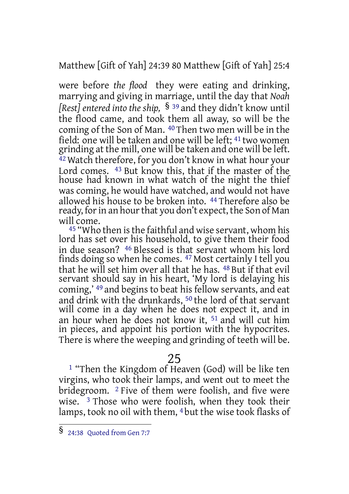Matthew [Gift of Yah] 24:39 80 Matthew [Gift of Yah] 25:4

were before *the flood* they were eating and drinking, marrying and giving in marriage, until the day that *Noah [Rest] entered into the ship,* § <sup>39</sup> and they didn't know until the flood came, and took them all away, so will be the coming of the Son of Man. 40 Then two men will be in the field: one will be taken and one will be left; <sup>41</sup> two women grinding at the mill, one will be taken and one will be left. 42 Watch therefore, for you don't know in what hour your Lord comes. <sup>43</sup> But know this, that if the master of the house had known in what watch of the night the thief was coming, he would have watched, and would not have allowed his house to be broken into. 44 Therefore also be ready, for in an hour that you don't expect, the Son of Man will come.

<sup>45</sup> "Who then is the faithful and wise servant, whom his lord has set over his household, to give them their food in due season? 46 Blessed is that servant whom his lord finds doing so when he comes. 47 Most certainly I tell you that he will set him over all that he has. 48 But if that evil servant should say in his heart, 'My lord is delaying his coming,' 49 and begins to beat his fellow servants, and eat and drink with the drunkards, 50 the lord of that servant will come in a day when he does not expect it, and in an hour when he does not know it, 51 and will cut him in pieces, and appoint his portion with the hypocrites. There is where the weeping and grinding of teeth will be.

# 25

1 "Then the Kingdom of Heaven (God) will be like ten virgins, who took their lamps, and went out to meet the bridegroom. <sup>2</sup> Five of them were foolish, and five were wise. 3 Those who were foolish, when they took their lamps, took no oil with them, 4 but the wise took flasks of

<sup>§</sup> 24:38 Quoted from Gen 7:7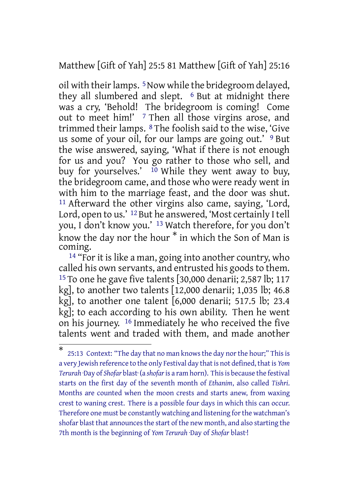Matthew [Gift of Yah] 25:5 81 Matthew [Gift of Yah] 25:16

oil with their lamps. <sup>5</sup> Now while the bridegroom delayed, they all slumbered and slept. <sup>6</sup> But at midnight there was a cry, 'Behold! The bridegroom is coming! Come out to meet him!' 7 Then all those virgins arose, and trimmed their lamps. 8 The foolish said to the wise, 'Give us some of your oil, for our lamps are going out.' 9 But the wise answered, saying, 'What if there is not enough for us and you? You go rather to those who sell, and buy for yourselves.' <sup>10</sup> While they went away to buy, the bridegroom came, and those who were ready went in with him to the marriage feast, and the door was shut. 11 Afterward the other virgins also came, saying, 'Lord, Lord, open to us.' <sup>12</sup> But he answered, 'Most certainly I tell you, I don't know you.' 13 Watch therefore, for you don't know the day nor the hour \* in which the Son of Man is coming.

<sup>14</sup> "For it is like a man, going into another country, who called his own servants, and entrusted his goods to them. 15 To one he gave five talents [30,000 denarii; 2,587 lb; 117 kg], to another two talents [12,000 denarii; 1,035 lb; 46.8 kg], to another one talent [6,000 denarii; 517.5 lb; 23.4 kg]; to each according to his own ability. Then he went on his journey. 16 Immediately he who received the five talents went and traded with them, and made another

<sup>\*</sup> 25:13 Context: "The day that no man knows the day nor the hour;" This is a very Jewish reference to the only Festival day that is not defined, that is *Yom Terurah* ·Day of *Shofar* blast· (a *shofar*is a ram horn). Thisis because the festival starts on the first day of the seventh month of *Ethanim*, also called *Tishri*. Months are counted when the moon crests and starts anew, from waxing crest to waning crest. There is a possible four days in which this can occur. Therefore one must be constantly watching and listening for the watchman's shofar blast that announces the start of the new month, and also starting the 7th month is the beginning of *Yom Terurah* ·Day of *Shofar* blast·!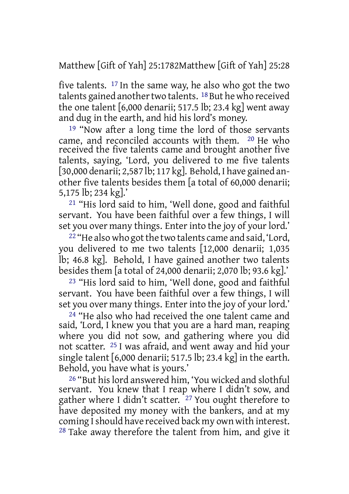Matthew [Gift of Yah] 25:1782Matthew [Gift of Yah] 25:28

five talents. 17 In the same way, he also who got the two talents gained another two talents.  $18$  But he who received the one talent [6,000 denarii; 517.5 lb; 23.4 kg] went away and dug in the earth, and hid his lord's money.

19 "Now after a long time the lord of those servants came, and reconciled accounts with them. 20 He who received the five talents came and brought another five talents, saying, 'Lord, you delivered to me five talents [30,000 denarii; 2,587 lb; 117 kg]. Behold, I have gained another five talents besides them [a total of 60,000 denarii; 5,175 lb; 234 kg].'

21 "His lord said to him, 'Well done, good and faithful servant. You have been faithful over a few things, I will set you over many things. Enter into the joy of your lord.'

<sup>22</sup> "He also who got the two talents came and said, 'Lord, you delivered to me two talents [12,000 denarii; 1,035 lb; 46.8 kg]. Behold, I have gained another two talents besides them [a total of 24,000 denarii; 2,070 lb; 93.6 kg].'

23 "His lord said to him, 'Well done, good and faithful servant. You have been faithful over a few things, I will set you over many things. Enter into the joy of your lord.'

24 "He also who had received the one talent came and said, 'Lord, I knew you that you are a hard man, reaping where you did not sow, and gathering where you did not scatter. 25 I was afraid, and went away and hid your single talent [6,000 denarii; 517.5 lb; 23.4 kg] in the earth. Behold, you have what is yours.'

26 "But hislord answered him, 'You wicked and slothful servant. You knew that I reap where I didn't sow, and gather where I didn't scatter. 27 You ought therefore to have deposited my money with the bankers, and at my coming I should have received back my own with interest.  $28$  Take away therefore the talent from him, and give it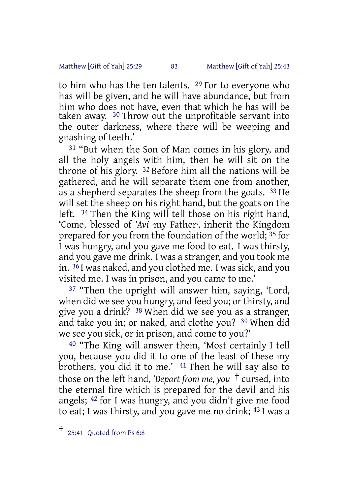#### Matthew [Gift of Yah] 25:29 83 Matthew [Gift of Yah] 25:43

to him who has the ten talents. 29 For to everyone who has will be given, and he will have abundance, but from him who does not have, even that which he has will be taken away. 30 Throw out the unprofitable servant into the outer darkness, where there will be weeping and gnashing of teeth.'

31 "But when the Son of Man comes in his glory, and all the holy angels with him, then he will sit on the throne of his glory. 32 Before him all the nations will be gathered, and he will separate them one from another, as a shepherd separates the sheep from the goats. <sup>33</sup> He will set the sheep on his right hand, but the goats on the left. 34 Then the King will tell those on his right hand, 'Come, blessed of *'Avi* ·my Father·, inherit the Kingdom prepared for you from the foundation of the world; 35 for I was hungry, and you gave me food to eat. I was thirsty, and you gave me drink. I was a stranger, and you took me in. 36 I was naked, and you clothed me. I was sick, and you visited me. I was in prison, and you came to me.'

<sup>37</sup> "Then the upright will answer him, saying, 'Lord, when did we see you hungry, and feed you; or thirsty, and give you a drink? 38 When did we see you as a stranger, and take you in; or naked, and clothe you? 39 When did we see you sick, or in prison, and come to you?'

40 "The King will answer them, 'Most certainly I tell you, because you did it to one of the least of these my brothers, you did it to me.' 41 Then he will say also to those on the left hand, *'Depart from me, you* † cursed, into the eternal fire which is prepared for the devil and his angels; 42 for I was hungry, and you didn't give me food to eat; I was thirsty, and you gave me no drink; 43 I was a

<sup>†</sup> 25:41 Quoted from Ps 6:8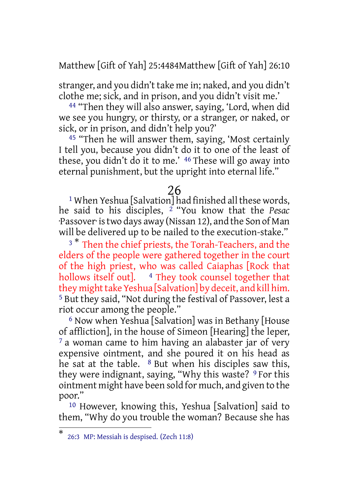Matthew [Gift of Yah] 25:4484Matthew [Gift of Yah] 26:10

stranger, and you didn't take me in; naked, and you didn't clothe me; sick, and in prison, and you didn't visit me.'

44 "Then they will also answer, saying, 'Lord, when did we see you hungry, or thirsty, or a stranger, or naked, or sick, or in prison, and didn't help you?'

45 "Then he will answer them, saying, 'Most certainly I tell you, because you didn't do it to one of the least of these, you didn't do it to me.' 46 These will go away into eternal punishment, but the upright into eternal life."

### 26

 $1$  When Yeshua [Salvation] had finished all these words, he said to his disciples, 2 "You know that the *Pesac* ·Passover· istwo days away (Nissan 12), and the Son of Man will be delivered up to be nailed to the execution-stake."

<sup>3</sub> \*</sup> Then the chief priests, the Torah-Teachers, and the elders of the people were gathered together in the court of the high priest, who was called Caiaphas [Rock that hollows itself out]. 4 They took counsel together that they might take Yeshua [Salvation] by deceit, and kill him. 5 But they said, "Not during the festival of Passover, lest a riot occur among the people."

6 Now when Yeshua [Salvation] was in Bethany [House of affliction], in the house of Simeon [Hearing] the leper, <sup>7</sup> a woman came to him having an alabaster jar of very expensive ointment, and she poured it on his head as he sat at the table.  $8$  But when his disciples saw this, they were indignant, saying, "Why this waste? <sup>9</sup> For this ointment might have been sold for much, and given to the poor."

10 However, knowing this, Yeshua [Salvation] said to them, "Why do you trouble the woman? Because she has

<sup>\*</sup> 26:3 MP: Messiah is despised. (Zech 11:8)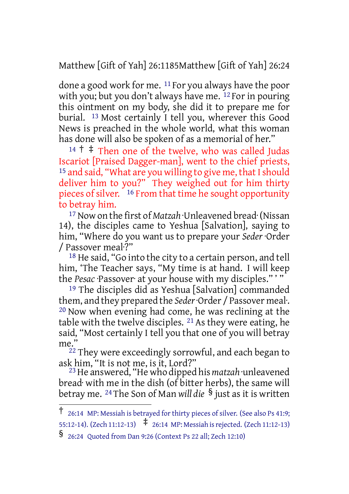Matthew [Gift of Yah] 26:1185Matthew [Gift of Yah] 26:24

done a good work for me. 11 For you always have the poor with you; but you don't always have me. <sup>12</sup> For in pouring this ointment on my body, she did it to prepare me for burial. 13 Most certainly I tell you, wherever this Good News is preached in the whole world, what this woman has done will also be spoken of as a memorial of her."

 $14 \uparrow \ddagger$  Then one of the twelve, who was called Judas Iscariot [Praised Dagger-man], went to the chief priests, <sup>15</sup> and said, "What are you willing to give me, that I should deliver him to you?" They weighed out for him thirty pieces of silver. <sup>16</sup> From that time he sought opportunity to betray him.

17 Now on the first of *Matzah* ·Unleavened bread· (Nissan 14), the disciples came to Yeshua [Salvation], saying to him, "Where do you want us to prepare your *Seder* ·Order / Passover meal·?"

18 He said, "Go into the city to a certain person, and tell him, 'The Teacher says, "My time is at hand. I will keep the *Pesac* ·Passover· at your house with my disciples." ' "

19 The disciples did as Yeshua [Salvation] commanded them, and they prepared the *Seder*·Order / Passover meal·. 20 Now when evening had come, he was reclining at the table with the twelve disciples. 21 As they were eating, he said, "Most certainly I tell you that one of you will betray me."

<sup>22</sup> They were exceedingly sorrowful, and each began to ask him, "It is not me, is it, Lord?"

23 He answered, "He who dipped his *matzah* ·unleavened bread· with me in the dish (of bitter herbs), the same will betray me. <sup>24</sup> The Son of Man *will die* § just as it is written

<sup>†</sup> 26:14 MP: Messiah is betrayed for thirty pieces of silver. (See also Ps 41:9;

<sup>55:12-14).</sup> (Zech 11:12-13) ‡ 26:14 MP: Messiah isrejected. (Zech 11:12-13) § 26:24 Quoted from Dan 9:26 (Context Ps <sup>22</sup> all; Zech 12:10)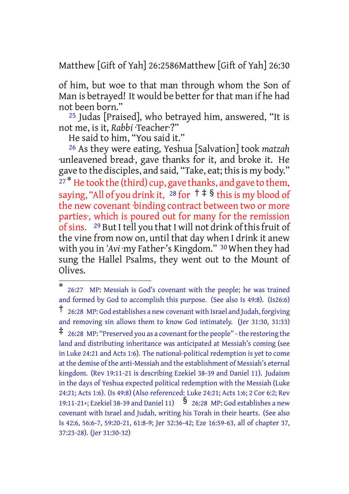Matthew [Gift of Yah] 26:2586Matthew [Gift of Yah] 26:30

of him, but woe to that man through whom the Son of Man is betrayed! It would be better for that man if he had not been born."

25 Judas [Praised], who betrayed him, answered, "It is not me, is it, *Rabbi* ·Teacher·?"

He said to him, "You said it."

26 As they were eating, Yeshua [Salvation] took *matzah* ·unleavened bread·, gave thanks for it, and broke it. He gave to the disciples, and said, "Take, eat; this is my body." <sup>27\*</sup> He took the (third) cup, gave thanks, and gave to them, saying, "All of you drink it,  $^{28}$  for  $+$   $\frac{1}{8}$  this is my blood of the new covenant binding contract between two or more parties·, which is poured out for many for the remission of sins. <sup>29</sup> But I tell you that I will not drink of this fruit of the vine from now on, until that day when I drink it anew with you in 'Avi ·my Father's Kingdom." <sup>30</sup> When they had sung the Hallel Psalms, they went out to the Mount of Olives.

<sup>\*</sup> 26:27 MP: Messiah is God's covenant with the people; he was trained and formed by God to accomplish this purpose. (See also Is 49:8). (Is26:6) † 26:28 MP: God establishes <sup>a</sup> new covenant with Israel and Judah, forgiving and removing sin allows them to know God intimately. (Jer 31:30, 31:33)  $\ddagger$  26:28 MP: "Preserved you as a covenant for the people" - the restoring the land and distributing inheritance was anticipated at Messiah's coming (see in Luke 24:21 and Acts 1:6). The national-political redemption is yet to come at the demise of the anti-Messiah and the establishment of Messiah's eternal kingdom. (Rev 19:11-21 is describing Ezekiel 38-39 and Daniel 11). Judaism in the days of Yeshua expected political redemption with the Messiah (Luke 24:21; Acts 1:6). (Is 49:8) (Also referenced: Luke 24:21; Acts 1:6; 2 Cor 6:2; Rev<br>19:11-21+; Ezekiel 38-39 and Daniel 11)  $\,$   $\,$   $\,$  26:28 MP: God establishes a new covenant with Israel and Judah, writing his Torah in their hearts. (See also Is 42:6, 56:6-7, 59:20-21, 61:8-9; Jer 32:36-42; Eze 16:59-63, all of chapter 37, 37:23-28). (Jer 31:30-32)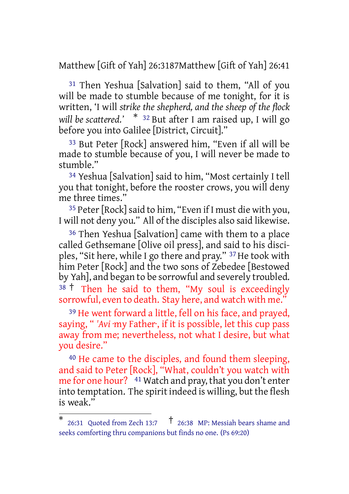Matthew [Gift of Yah] 26:3187Matthew [Gift of Yah] 26:41

31 Then Yeshua [Salvation] said to them, "All of you will be made to stumble because of me tonight, for it is written, 'I will *strike the shepherd, and the sheep of the flock will be scattered.'* \* <sup>32</sup> But after I am raised up, I will go before you into Galilee [District, Circuit]."

33 But Peter [Rock] answered him, "Even if all will be made to stumble because of you, I will never be made to stumble."

34 Yeshua [Salvation] said to him, "Most certainly I tell you that tonight, before the rooster crows, you will deny me three times."

<sup>35</sup> Peter [Rock] said to him, "Even if I must die with you, I will not deny you." All of the disciples also said likewise.

36 Then Yeshua [Salvation] came with them to a place called Gethsemane [Olive oil press], and said to his disciples, "Sit here, while I go there and pray." 37 He took with him Peter [Rock] and the two sons of Zebedee [Bestowed by Yah], and began to be sorrowful and severely troubled. <sup>38</sup> <sup>†</sup> Then he said to them, "My soul is exceedingly sorrowful, even to death. Stay here, and watch with me.'

39 He went forward a little, fell on his face, and prayed, saying, " *'Avi* ·my Father·, if it is possible, let this cup pass away from me; nevertheless, not what I desire, but what you desire."

40 He came to the disciples, and found them sleeping, and said to Peter [Rock], "What, couldn't you watch with me for one hour? <sup>41</sup> Watch and pray, that you don't enter into temptation. The spirit indeed is willing, but the flesh is weak."

<sup>\*</sup> 26:31 Quoted from Zech 13:7 † 26:38 MP: Messiah bears shame and seeks comforting thru companions but finds no one. (Ps 69:20)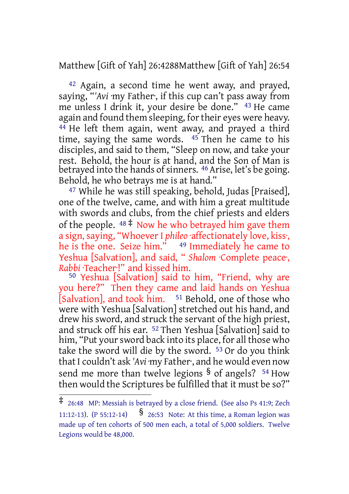Matthew [Gift of Yah] 26:4288Matthew [Gift of Yah] 26:54

42 Again, a second time he went away, and prayed, saying, "*'Avi* ·my Father·, if this cup can't pass away from me unless I drink it, your desire be done." 43 He came again and found them sleeping, for their eyes were heavy. 44 He left them again, went away, and prayed a third time, saying the same words. 45 Then he came to his disciples, and said to them, "Sleep on now, and take your rest. Behold, the hour is at hand, and the Son of Man is betrayed into the hands of sinners. <sup>46</sup> Arise, let's be going. Behold, he who betrays me is at hand."

47 While he was still speaking, behold, Judas [Praised], one of the twelve, came, and with him a great multitude with swords and clubs, from the chief priests and elders of the people.  $48 \div Now$  he who betrayed him gave them a sign, saying, "Whoever I *phileo* ·affectionately love, kiss·, he is the one. Seize him." 49 Immediately he came to Yeshua [Salvation], and said, " *Shalom* ·Complete peace·, *Rabbi* ·Teacher·!" and kissed him.

50 Yeshua [Salvation] said to him, "Friend, why are you here?" Then they came and laid hands on Yeshua [Salvation], and took him. <sup>51</sup> Behold, one of those who were with Yeshua [Salvation] stretched out his hand, and drew his sword, and struck the servant of the high priest, and struck off his ear. 52 Then Yeshua [Salvation] said to him, "Put your sword back into its place, for all those who take the sword will die by the sword. 53 Or do you think that I couldn't ask 'Avi ·my Father·, and he would even now send me more than twelve legions  $\frac{1}{2}$  of angels? <sup>54</sup> How then would the Scriptures be fulfilled that it must be so?"

<sup>‡</sup> 26:48 MP: Messiah is betrayed by <sup>a</sup> close friend. (See also Ps 41:9; Zech 11:12-13). (P 55:12-14)  $\frac{8}{26:53}$  Note: At this time, a Roman legion was made up of ten cohorts of 500 men each, a total of 5,000 soldiers. Twelve Legions would be 48,000.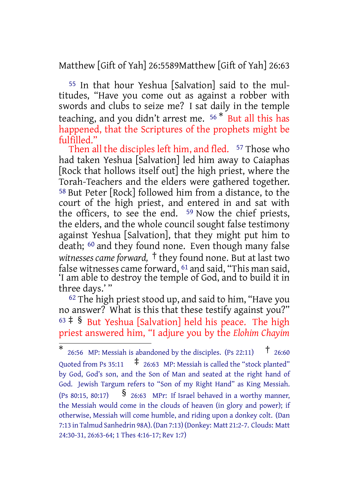Matthew [Gift of Yah] 26:5589Matthew [Gift of Yah] 26:63

55 In that hour Yeshua [Salvation] said to the multitudes, "Have you come out as against a robber with swords and clubs to seize me? I sat daily in the temple teaching, and you didn't arrest me. <sup>56</sup> \* But all this has happened, that the Scriptures of the prophets might be fulfilled."

Then all the disciples left him, and fled. <sup>57</sup> Those who had taken Yeshua [Salvation] led him away to Caiaphas [Rock that hollows itself out] the high priest, where the Torah-Teachers and the elders were gathered together. 58 But Peter [Rock] followed him from a distance, to the court of the high priest, and entered in and sat with the officers, to see the end. 59 Now the chief priests, the elders, and the whole council sought false testimony against Yeshua [Salvation], that they might put him to death; 60 and they found none. Even though many false *witnesses cameforward,* † they found none. But at last two false witnesses came forward, 61 and said, "This man said, 'I am able to destroy the temple of God, and to build it in three days.' "

 $62$  The high priest stood up, and said to him, "Have you no answer? What is this that these testify against you?"  $63 \div$  § But Yeshua [Salvation] held his peace. The high priest answered him, "I adjure you by the *Elohim Chayim*

<sup>\*</sup> 26:56 MP: Messiah is abandoned by the disciples. (Ps 22:11)  $\uparrow$  26:60 Quoted from Ps 35:11  $\pm$  26:63 MP: Messiah is called the "stock planted" by God, God's son, and the Son of Man and seated at the right hand of God. Jewish Targum refers to "Son of my Right Hand" as King Messiah. (Ps 80:15, 80:17)  $\frac{1}{3}$  26:63 MPr: If Israel behaved in a worthy manner, the Messiah would come in the clouds of heaven (in glory and power); if otherwise, Messiah will come humble, and riding upon a donkey colt. (Dan 7:13 in Talmud Sanhedrin 98A). (Dan 7:13) (Donkey: Matt 21:2-7. Clouds: Matt 24:30-31, 26:63-64; 1 Thes 4:16-17; Rev 1:7)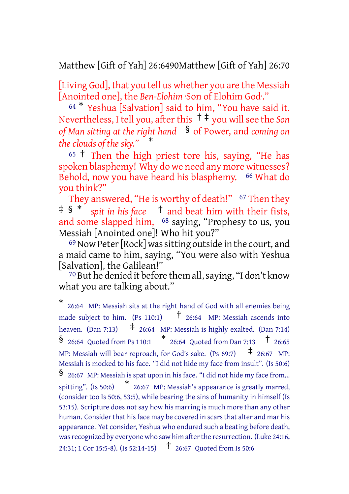Matthew [Gift of Yah] 26:6490Matthew [Gift of Yah] 26:70

[Living God], that you tell us whether you are the Messiah [Anointed one], the *Ben-Elohim* ·Son of Elohim God·."

<sup>64</sup> \* Yeshua [Salvation] said to him, "You have said it. Nevertheless, I tell you, afterthis † ‡ you will see the *Son of Man sitting at the right hand* § of Power, and *coming on the clouds of the sky."* \*

<sup>65</sup> † Then the high priest tore his, saying, "He has spoken blasphemy! Why do we need any more witnesses? Behold, now you have heard his blasphemy. <sup>66</sup> What do you think?"

They answered, "He is worthy of death!" <sup>67</sup> Then they ‡ § \* *spit in his face* † and beat him with their fists, and some slapped him, 68 saying, "Prophesy to us, you Messiah [Anointed one]! Who hit you?"

<sup>69</sup> Now Peter [Rock] was sitting outside in the court, and a maid came to him, saying, "You were also with Yeshua [Salvation], the Galilean!"

70 But he denied it before them all,saying, "I don't know what you are talking about."

<sup>\*</sup> 26:64 MP: Messiah sits at the right hand of God with all enemies being made subject to him. (Ps 110:1)  $\uparrow$  26:64 MP: Messiah ascends into heaven. (Dan 7:13)  $\pm$  26:64 MP: Messiah is highly exalted. (Dan 7:14)  $\frac{1}{26:64}$  Quoted from Ps 110:1  $\frac{1}{26:64}$  Quoted from Dan 7:13  $\frac{1}{1}$  26:65 MP: Messiah will bear reproach, for God's sake. (Ps 69:7)  $\pm$  26:67 MP: Messiah is mocked to his face. "I did not hide my face from insult". (Is 50:6) § 26:67 MP: Messiah is spat upon in his face. "I did not hide my face from... spitting". (Is 50:6) \* 26:67 MP: Messiah's appearance is greatly marred, (consider too Is 50:6, 53:5), while bearing the sins of humanity in himself (Is 53:15). Scripture does not say how his marring is much more than any other human. Consider that his face may be covered in scars that alter and mar his appearance. Yet consider, Yeshua who endured such a beating before death, was recognized by everyone who saw him after the resurrection. (Luke 24:16, 24:31; <sup>1</sup> Cor 15:5-8). (Is 52:14-15) † 26:67 Quoted from Is 50:6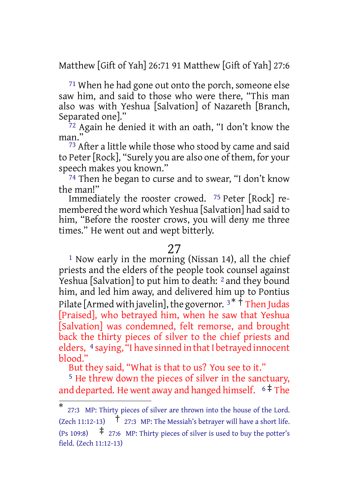Matthew [Gift of Yah] 26:71 91 Matthew [Gift of Yah] 27:6

71 When he had gone out onto the porch, someone else saw him, and said to those who were there, "This man also was with Yeshua [Salvation] of Nazareth [Branch, Separated one]."

72 Again he denied it with an oath, "I don't know the man.'

<sup>73</sup> After a little while those who stood by came and said to Peter[Rock], "Surely you are also one of them, for your speech makes you known."

74 Then he began to curse and to swear, "I don't know the man!"

Immediately the rooster crowed. 75 Peter [Rock] remembered the word which Yeshua [Salvation] had said to him, "Before the rooster crows, you will deny me three times." He went out and wept bitterly.

## 27

<sup>1</sup> Now early in the morning (Nissan 14), all the chief priests and the elders of the people took counsel against Yeshua [Salvation] to put him to death: <sup>2</sup> and they bound him, and led him away, and delivered him up to Pontius Pilate [Armed with javelin], the governor.  $3 * \dot{1}$  Then Judas [Praised], who betrayed him, when he saw that Yeshua [Salvation] was condemned, felt remorse, and brought back the thirty pieces of silver to the chief priests and elders, <sup>4</sup> saying, "I have sinned in that I betrayed innocent blood."

But they said, "What is that to us? You see to it."

5 He threw down the pieces of silver in the sanctuary, and departed. He went away and hanged himself.  $6 \pm 7$ he

<sup>\*</sup> 27:3 MP: Thirty pieces of silver are thrown into the house of the Lord. (Zech 11:12-13)  $\uparrow$  27:3 MP: The Messiah's betrayer will have a short life. (Ps 109:8)  $\uparrow$  27:6 MP: Thirty pieces of silver is used to buy the potter's field. (Zech 11:12-13)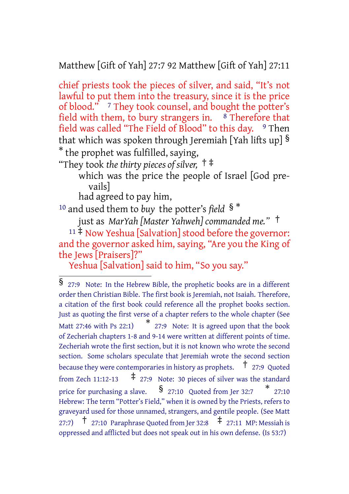Matthew [Gift of Yah] 27:7 92 Matthew [Gift of Yah] 27:11

chief priests took the pieces of silver, and said, "It's not lawful to put them into the treasury, since it is the price of blood." <sup>7</sup> They took counsel, and bought the potter's field with them, to bury strangers in.  $8$  Therefore that field was called "The Field of Blood" to this day.  $9$  Then that which was spoken through Jeremiah [Yah lifts up] § \* the prophet was fulfilled, saying,

"They took *the thirty pieces of silver,* † ‡

which was the price the people of Israel [God prevails]

had agreed to pay him,

<sup>10</sup> and used them to *buy* the potter's *field* § \*

just as *MarYah [Master Yahweh] commanded me."* †

 $11 \ddagger$  Now Yeshua [Salvation] stood before the governor: and the governor asked him, saying, "Are you the King of the Jews [Praisers]?"

Yeshua [Salvation] said to him, "So you say."

<sup>§</sup> 27:9 Note: In the Hebrew Bible, the prophetic books are in <sup>a</sup> different order then Christian Bible. The first book is Jeremiah, not Isaiah. Therefore, a citation of the first book could reference all the prophet books section. Just as quoting the first verse of a chapter refers to the whole chapter (See Matt 27:46 with Ps 22:1) \* 27:9 Note: It is agreed upon that the book of Zecheriah chapters 1-8 and 9-14 were written at different points of time. Zecheriah wrote the first section, but it is not known who wrote the second section. Some scholars speculate that Jeremiah wrote the second section because they were contemporaries in history as prophets. † 27:9 Quoted from Zech 11:12-13  $\uparrow$  27:9 Note: 30 pieces of silver was the standard price for purchasing a slave.  $\quad$   $\frac{1}{27:10}$  Quoted from Jer 32:7  $\quad$   $\quad$  27:10 Hebrew: The term "Potter's Field," when it is owned by the Priests, refers to graveyard used for those unnamed, strangers, and gentile people. (See Matt 27:7)  $\uparrow$  27:10 Paraphrase Quoted from Jer 32:8  $\uparrow$  27:11 MP: Messiah is oppressed and afflicted but does not speak out in his own defense. (Is 53:7)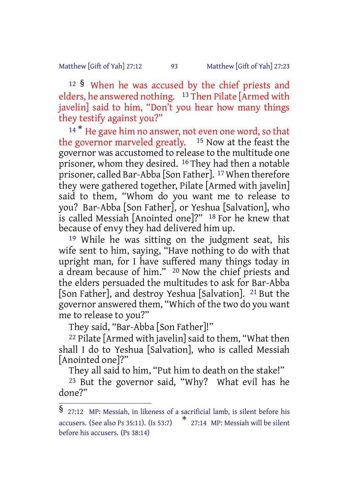#### Matthew [Gift of Yah] 27:12 93 Matthew [Gift of Yah] 27:23

<sup>12</sup> § When he was accused by the chief priests and elders, he answered nothing. <sup>13</sup> Then Pilate [Armed with javelin] said to him, "Don't you hear how many things they testify against you?"

<sup>14\*</sup> He gave him no answer, not even one word, so that the governor marveled greatly. 15 Now at the feast the governor was accustomed to release to the multitude one prisoner, whom they desired. 16 They had then a notable prisoner, called Bar-Abba [Son Father]. 17 When therefore they were gathered together, Pilate [Armed with javelin] said to them, "Whom do you want me to release to you? Bar-Abba [Son Father], or Yeshua [Salvation], who is called Messiah [Anointed one]?" 18 For he knew that because of envy they had delivered him up.

19 While he was sitting on the judgment seat, his wife sent to him, saying, "Have nothing to do with that upright man, for I have suffered many things today in a dream because of him." 20 Now the chief priests and the elders persuaded the multitudes to ask for Bar-Abba [Son Father], and destroy Yeshua [Salvation]. 21 But the governor answered them, "Which of the two do you want me to release to you?"

They said, "Bar-Abba [Son Father]!"

22 Pilate [Armed with javelin] said to them, "What then shall I do to Yeshua [Salvation], who is called Messiah [Anointed one]?"

They all said to him, "Put him to death on the stake!" 23 But the governor said, "Why? What evil has he done?"

<sup>§</sup> 27:12 MP: Messiah, in likeness of <sup>a</sup> sacrificial lamb, is silent before his accusers. (See also Ps 35:11). (Is 53:7) \* 27:14 MP: Messiah will be silent before his accusers. (Ps 38:14)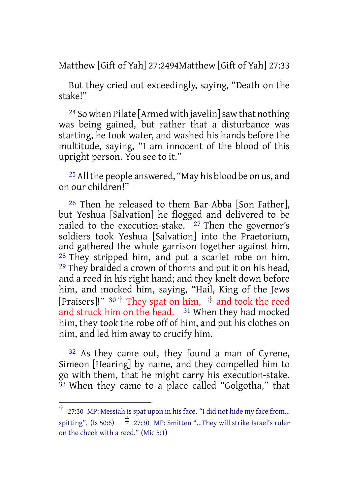Matthew [Gift of Yah] 27:2494Matthew [Gift of Yah] 27:33

But they cried out exceedingly, saying, "Death on the stake!"

 $24$  So when Pilate [Armed with javelin] saw that nothing was being gained, but rather that a disturbance was starting, he took water, and washed his hands before the multitude, saying, "I am innocent of the blood of this upright person. You see to it."

<sup>25</sup> All the people answered, "May his blood be on us, and on our children!"

26 Then he released to them Bar-Abba [Son Father], but Yeshua [Salvation] he flogged and delivered to be nailed to the execution-stake.  $27$  Then the governor's soldiers took Yeshua [Salvation] into the Praetorium, and gathered the whole garrison together against him. 28 They stripped him, and put a scarlet robe on him. <sup>29</sup> They braided a crown of thorns and put it on his head, and a reed in his right hand; and they knelt down before him, and mocked him, saying, "Hail, King of the Jews [Praisers]!" <sup>30</sup> † They spat on him, ‡ and took the reed and struck him on the head. 31 When they had mocked him, they took the robe off of him, and put his clothes on him, and led him away to crucify him.

32 As they came out, they found a man of Cyrene, Simeon [Hearing] by name, and they compelled him to go with them, that he might carry his execution-stake.  $33$  When they came to a place called "Golgotha," that

<sup>†</sup> 27:30 MP: Messiah is spat upon in his face. "I did not hide my face from... spitting". (Is 50:6)  $\qquad \qquad \ddagger$  27:30 MP: Smitten "...They will strike Israel's ruler on the cheek with a reed." (Mic 5:1)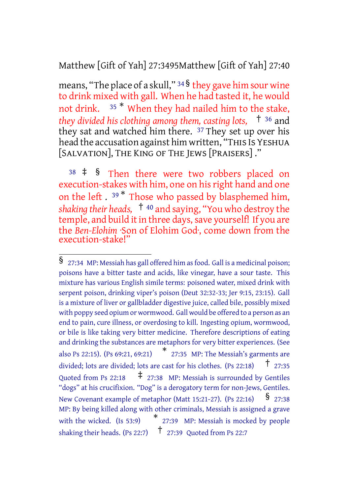Matthew [Gift of Yah] 27:3495Matthew [Gift of Yah] 27:40

means, "The place of a skull,"  $34\frac{1}{2}$  they gave him sour wine to drink mixed with gall. When he had tasted it, he would not drink. <sup>35</sup> \* When they had nailed him to the stake, *they divided his clothing among them, casting lots,* † <sup>36</sup> and they sat and watched him there. 37 They set up over his head the accusation against him written, "THIS IS YESHUA [SALVATION], THE KING OF THE JEWS [PRAISERS] ."

<sup>38</sup> ‡ § Then there were two robbers placed on execution-stakes with him, one on his right hand and one on the left. <sup>39\*</sup> Those who passed by blasphemed him, *shaking their heads,* † <sup>40</sup> and saying, "You who destroy the temple, and build it in three days, save yourself! If you are the *Ben-Elohim* ·Son of Elohim God·, come down from the execution-stake!

<sup>§</sup> 27:34 MP: Messiah has gall offered him asfood. Gall is <sup>a</sup> medicinal poison; poisons have a bitter taste and acids, like vinegar, have a sour taste. This mixture has various English simile terms: poisoned water, mixed drink with serpent poison, drinking viper's poison (Deut 32:32-33; Jer 9:15, 23:15). Gall is a mixture of liver or gallbladder digestive juice, called bile, possibly mixed with poppy seed opium or wormwood. Gall would be offered to a person as an end to pain, cure illness, or overdosing to kill. Ingesting opium, wormwood, or bile is like taking very bitter medicine. Therefore descriptions of eating and drinking the substances are metaphors for very bitter experiences. (See also Ps 22:15). (Ps 69:21, 69:21) \* 27:35 MP: The Messiah's garments are divided; lots are divided; lots are cast for his clothes. (Ps 22:18) † 27:35 Quoted from Ps 22:18  $\uparrow$  27:38 MP: Messiah is surrounded by Gentiles "dogs" at his crucifixion. "Dog" is a derogatory term for non-Jews, Gentiles. New Covenant example of metaphor (Matt 15:21-27). (Ps 22:16)  $\frac{\$}{}$  27:38 MP: By being killed along with other criminals, Messiah is assigned a grave with the wicked. (Is 53:9) 27:39 MP: Messiah is mocked by people shaking their heads. (Ps 22:7)  $\uparrow$  27:39 Quoted from Ps 22:7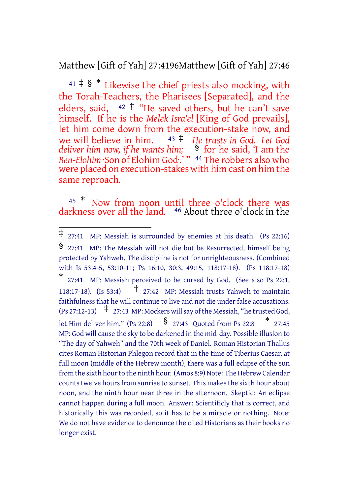Matthew [Gift of Yah] 27:4196Matthew [Gift of Yah] 27:46

<sup>41</sup> ‡ § \* Likewise the chief priests also mocking, with the Torah-Teachers, the Pharisees [Separated], and the elders, said,  $42 \dagger$  "He saved others, but he can't save himself. If he is the *Melek Isra'el* [King of God prevails], let him come down from the execution-stake now, and we will believe in him. <sup>43</sup> ‡ *He trusts in God. Let God deliver him now, if he wants him;* § for he said, 'I am the *Ben-Elohim* ·Son of Elohim God<sup>.'</sup> " <sup>44</sup> The robbers also who were placed on execution-stakes with him cast on him the same reproach.

<sup>45</sup> \* Now from noon until three o'clock there was darkness over all the land. 46 About three o'clock in the

<sup>‡</sup> 27:41 MP: Messiah is surrounded by enemies at his death. (Ps 22:16) § 27:41 MP: The Messiah will not die but be Resurrected, himself being protected by Yahweh. The discipline is not for unrighteousness. (Combined with Is 53:4-5, 53:10-11; Ps 16:10, 30:3, 49:15, 118:17-18). (Ps 118:17-18) \* 27:41 MP: Messiah perceived to be cursed by God. (See also Ps 22:1,

<sup>118:17-18).</sup> (Is 53:4) † 27:42 MP: Messiah trusts Yahweh to maintain faithfulness that he will continue to live and not die under false accusations.  $(\text{Ps } 27:12-13)$   $\uparrow$  27:43 MP: Mockers will say of the Messiah, "he trusted God, let Him deliver him." (Ps 22:8)  $\frac{\$}{27:43}$  Quoted from Ps 22:8  $\frac{*}{27:45}$ MP: God will cause the sky to be darkened in the mid-day. Possible illusion to "The day of Yahweh" and the 70th week of Daniel. Roman Historian Thallus cites Roman Historian Phlegon record that in the time of Tiberius Caesar, at full moon (middle of the Hebrew month), there was a full eclipse of the sun from the sixth hour to the ninth hour. (Amos 8:9) Note: The Hebrew Calendar counts twelve hours from sunrise to sunset. This makes the sixth hour about noon, and the ninth hour near three in the afternoon. Skeptic: An eclipse cannot happen during a full moon. Answer: Scientificly that is correct, and historically this was recorded, so it has to be a miracle or nothing. Note: We do not have evidence to denounce the cited Historians as their books no longer exist.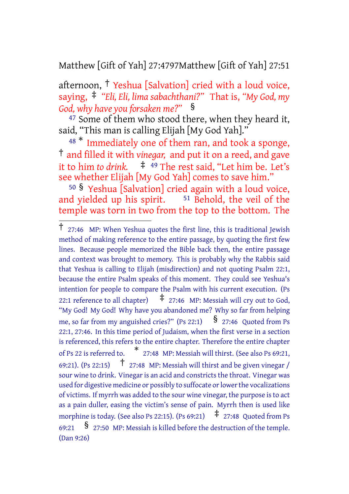Matthew [Gift of Yah] 27:4797Matthew [Gift of Yah] 27:51

afternoon, † Yeshua [Salvation] cried with a loud voice, saying, ‡ *"Eli, Eli, lima sabachthani?"* That is, *"My God, my God, why have you forsaken me?"* §

<sup>47</sup> Some of them who stood there, when they heard it, said, "This man is calling Elijah [My God Yah]."

<sup>48</sub> \*</sup> Immediately one of them ran, and took a sponge, † and filled it with *vinegar,* and put it on a reed, and gave it to him *to drink.* ‡ <sup>49</sup> The rest said, "Let him be. Let's see whether Elijah [My God Yah] comes to save him."

<sup>50</sup> § Yeshua [Salvation] cried again with a loud voice, and yielded up his spirit.  $51$  Behold, the veil of the temple was torn in two from the top to the bottom. The

<sup>†</sup> 27:46 MP: When Yeshua quotes the first line, this is traditional Jewish method of making reference to the entire passage, by quoting the first few lines. Because people memorized the Bible back then, the entire passage and context was brought to memory. This is probably why the Rabbis said that Yeshua is calling to Elijah (misdirection) and not quoting Psalm 22:1, because the entire Psalm speaks of this moment. They could see Yeshua's intention for people to compare the Psalm with his current execution. (Ps 22:1 reference to all chapter)  $\pm$  27:46 MP: Messiah will cry out to God, "My God! My God! Why have you abandoned me? Why so far from helping me, so far from my anguished cries?" (Ps 22:1)  $\frac{8}{27:46}$  Quoted from Ps 22:1, 27:46. In this time period of Judaism, when the first verse in a section is referenced, this refers to the entire chapter. Therefore the entire chapter of Ps 22 is referred to. \* 27:48 MP: Messiah will thirst. (See also Ps 69:21, 69:21). (Ps 22:15)  $\sigma$  27:48 MP: Messiah will thirst and be given vinegar / sour wine to drink. Vinegar is an acid and constricts the throat. Vinegar was used for digestive medicine or possibly to suffocate or lower the vocalizations of victims. If myrrh was added to the sour wine vinegar, the purpose isto act as a pain duller, easing the victim's sense of pain. Myrrh then is used like morphine is today. (See also Ps 22:15). (Ps 69:21)  $\pm$  27:48 Quoted from Ps 69:21  $\frac{1}{2}$   $\frac{1}{27:50}$  MP: Messiah is killed before the destruction of the temple. (Dan 9:26)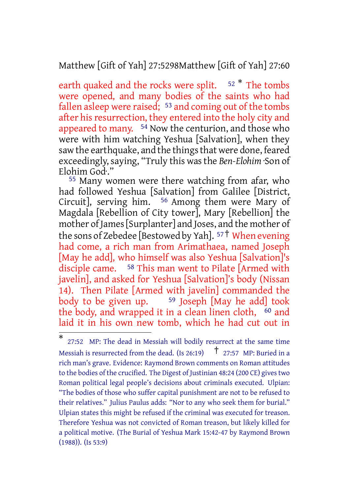Matthew [Gift of Yah] 27:5298Matthew [Gift of Yah] 27:60

earth quaked and the rocks were split.  $52 *$  The tombs were opened, and many bodies of the saints who had fallen asleep were raised;  $53$  and coming out of the tombs after his resurrection, they entered into the holy city and appeared to many. <sup>54</sup> Now the centurion, and those who were with him watching Yeshua [Salvation], when they saw the earthquake, and the things that were done, feared exceedingly,saying, "Truly this wasthe *Ben-Elohim* ·Son of Elohim God·."

55 Many women were there watching from afar, who had followed Yeshua [Salvation] from Galilee [District, Circuit], serving him. 56 Among them were Mary of Magdala [Rebellion of City tower], Mary [Rebellion] the mother ofJames[Surplanter] and Joses, and the mother of the sons of Zebedee [Bestowed by Yah]. <sup>57</sup>† When evening had come, a rich man from Arimathaea, named Joseph [May he add], who himself was also Yeshua [Salvation]'s disciple came. 58 This man went to Pilate [Armed with javelin], and asked for Yeshua [Salvation]'s body (Nissan 14). Then Pilate [Armed with javelin] commanded the body to be given up. <sup>59</sup> Joseph [May he add] took the body, and wrapped it in a clean linen cloth, <sup>60</sup> and laid it in his own new tomb, which he had cut out in

<sup>\*</sup> 27:52 MP: The dead in Messiah will bodily resurrect at the same time Messiah is resurrected from the dead. (Is 26:19)  $\uparrow$  27:57 MP: Buried in a rich man's grave. Evidence: Raymond Brown comments on Roman attitudes to the bodies of the crucified. The Digest of Justinian 48:24 (200 CE) gives two Roman political legal people's decisions about criminals executed. Ulpian: "The bodies of those who suffer capital punishment are not to be refused to their relatives." Julius Paulus adds: "Nor to any who seek them for burial." Ulpian states this might be refused if the criminal was executed for treason. Therefore Yeshua was not convicted of Roman treason, but likely killed for a political motive. (The Burial of Yeshua Mark 15:42-47 by Raymond Brown (1988)). (Is 53:9)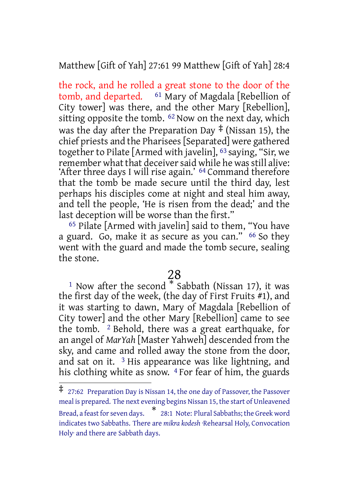Matthew [Gift of Yah] 27:61 99 Matthew [Gift of Yah] 28:4

the rock, and he rolled a great stone to the door of the tomb, and departed.  $61$  Mary of Magdala [Rebellion of City tower] was there, and the other Mary [Rebellion], sitting opposite the tomb. <sup>62</sup> Now on the next day, which was the day after the Preparation Day  $\ddagger$  (Nissan 15), the chief priests and the Pharisees[Separated] were gathered together to Pilate [Armed with javelin], 63 saying, "Sir, we remember what that deceiver said while he was still alive: 'After three days I will rise again.' 64 Command therefore that the tomb be made secure until the third day, lest perhaps his disciples come at night and steal him away, and tell the people, 'He is risen from the dead;' and the last deception will be worse than the first."

65 Pilate [Armed with javelin] said to them, "You have a guard. Go, make it as secure as you can." 66 So they went with the guard and made the tomb secure, sealing the stone.

# 28

<sup>1</sup> Now after the second  $*$  Sabbath (Nissan 17), it was the first day of the week, (the day of First Fruits #1), and it was starting to dawn, Mary of Magdala [Rebellion of City tower] and the other Mary [Rebellion] came to see the tomb.  $\frac{2}{3}$  Behold, there was a great earthquake, for an angel of *MarYah* [Master Yahweh] descended from the sky, and came and rolled away the stone from the door, and sat on it.  $3$  His appearance was like lightning, and his clothing white as snow.  $4$  For fear of him, the guards

<sup>‡</sup> 27:62 Preparation Day is Nissan 14, the one day of Passover, the Passover meal is prepared. The next evening begins Nissan 15, the start of Unleavened Bread, a feast for seven days. \* \* 28:1 Note: Plural Sabbaths; the Greek word indicates two Sabbaths. There are *mikra kodesh* ·Rehearsal Holy, Convocation Holy· and there are Sabbath days.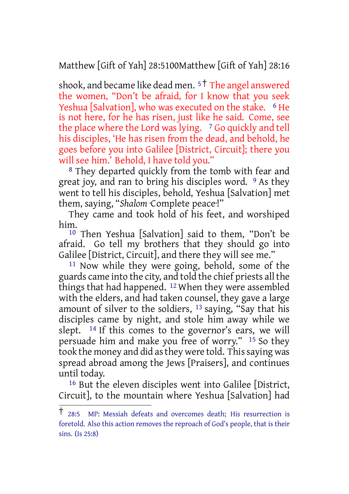Matthew [Gift of Yah] 28:5100Matthew [Gift of Yah] 28:16

shook, and became like dead men.  $5<sup>†</sup>$  The angel answered the women, "Don't be afraid, for I know that you seek Yeshua [Salvation], who was executed on the stake. <sup>6</sup> He is not here, for he has risen, just like he said. Come, see the place where the Lord was lying. <sup>7</sup> Go quickly and tell his disciples, 'He has risen from the dead, and behold, he goes before you into Galilee [District, Circuit]; there you will see him.' Behold, I have told you."

8 They departed quickly from the tomb with fear and great joy, and ran to bring his disciples word. <sup>9</sup> As they went to tell his disciples, behold, Yeshua [Salvation] met them, saying, "*Shalom* ·Complete peace·!"

They came and took hold of his feet, and worshiped him.

10 Then Yeshua [Salvation] said to them, "Don't be afraid. Go tell my brothers that they should go into Galilee [District, Circuit], and there they will see me."

11 Now while they were going, behold, some of the guards came into the city, and told the chief priests all the things that had happened. 12 When they were assembled with the elders, and had taken counsel, they gave a large amount of silver to the soldiers, <sup>13</sup> saying, "Say that his disciples came by night, and stole him away while we slept. 14 If this comes to the governor's ears, we will persuade him and make you free of worry." 15 So they took the money and did as they were told. This saying was spread abroad among the Jews [Praisers], and continues until today.

16 But the eleven disciples went into Galilee [District, Circuit], to the mountain where Yeshua [Salvation] had

<sup>†</sup> 28:5 MP: Messiah defeats and overcomes death; His resurrection is foretold. Also this action removes the reproach of God's people, that is their sins. (Is 25:8)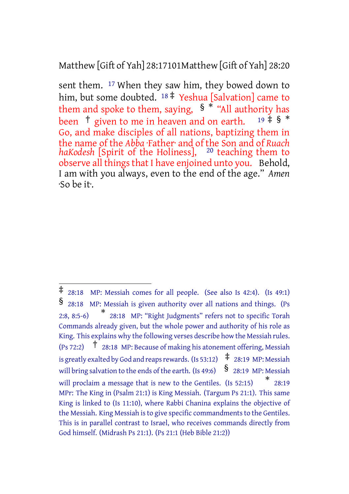## Matthew [Gift of Yah] 28:17101Matthew [Gift of Yah] 28:20

sent them. <sup>17</sup> When they saw him, they bowed down to him, but some doubted. <sup>18</sup> ‡ Yeshua [Salvation] came to them and spoke to them, saying,  $\int_{0}^{\frac{\pi}{8}}$  "All authority has<br>heen  $\frac{\pi}{8}$  given to me in heaven and on earth 19  $\pm$   $\int_{0}^{\frac{\pi}{8}}$ been  $\dagger$  given to me in heaven and on earth. Go, and make disciples of all nations, baptizing them in the name of the *Abba* ·Father· and of the Son and of *Ruach* haKodesh [Spirit of the Holiness], <sup>20</sup> teaching them to observe all things that I have enjoined unto you. Behold, I am with you always, even to the end of the age." *Amen* ·So be it·.

<sup>‡</sup> 28:18 MP: Messiah comes for all people. (See also Is 42:4). (Is 49:1) § 28:18 MP: Messiah is given authority over all nations and things. (Ps  $2:8, 8:5-6$ 28:18 MP: "Right Judgments" refers not to specific Torah Commands already given, but the whole power and authority of his role as King. This explains why the following verses describe how the Messiah rules. (Ps 72:2)  $\uparrow$  28:18 MP: Because of making his atonement offering, Messiah is greatly exalted by God and reaps rewards. (Is 53:12)  $\pm$  28:19 MP: Messiah will bring salvation to the ends of the earth. (Is 49:6)  $\frac{1}{2}$  28:19 MP: Messiah will proclaim a message that is new to the Gentiles. (Is 52:15)  $*$  28:19 MPr: The King in (Psalm 21:1) is King Messiah. (Targum Ps 21:1). This same King is linked to (Is 11:10), where Rabbi Chanina explains the objective of the Messiah. King Messiah is to give specific commandments to the Gentiles. This is in parallel contrast to Israel, who receives commands directly from God himself. (Midrash Ps 21:1). (Ps 21:1 (Heb Bible 21:2))